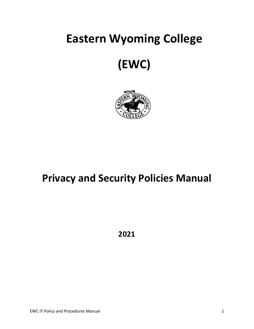# **Eastern Wyoming College**

# **(EWC)**



## **Privacy and Security Policies Manual**

**2021**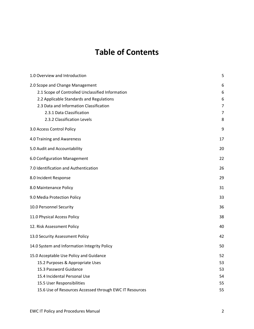### **Table of Contents**

| 1.0 Overview and Introduction                           | 5              |
|---------------------------------------------------------|----------------|
| 2.0 Scope and Change Management                         | 6              |
| 2.1 Scope of Controlled Unclassified Information        | 6              |
| 2.2 Applicable Standards and Regulations                | 6              |
| 2.3 Data and Information Classification                 | $\overline{7}$ |
| 2.3.1 Data Classification                               | 7              |
| 2.3.2 Classification Levels                             | 8              |
| 3.0 Access Control Policy                               | 9              |
| 4.0 Training and Awareness                              | 17             |
| 5.0 Audit and Accountability                            | 20             |
| 6.0 Configuration Management                            | 22             |
| 7.0 Identification and Authentication                   | 26             |
| 8.0 Incident Response                                   | 29             |
| 8.0 Maintenance Policy                                  | 31             |
| 9.0 Media Protection Policy                             | 33             |
| 10.0 Personnel Security                                 | 36             |
| 11.0 Physical Access Policy                             | 38             |
| 12. Risk Assessment Policy                              | 40             |
| 13.0 Security Assessment Policy                         | 42             |
| 14.0 System and Information Integrity Policy            | 50             |
| 15.0 Acceptable Use Policy and Guidance                 | 52             |
| 15.2 Purposes & Appropriate Uses                        | 53             |
| 15.3 Password Guidance                                  | 53             |
| 15.4 Incidental Personal Use                            | 54             |
| 15.5 User Responsibilities                              | 55             |
| 15.6 Use of Resources Accessed through EWC IT Resources | 55             |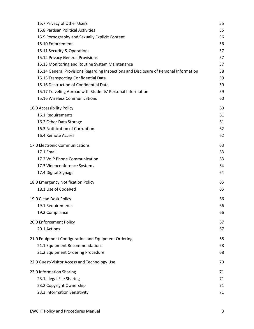| 15.7 Privacy of Other Users                                                           | 55 |
|---------------------------------------------------------------------------------------|----|
| 15.8 Partisan Political Activities                                                    | 55 |
| 15.9 Pornography and Sexually Explicit Content                                        | 56 |
| 15.10 Enforcement                                                                     | 56 |
| 15.11 Security & Operations                                                           | 57 |
| 15.12 Privacy General Provisions                                                      | 57 |
| 15.13 Monitoring and Routine System Maintenance                                       | 57 |
| 15.14 General Provisions Regarding Inspections and Disclosure of Personal Information | 58 |
| 15.15 Transporting Confidential Data                                                  | 59 |
| 15.16 Destruction of Confidential Data                                                | 59 |
| 15.17 Traveling Abroad with Students' Personal Information                            | 59 |
| 15.16 Wireless Communications                                                         | 60 |
| 16.0 Accessibility Policy                                                             | 60 |
| 16.1 Requirements                                                                     | 61 |
| 16.2 Other Data Storage                                                               | 61 |
| 16.3 Notification of Corruption                                                       | 62 |
| 16.4 Remote Access                                                                    | 62 |
| 17.0 Electronic Communications                                                        | 63 |
| 17.1 Email                                                                            | 63 |
| 17.2 VoIP Phone Communication                                                         | 63 |
| 17.3 Videoconference Systems                                                          | 64 |
| 17.4 Digital Signage                                                                  | 64 |
| 18.0 Emergency Notification Policy                                                    | 65 |
| 18.1 Use of CodeRed                                                                   | 65 |
| 19.0 Clean Desk Policy                                                                | 66 |
| 19.1 Requirements                                                                     | 66 |
| 19.2 Compliance                                                                       | 66 |
| 20.0 Enforcement Policy                                                               | 67 |
| 20.1 Actions                                                                          | 67 |
| 21.0 Equipment Configuration and Equipment Ordering                                   | 68 |
| 21.1 Equipment Recommendations                                                        | 68 |
| 21.2 Equipment Ordering Procedure                                                     | 68 |
| 22.0 Guest/Visitor Access and Technology Use                                          | 70 |
| 23.0 Information Sharing                                                              | 71 |
| 23.1 Illegal File Sharing                                                             | 71 |
| 23.2 Copyright Ownership                                                              | 71 |
| 23.3 Information Sensitivity                                                          | 71 |
|                                                                                       |    |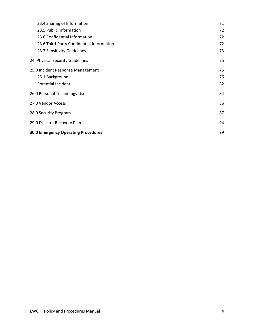| 23.4 Sharing of Information                | 71 |
|--------------------------------------------|----|
| 23.5 Public Information                    | 72 |
| 23.6 Confidential Information              | 72 |
| 23.6 Third-Party Confidential Information  | 72 |
| 23.7 Sensitivity Guidelines                | 73 |
| 24. Physical Security Guidelines           | 75 |
| 25.0 Incident Response Management          | 75 |
| 25.1 Background                            | 76 |
| <b>Potential Incident</b>                  | 82 |
| 26.0 Personal Technology Use               | 84 |
| 27.0 Vendor Access                         | 86 |
| 28.0 Security Program                      | 87 |
| 29.0 Disaster Recovery Plan                | 94 |
| <b>30.0 Emergency Operating Procedures</b> | 99 |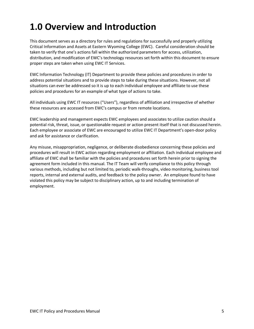# <span id="page-4-0"></span>**1.0 Overview and Introduction**

This document serves as a directory for rules and regulations for successfully and properly utilizing Critical Information and Assets at Eastern Wyoming College (EWC). Careful consideration should be taken to verify that one's actions fall within the authorized parameters for access, utilization, distribution, and modification of EWC's technology resources set forth within this document to ensure proper steps are taken when using EWC IT Services.

EWC Information Technology (IT) Department to provide these policies and procedures in order to address potential situations and to provide steps to take during these situations. However, not all situations can ever be addressed so it is up to each individual employee and affiliate to use these policies and procedures for an example of what type of actions to take.

All individuals using EWC IT resources ("Users"), regardless of affiliation and irrespective of whether these resources are accessed from EWC's campus or from remote locations.

EWC leadership and management expects EWC employees and associates to utilize caution should a potential risk, threat, issue, or questionable request or action present itself that is not discussed herein. Each employee or associate of EWC are encouraged to utilize EWC IT Department's open-door policy and ask for assistance or clarification.

Any misuse, misappropriation, negligence, or deliberate disobedience concerning these policies and procedures will result in EWC action regarding employment or affiliation. Each individual employee and affiliate of EWC shall be familiar with the policies and procedures set forth herein prior to signing the agreement form included in this manual. The IT Team will verify compliance to this policy through various methods, including but not limited to, periodic walk-throughs, video monitoring, business tool reports, internal and external audits, and feedback to the policy owner. An employee found to have violated this policy may be subject to disciplinary action, up to and including termination of employment.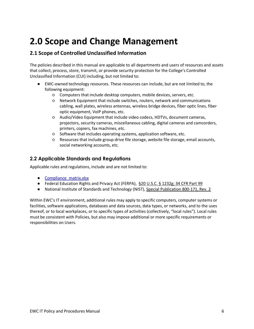## <span id="page-5-0"></span>**2.0 Scope and Change Management**

#### <span id="page-5-1"></span>**2.1 Scope of Controlled Unclassified Information**

The policies described in this manual are applicable to all departments and users of resources and assets that collect, process, store, transmit, or provide security protection for the College's Controlled Unclassified Information (CUI) including, but not limited to:

- EWC-owned technology resources. These resources can include, but are not limited to, the following equipment:
	- Computers that include desktop computers, mobile devices, servers, etc.
	- Network Equipment that include switches, routers, network and communications cabling, wall plates, wireless antennas, wireless bridge devices, fiber optic lines, fiber optic equipment, VoIP phones, etc.
	- Audio/Video Equipment that include video codecs, HDTVs, document cameras, projectors, security cameras, miscellaneous cabling, digital cameras and camcorders, printers, copiers, fax machines, etc.
	- Software that includes operating systems, application software, etc.
	- Resources that include group drive file storage, website file storage, email accounts, social networking accounts, etc.

#### <span id="page-5-2"></span>**2.2 Applicable Standards and Regulations**

Applicable rules and regulations, include and are not limited to:

- Compliance matrix.xlsx
- Federal Education Rights and Privacy Act (FERPA), [§20 U.S.C. § 1232g; 34 CFR Part 99](https://www.law.cornell.edu/uscode/text/20/1232g)
- National Institute of Standards and Technology (NIST), [Special Publication 800-171, Rev. 2](https://nvlpubs.nist.gov/nistpubs/SpecialPublications/NIST.SP.800-171r2.pdf)

Within EWC's IT environment, additional rules may apply to specific computers, computer systems or facilities, software applications, databases and data sources, data types, or networks, and to the uses thereof, or to local workplaces, or to specific types of activities (collectively, "local rules"). Local rules must be consistent with Policies, but also may impose additional or more specific requirements or responsibilities on Users.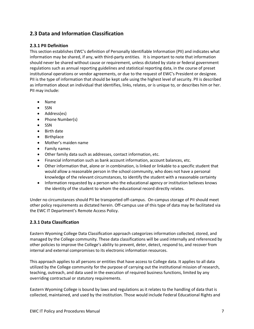#### <span id="page-6-0"></span>**2.3 Data and Information Classification**

#### **2.3.1 PII Definition**

This section establishes EWC's definition of Personally Identifiable Information (PII) and indicates what information may be shared, if any, with third‐party entities. It is important to note that information should never be shared without cause or requirement, unless dictated by state or federal government regulations such as annual reporting guidelines and statistical reporting data, in the course of preset institutional operations or vendor agreements, or due to the request of EWC's President or designee. PII is the type of information that should be kept safe using the highest level of security. PII is described as information about an individual that identifies, links, relates, or is unique to, or describes him or her. PII may include:

- Name
- SSN
- Address(es)
- Phone Number(s)
- SSN
- Birth date
- Birthplace
- Mother's maiden name
- Family names
- Other family data such as addresses, contact information, etc.
- Financial information such as bank account information, account balances, etc.
- Other information that, alone or in combination, is linked or linkable to a specific student that would allow a reasonable person in the school community, who does not have a personal knowledge of the relevant circumstances, to identify the student with a reasonable certainty
- Information requested by a person who the educational agency or institution believes knows the identity of the student to whom the educational record directly relates.

Under no circumstances should PII be transported off‐campus. On‐campus storage of PII should meet other policy requirements as dictated herein. Off‐campus use of this type of data may be facilitated via the EWC IT Department's Remote Access Policy.

#### <span id="page-6-1"></span>**2.3.1 Data Classification**

Eastern Wyoming College Data Classification approach categorizes information collected, stored, and managed by the College community. These data classifications will be used internally and referenced by other policies to improve the College's ability to prevent, deter, detect, respond to, and recover from internal and external compromises to its electronic information resources.

This approach applies to all persons or entities that have access to College data. It applies to all data utilized by the College community for the purpose of carrying out the institutional mission of research, teaching, outreach, and data used in the execution of required business functions, limited by any overriding contractual or statutory requirements.

Eastern Wyoming College is bound by laws and regulations as it relates to the handling of data that is collected, maintained, and used by the institution. Those would include Federal Educational Rights and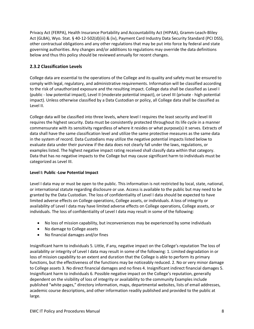Privacy Act (FERPA), Health Insurance Portability and Accountability Act (HIPAA), Gramm-Leach-Bliley Act (GLBA), Wyo. Stat. § 40-12-502(d)(iii) & (iv), Payment Card Industry Data Security Standard (PCI DSS), other contractual obligations and any other regulations that may be put into force by federal and state governing authorities. Any changes and/or additions to regulations may override the data definitions below and thus this policy should be reviewed annually for recent changes.

#### <span id="page-7-0"></span>**2.3.2 Classification Levels**

College data are essential to the operations of the College and its quality and safety must be ensured to comply with legal, regulatory, and administrative requirements. Information will be classified according to the risk of unauthorized exposure and the resulting impact. College data shall be classified as Level I (public - low potential impact), Level II (moderate potential impact), or Level III (private - high potential impact). Unless otherwise classified by a Data Custodian or policy, all College data shall be classified as Level II.

College data will be classified into three levels, where level I requires the least security and level III requires the highest security. Data must be consistently protected throughout its life cycle in a manner commensurate with its sensitivity regardless of where it resides or what purpose(s) it serves. Extracts of data shall have the same classification level and utilize the same protective measures as the same data in the system of record. Data Custodians may utilize the negative potential impacts listed below to evaluate data under their purview if the data does not clearly fall under the laws, regulations, or examples listed. The highest negative impact rating received shall classify data within that category. Data that has no negative impacts to the College but may cause significant harm to individuals must be categorized as Level III.

#### **Level I: Public -Low Potential Impact**

Level I data may or must be open to the public. This information is not restricted by local, state, national, or international statute regarding disclosure or use. Access is available to the public but may need to be granted by the Data Custodian. The loss of confidentiality of Level I data should be expected to have limited adverse effects on College operations, College assets, or individuals. A loss of integrity or availability of Level I data may have limited adverse effects on College operations, College assets, or individuals. The loss of confidentiality of Level I data may result in some of the following:

- No loss of mission capability, but inconveniences may be experienced by some individuals
- No damage to College assets
- No financial damages and/or fines

Insignificant harm to individuals 5. Little, if any, negative impact on the College's reputation The loss of availability or integrity of Level I data may result in some of the following: 1. Limited degradation in or loss of mission capability to an extent and duration that the College is able to perform its primary functions, but the effectiveness of the functions may be noticeably reduced. 2. No or very minor damage to College assets 3. No direct financial damages and no fines 4. Insignificant indirect financial damages 5. Insignificant harm to individuals 6. Possible negative impact on the College's reputation, generally dependent on the visibility of loss of integrity or availability to the community Examples include published "white pages," directory information, maps, departmental websites, lists of email addresses, academic course descriptions, and other information readily published and provided to the public at large.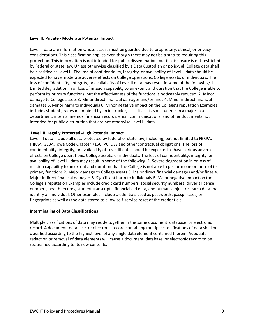#### **Level II: Private - Moderate Potential Impact**

Level II data are information whose access must be guarded due to proprietary, ethical, or privacy considerations. This classification applies even though there may not be a statute requiring this protection. This information is not intended for public dissemination, but its disclosure is not restricted by Federal or state law. Unless otherwise classified by a Data Custodian or policy, all College data shall be classified as Level II. The loss of confidentiality, integrity, or availability of Level II data should be expected to have moderate adverse effects on College operations, College assets, or individuals. The loss of confidentiality, integrity, or availability of Level II data may result in some of the following: 1. Limited degradation in or loss of mission capability to an extent and duration that the College is able to perform its primary functions, but the effectiveness of the functions is noticeably reduced. 2. Minor damage to College assets 3. Minor direct financial damages and/or fines 4. Minor indirect financial damages 5. Minor harm to individuals 6. Minor negative impact on the College's reputation Examples includes student grades maintained by an instructor, class lists, lists of students in a major in a department, internal memos, financial records, email communications, and other documents not intended for public distribution that are not otherwise Level III data.

#### **Level III: Legally Protected -High Potential Impact**

Level III data include all data protected by federal or state law, including, but not limited to FERPA, HIPAA, GLBA, Iowa Code Chapter 715C, PCI DSS and other contractual obligations. The loss of confidentiality, integrity, or availability of Level III data should be expected to have serious adverse effects on College operations, College assets, or individuals. The loss of confidentiality, integrity, or availability of Level III data may result in some of the following: 1. Severe degradation in or loss of mission capability to an extent and duration that the College is not able to perform one or more of its primary functions 2. Major damage to College assets 3. Major direct financial damages and/or fines 4. Major indirect financial damages 5. Significant harm to individuals 6. Major negative impact on the College's reputation Examples include credit card numbers, social security numbers, driver's license numbers, health records, student transcripts, financial aid data, and human subject research data that identify an individual. Other examples include credentials used as passwords, passphrases, or fingerprints as well as the data stored to allow self-service reset of the credentials.

#### **Intermingling of Data Classifications**

<span id="page-8-0"></span>Multiple classifications of data may reside together in the same document, database, or electronic record. A document, database, or electronic record containing multiple classifications of data shall be classified according to the highest level of any single data element contained therein. Adequate redaction or removal of data elements will cause a document, database, or electronic record to be reclassified according to its new contents.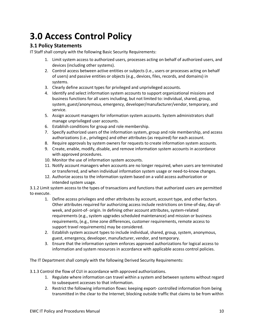# **3.0 Access Control Policy**

#### **3.1 Policy Statements**

IT Staff shall comply with the following Basic Security Requirements:

- 1. Limit system access to authorized users, processes acting on behalf of authorized users, and devices (including other systems).
- 2. Control access between active entities or subjects (i.e., users or processes acting on behalf of users) and passive entities or objects (e.g., devices, files, records, and domains) in systems.
- 3. Clearly define account types for privileged and unprivileged accounts.
- 4. Identify and select information system accounts to support organizational missions and business functions for all users including, but not limited to: individual, shared, group, system, guest/anonymous, emergency, developer/manufacturer/vendor, temporary, and service.
- 5. Assign account managers for information system accounts. System administrators shall manage unprivileged user accounts.
- 6. Establish conditions for group and role membership.
- 7. Specify authorized users of the information system, group and role membership, and access authorizations (i.e., privileges) and other attributes (as required) for each account.
- 8. Require approvals by system owners for requests to create information system accounts.
- 9. Create, enable, modify, disable, and remove information system accounts in accordance with approved procedures.
- 10. Monitor the use of information system accounts.
- 11. Notify account managers when accounts are no longer required, when users are terminated or transferred, and when individual information system usage or need-to-know changes.
- 12. Authorize access to the information system based on a valid access authorization or intended system usage.

3.1.2 Limit system access to the types of transactions and functions that authorized users are permitted to execute.

- 1. Define access privileges and other attributes by account, account type, and other factors. Other attributes required for authorizing access include restrictions on time-of-day, day-ofweek, and point-of- origin. In defining other account attributes, system-related requirements (e.g., system upgrades scheduled maintenance) and mission or business requirements, (e.g., time zone differences, customer requirements, remote access to support travel requirements) may be considered.
- 2. Establish system account types to include individual, shared, group, system, anonymous, guest, emergency, developer, manufacturer, vendor, and temporary.
- 3. Ensure that the information system enforces approved authorizations for logical access to information and system resources in accordance with applicable access control policies.

The IT Department shall comply with the following Derived Security Requirements:

3.1.3 Control the flow of CUI in accordance with approved authorizations.

- 1. Regulate where information can travel within a system and between systems without regard to subsequent accesses to that information.
- 2. Restrict the following information flows: keeping export- controlled information from being transmitted in the clear to the Internet; blocking outside traffic that claims to be from within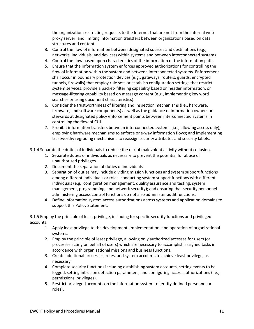the organization; restricting requests to the Internet that are not from the internal web proxy server; and limiting information transfers between organizations based on data structures and content.

- 3. Control the flow of information between designated sources and destinations (e.g., networks, individuals, and devices) within systems and between interconnected systems.
- 4. Control the flow based upon characteristics of the information or the information path.
- 5. Ensure that the information system enforces approved authorizations for controlling the flow of information within the system and between interconnected systems. Enforcement shall occur in boundary protection devices (e.g., gateways, routers, guards, encrypted tunnels, firewalls) that employ rule sets or establish configuration settings that restrict system services, provide a packet- filtering capability based on header information, or message-filtering capability based on message content (e.g., implementing key word searches or using document characteristics).
- 6. Consider the trustworthiness of filtering and inspection mechanisms (i.e., hardware, firmware, and software components) as well as the guidance of information owners or stewards at designated policy enforcement points between interconnected systems in controlling the flow of CUI.
- 7. Prohibit information transfers between interconnected systems (i.e., allowing access only); employing hardware mechanisms to enforce one-way information flows; and implementing trustworthy regrading mechanisms to reassign security attributes and security labels.

3.1.4 Separate the duties of individuals to reduce the risk of malevolent activity without collusion.

- 1. Separate duties of individuals as necessary to prevent the potential for abuse of unauthorized privileges.
- 2. Document the separation of duties of individuals.
- 3. Separation of duties may include dividing mission functions and system support functions among different individuals or roles; conducting system support functions with different individuals (e.g., configuration management, quality assurance and testing, system management, programming, and network security); and ensuring that security personnel administering access control functions do not also administer audit functions.
- 4. Define information system access authorizations across systems and application domains to support this Policy Statement.

3.1.5 Employ the principle of least privilege, including for specific security functions and privileged accounts.

- 1. Apply least privilege to the development, implementation, and operation of organizational systems.
- 2. Employ the principle of least privilege, allowing only authorized accesses for users (or processes acting on behalf of users) which are necessary to accomplish assigned tasks in accordance with organizational missions and business functions.
- 3. Create additional processes, roles, and system accounts to achieve least privilege, as necessary.
- 4. Complete security functions including establishing system accounts, setting events to be logged, setting intrusion detection parameters, and configuring access authorizations (i.e., permissions, privileges).
- 5. Restrict privileged accounts on the information system to [entity defined personnel or roles].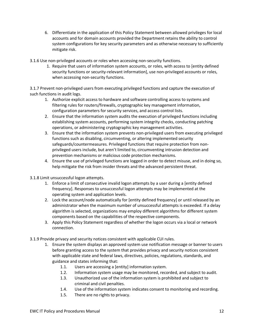- 6. Differentiate in the application of this Policy Statement between allowed privileges for local accounts and for domain accounts provided the Department retains the ability to control system configurations for key security parameters and as otherwise necessary to sufficiently mitigate risk.
- 3.1.6 Use non-privileged accounts or roles when accessing non-security functions.
	- 1. Require that users of information system accounts, or roles, with access to [entity defined security functions or security-relevant information], use non-privileged accounts or roles, when accessing non-security functions.

3.1.7 Prevent non-privileged users from executing privileged functions and capture the execution of such functions in audit logs.

- 1. Authorize explicit access to hardware and software controlling access to systems and filtering rules for routers/firewalls, cryptographic key management information, configuration parameters for security services, and access control lists.
- 2. Ensure that the information system audits the execution of privileged functions including establishing system accounts, performing system integrity checks, conducting patching operations, or administering cryptographic key management activities.
- 3. Ensure that the information system prevents non-privileged users from executing privileged functions such as disabling, circumventing, or altering implemented security safeguards/countermeasures. Privileged functions that require protection from nonprivileged users include, but aren't limited to, circumventing intrusion detection and prevention mechanisms or malicious code protection mechanisms.
- 4. Ensure the use of privileged functions are logged in order to detect misuse, and in doing so, help mitigate the risk from insider threats and the advanced persistent threat.
- 3.1.8 Limit unsuccessful logon attempts.
	- 1. Enforce a limit of consecutive invalid logon attempts by a user during a [entity defined frequency]. Responses to unsuccessful logon attempts may be implemented at the operating system and application levels.
	- 2. Lock the account/node automatically for [entity defined frequency] or until released by an administrator when the maximum number of unsuccessful attempts is exceeded. If a delay algorithm is selected, organizations may employ different algorithms for different system components based on the capabilities of the respective components.
	- 3. Apply this Policy Statement regardless of whether the logon occurs via a local or network connection.
- 3.1.9 Provide privacy and security notices consistent with applicable CUI rules.
	- 1. Ensure the system displays an approved system use notification message or banner to users before granting access to the system that provides privacy and security notices consistent with applicable state and federal laws, directives, policies, regulations, standards, and guidance and states informing that:
		- 1.1. Users are accessing a [entity] information system.
		- 1.2. Information system usage may be monitored, recorded, and subject to audit.
		- 1.3. Unauthorized use of the information system is prohibited and subject to criminal and civil penalties.
		- 1.4. Use of the information system indicates consent to monitoring and recording.
		- 1.5. There are no rights to privacy.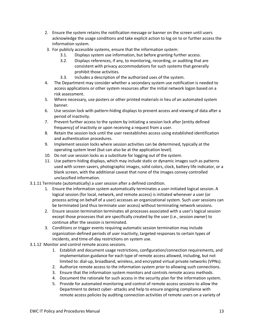- 2. Ensure the system retains the notification message or banner on the screen until users acknowledge the usage conditions and take explicit action to log on to or further access the information system.
- 3. For publicly accessible systems, ensure that the information system:
	- 3.1. Displays system use information, but before granting further access.
	- 3.2. Displays references, if any, to monitoring, recording, or auditing that are consistent with privacy accommodations for such systems that generally prohibit those activities.
	- 3.3. Includes a description of the authorized uses of the system.
- 4. The Department may consider whether a secondary system use notification is needed to access applications or other system resources after the initial network logon based on a risk assessment.
- 5. Where necessary, use posters or other printed materials in lieu of an automated system banner.
- 6. Use session lock with pattern-hiding displays to prevent access and viewing of data after a period of inactivity.
- 7. Prevent further access to the system by initiating a session lock after [entity defined frequency] of inactivity or upon receiving a request from a user.
- 8. Retain the session lock until the user reestablishes access using established identification and authentication procedures.
- 9. Implement session locks where session activities can be determined, typically at the operating system level (but can also be at the application level).
- 10. Do not use session locks as a substitute for logging out of the system.
- 11. Use pattern-hiding displays, which may include static or dynamic images such as patterns used with screen savers, photographic images, solid colors, clock, battery life indicator, or a blank screen, with the additional caveat that none of the images convey controlled unclassified information.

#### 3.1.11 Terminate (automatically) a user session after a defined condition.

- 1. Ensure the information system automatically terminates a user-initiated logical session. A logical session (for local, network, and remote access) is initiated whenever a user (or process acting on behalf of a user) accesses an organizational system. Such user sessions can be terminated (and thus terminate user access) without terminating network sessions.
- 2. Ensure session termination terminates all processes associated with a user's logical session except those processes that are specifically created by the user (i.e., session owner) to continue after the session is terminated.
- 3. Conditions or trigger events requiring automatic session termination may include organization-defined periods of user inactivity, targeted responses to certain types of incidents, and time-of-day restrictions on system use.
- 3.1.12 Monitor and control remote access sessions.
	- 1. Establish and document usage restrictions, configuration/connection requirements, and implementation guidance for each type of remote access allowed, including, but not limited to: dial-up, broadband, wireless, and encrypted virtual private networks (VPNs).
	- 2. Authorize remote access to the information system prior to allowing such connections.
	- 3. Ensure that the information system monitors and controls remote access methods.
	- 4. Document the rationale for such access in the security plan for the information system.
	- 5. Provide for automated monitoring and control of remote access sessions to allow the Department to detect cyber- attacks and help to ensure ongoing compliance with remote access policies by auditing connection activities of remote users on a variety of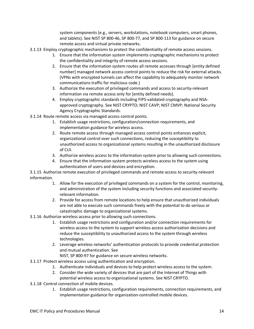system components (e.g., servers, workstations, notebook computers, smart phones, and tablets). See NIST SP 800-46, SP 800-77, and SP 800-113 for guidance on secure remote access and virtual private networks.

- 3.1.13 Employ cryptographic mechanisms to protect the confidentiality of remote access sessions.
	- 1. Ensure that the information system implements cryptographic mechanisms to protect the confidentiality and integrity of remote access sessions.
	- 2. Ensure that the information system routes all remote accesses through [entity defined number] managed network access control points to reduce the risk for external attacks. (VPNs with encrypted tunnels can affect the capability to adequately monitor network communications traffic for malicious code.)
	- 3. Authorize the execution of privileged commands and access to security-relevant information via remote access only for [entity defined needs].
	- 4. Employ cryptographic standards including FIPS-validated cryptography and NSAapproved cryptography. See NIST CRYPTO; NIST CAVP; NIST CMVP; National Security Agency Cryptographic Standards.
- 3.1.14 Route remote access via managed access control points.
	- 1. Establish usage restrictions, configuration/connection requirements, and implementation guidance for wireless access.
	- 2. Route remote access through managed access control points enhances explicit, organizational control over such connections, reducing the susceptibility to unauthorized access to organizational systems resulting in the unauthorized disclosure of CUI.
	- 3. Authorize wireless access to the information system prior to allowing such connections.
	- 4. Ensure that the information system protects wireless access to the system using authentication of users and devices and encryption.

3.1.15 Authorize remote execution of privileged commands and remote access to security-relevant information.

- 1. Allow for the execution of privileged commands on a system for the control, monitoring, and administration of the system including security functions and associated securityrelevant information.
- 2. Provide for access from remote locations to help ensure that unauthorized individuals are not able to execute such commands freely with the potential to do serious or catastrophic damage to organizational systems.
- 3.1.16 Authorize wireless access prior to allowing such connections.
	- 1. Establish usage restrictions and configuration and/or connection requirements for wireless access to the system to support wireless access authorization decisions and reduce the susceptibility to unauthorized access to the system through wireless technologies.
	- 2. Leverage wireless networks' authentication protocols to provide credential protection and mutual authentication. See
		- NIST, SP 800-97 for guidance on secure wireless networks.
- 3.1.17 Protect wireless access using authentication and encryption.
	- 1. Authenticate individuals and devices to help protect wireless access to the system.
	- 2. Consider the wide variety of devices that are part of the Internet of Things with potential wireless access to organizational systems. See NIST CRYPTO.
- 3.1.18 Control connection of mobile devices.
	- 1. Establish usage restrictions, configuration requirements, connection requirements, and implementation guidance for organization-controlled mobile devices.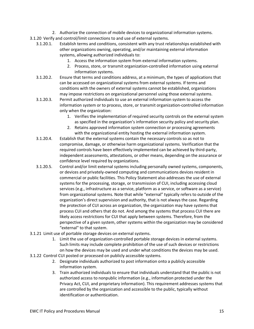- 2. Authorize the connection of mobile devices to organizational information systems.
- 3.1.20 Verify and control/limit connections to and use of external systems.
	- 3.1.20.1. Establish terms and conditions, consistent with any trust relationships established with other organizations owning, operating, and/or maintaining external information systems, allowing authorized individuals to:
		- 1. Access the information system from external information systems.
		- 2. Process, store, or transmit organization-controlled information using external information systems.
	- 3.1.20.2. Ensure that terms and conditions address, at a minimum, the types of applications that can be accessed on organizational systems from external systems. If terms and conditions with the owners of external systems cannot be established, organizations may impose restrictions on organizational personnel using those external systems.
	- 3.1.20.3. Permit authorized individuals to use an external information system to access the information system or to process, store, or transmit organization-controlled information only when the organization:
		- 1. Verifies the implementation of required security controls on the external system as specified in the organization's information security policy and security plan.
		- 2. Retains approved information system connection or processing agreements with the organizational entity hosting the external information system.
	- 3.1.20.4. Establish that the external systems contain the necessary controls so as not to compromise, damage, or otherwise harm organizational systems. Verification that the required controls have been effectively implemented can be achieved by third-party, independent assessments, attestations, or other means, depending on the assurance or confidence level required by organizations.
	- 3.1.20.5. Control and/or limit external systems including personally owned systems, components, or devices and privately-owned computing and communications devices resident in commercial or public facilities. This Policy Statement also addresses the use of external systems for the processing, storage, or transmission of CUI, including accessing cloud services (e.g., infrastructure as a service, platform as a service, or software as a service) from organizational systems. Note that while "external" typically refers to outside of the organization's direct supervision and authority, that is not always the case. Regarding the protection of CUI across an organization, the organization may have systems that process CUI and others that do not. And among the systems that process CUI there are likely access restrictions for CUI that apply between systems. Therefore, from the perspective of a given system, other systems within the organization may be considered "external" to that system.
- 3.1.21 Limit use of portable storage devices on external systems.
	- 1. Limit the use of organization-controlled portable storage devices in external systems. Such limits may include complete prohibition of the use of such devices or restrictions on how the devices may be used and under what conditions the devices may be used.
- 3.1.22 Control CUI posted or processed on publicly accessible systems.
	- 2. Designate individuals authorized to post information onto a publicly accessible information system.
	- 3. Train authorized individuals to ensure that individuals understand that the public is not authorized access to nonpublic information (e.g., information protected under the Privacy Act, CUI, and proprietary information). This requirement addresses systems that are controlled by the organization and accessible to the public, typically without identification or authentication.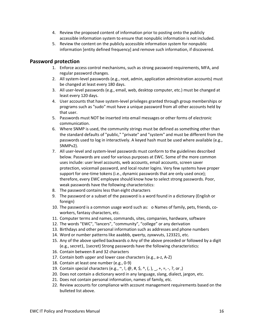- 4. Review the proposed content of information prior to posting onto the publicly accessible information system to ensure that nonpublic information is not included.
- 5. Review the content on the publicly accessible information system for nonpublic information [entity defined frequency] and remove such information, if discovered.

#### **Password protection**

- 1. Enforce access control mechanisms, such as strong password requirements, MFA, and regular password changes.
- 2. All system-level passwords (e.g., root, admin, application administration accounts) must be changed at least every 180 days.
- 3. All user-level passwords (e.g., email, web, desktop computer, etc.) must be changed at least every 120 days.
- 4. User accounts that have system-level privileges granted through group memberships or programs such as "sudo" must have a unique password from all other accounts held by that user.
- 5. Passwords must NOT be inserted into email messages or other forms of electronic communication.
- 6. Where SNMP is used, the community strings must be defined as something other than the standard defaults of "public," "private" and "system" and must be different from the passwords used to log in interactively. A keyed hash must be used where available (e.g., SNMPv2).
- 7. All user‐level and system‐level passwords must conform to the guidelines described below. Passwords are used for various purposes at EWC. Some of the more common uses include: user level accounts, web accounts, email accounts, screen saver protection, voicemail password, and local router logins. Very few systems have proper support for one-time tokens (i.e., dynamic passwords that are only used once); therefore, every EWC employee should know how to select strong passwords. Poor, weak passwords have the following characteristics:
- 8. The password contains less than eight characters
- 9. The password or a subset of the password is a word found in a dictionary (English or foreign)
- 10. The password is a common usage word such as: o Names of family, pets, friends, co‐ workers, fantasy characters, etc.
- 11. Computer terms and names, commands, sites, companies, hardware, software
- 12. The words "EWC", "lancers", "community", "college" or any derivation
- 13. Birthdays and other personal information such as addresses and phone numbers
- 14. Word or number patterns like aaabbb, qwerty, zyxwvuts, 123321, etc.
- 15. Any of the above spelled backwards o Any of the above preceded or followed by a digit (e.g., secret1, 1secret) Strong passwords have the following characteristics:
- 16. Contain between 8 and 32 characters
- 17. Contain both upper and lower case characters (e.g., a‐z, A‐Z)
- 18. Contain at least one number (e.g., 0‐9)
- 19. Contain special characters (e.g.,  $\sim$ , !,  $\omega$ , #, \$,  $\wedge$ , (, ), , +, =, -, ?, or ,)
- 20. Does not contain a dictionary word in any language, slang, dialect, jargon, etc.
- 21. Does not contain personal information, names of family, etc.
- 22. Review accounts for compliance with account management requirements based on the bulleted list above.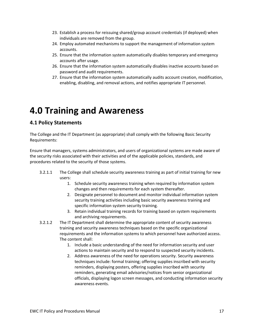- 23. Establish a process for reissuing shared/group account credentials (if deployed) when individuals are removed from the group.
- 24. Employ automated mechanisms to support the management of information system accounts.
- 25. Ensure that the information system automatically disables temporary and emergency accounts after usage.
- 26. Ensure that the information system automatically disables inactive accounts based on password and audit requirements.
- 27. Ensure that the information system automatically audits account creation, modification, enabling, disabling, and removal actions, and notifies appropriate IT personnel.

### <span id="page-16-0"></span>**4.0 Training and Awareness**

#### **4.1 Policy Statements**

The College and the IT Department (as appropriate) shall comply with the following Basic Security Requirements:

Ensure that managers, systems administrators, and users of organizational systems are made aware of the security risks associated with their activities and of the applicable policies, standards, and procedures related to the security of those systems.

- 3.2.1.1 The College shall schedule security awareness training as part of initial training for new users:
	- 1. Schedule security awareness training when required by information system changes and then requirements for each system thereafter.
	- 2. Designate personnel to document and monitor individual information system security training activities including basic security awareness training and specific information system security training.
	- 3. Retain individual training records for training based on system requirements and archiving requirements.
- 3.2.1.2 The IT Department shall determine the appropriate content of security awareness training and security awareness techniques based on the specific organizational requirements and the information systems to which personnel have authorized access. The content shall:
	- 1. Include a basic understanding of the need for information security and user actions to maintain security and to respond to suspected security incidents.
	- 2. Address awareness of the need for operations security. Security awareness techniques include: formal training; offering supplies inscribed with security reminders, displaying posters, offering supplies inscribed with security reminders, generating email advisories/notices from senior organizational officials, displaying logon screen messages, and conducting information security awareness events.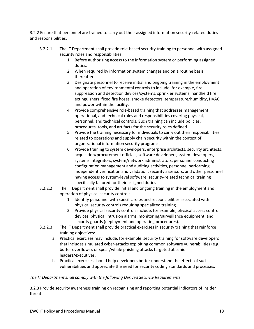3.2.2 Ensure that personnel are trained to carry out their assigned information security-related duties and responsibilities.

- 3.2.2.1 The IT Department shall provide role-based security training to personnel with assigned security roles and responsibilities:
	- 1. Before authorizing access to the information system or performing assigned duties.
	- 2. When required by information system changes and on a routine basis thereafter.
	- 3. Designate personnel to receive initial and ongoing training in the employment and operation of environmental controls to include, for example, fire suppression and detection devices/systems, sprinkler systems, handheld fire extinguishers, fixed fire hoses, smoke detectors, temperature/humidity, HVAC, and power within the facility.
	- 4. Provide comprehensive role-based training that addresses management, operational, and technical roles and responsibilities covering physical, personnel, and technical controls. Such training can include policies, procedures, tools, and artifacts for the security roles defined.
	- 5. Provide the training necessary for individuals to carry out their responsibilities related to operations and supply chain security within the context of organizational information security programs.
	- 6. Provide training to system developers, enterprise architects, security architects, acquisition/procurement officials, software developers, system developers, systems integrators, system/network administrators, personnel conducting configuration management and auditing activities, personnel performing independent verification and validation, security assessors, and other personnel having access to system-level software, security-related technical training specifically tailored for their assigned duties
- 3.2.2.2 The IT Department shall provide initial and ongoing training in the employment and operation of physical security controls:
	- 1. Identify personnel with specific roles and responsibilities associated with physical security controls requiring specialized training.
	- 2. Provide physical security controls include, for example, physical access control devices, physical intrusion alarms, monitoring/surveillance equipment, and security guards (deployment and operating procedures).
- 3.2.2.3 The IT Department shall provide practical exercises in security training that reinforce training objectives:
	- a. Practical exercises may include, for example, security training for software developers that includes simulated cyber-attacks exploiting common software vulnerabilities (e.g., buffer overflows), or spear/whale phishing attacks targeted at senior leaders/executives.
	- b. Practical exercises should help developers better understand the effects of such vulnerabilities and appreciate the need for security coding standards and processes.

#### *The IT Department shall comply with the following Derived Security Requirements:*

3.2.3 Provide security awareness training on recognizing and reporting potential indicators of insider threat.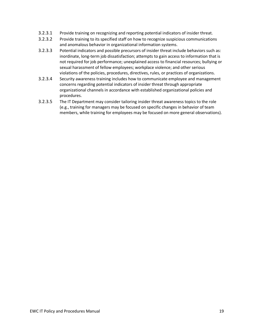- 3.2.3.1 Provide training on recognizing and reporting potential indicators of insider threat.
- 3.2.3.2 Provide training to its specified staff on how to recognize suspicious communications and anomalous behavior in organizational information systems.
- 3.2.3.3 Potential indicators and possible precursors of insider threat include behaviors such as: inordinate, long-term job dissatisfaction; attempts to gain access to information that is not required for job performance; unexplained access to financial resources; bullying or sexual harassment of fellow employees; workplace violence; and other serious violations of the policies, procedures, directives, rules, or practices of organizations.
- 3.2.3.4 Security awareness training includes how to communicate employee and management concerns regarding potential indicators of insider threat through appropriate organizational channels in accordance with established organizational policies and procedures.
- 3.2.3.5 The IT Department may consider tailoring insider threat awareness topics to the role (e.g., training for managers may be focused on specific changes in behavior of team members, while training for employees may be focused on more general observations).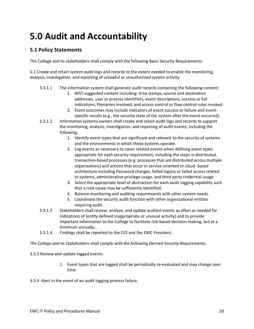## <span id="page-19-0"></span>**5.0 Audit and Accountability**

#### **5.1 Policy Statements**

The College and its stakeholders shall comply with the following Basic Security Requirements:

5.1 Create and retain system audit logs and records to the extent needed to enable the monitoring, analysis, investigation, and reporting of unlawful or unauthorized system activity.

- 3.3.1.1 The information system shall generate audit records containing the following content:
	- 1. NIST-suggested content including: time stamps, source and destination addresses, user or process identifiers, event descriptions, success or fail indications, filenames involved, and access control or flow control rules invoked.
	- 2. Event outcomes may include indicators of event success or failure and eventspecific results (e.g., the security state of the system after the event occurred).
- 3.3.1.2 Information systems owners shall create and retain audit logs and records to support the monitoring, analysis, investigation, and reporting of audit events, including the following:
	- 1. Identify event types that are significant and relevant to the security of systems and the environments in which those systems operate.
	- 2. Log events as necessary to cover related events when defining event types appropriate for each security requirement, including the steps in distributed, transaction-based processes (e.g. processes that are distributed across multiple organizations) and actions that occur in service-oriented or cloud- based architecture including Password changes, failed logons or failed access related to systems, administrative privilege usage, and third party credential usage.
	- 3. Select the appropriate level of abstraction for each audit logging capability such that a root cause may be sufficiently identified.
	- 4. Balance monitoring and auditing requirements with other system needs.
	- 5. Coordinate the security audit function with other organizational entities requiring audit.
- 3.3.1.3 Stakeholders shall review, analyze, and update audited events as often as needed for indications of [entity defined inappropriate or unusual activity] and to provide important information to the College to facilitate risk-based decision making, but at a minimum annually..
- 3.3.1.4 Findings shall be reported to the CIO and the EWC President.

*The College and its Stakeholders shall comply with the following Derived Security Requirements:*

3.3.3 Review and update logged events.

- 1. Event types that are logged shall be periodically re-evaluated and may change over time.
- 3.3.4 Alert in the event of an audit logging process failure.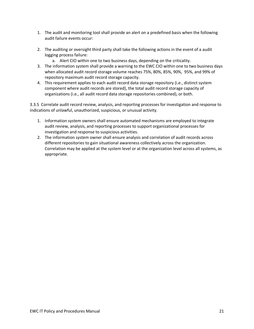- 1. The audit and monitoring tool shall provide an alert on a predefined basis when the following audit failure events occur:
- 2. The auditing or oversight third party shall take the following actions in the event of a audit logging process failure:
	- a. Alert CIO within one to two business days, depending on the criticality.
- 3. The information system shall provide a warning to the EWC CIO within one to two business days when allocated audit record storage volume reaches 75%, 80%, 85%, 90%, 95%, and 99% of repository maximum audit record storage capacity.
- 4. This requirement applies to each audit record data storage repository (i.e., distinct system component where audit records are stored), the total audit record storage capacity of organizations (i.e., all audit record data storage repositories combined), or both.

3.3.5 Correlate audit record review, analysis, and reporting processes for investigation and response to indications of unlawful, unauthorized, suspicious, or unusual activity.

- 1. Information system owners shall ensure automated mechanisms are employed to integrate audit review, analysis, and reporting processes to support organizational processes for investigation and response to suspicious activities.
- 2. The information system owner shall ensure analysis and correlation of audit records across different repositories to gain situational awareness collectively across the organization. Correlation may be applied at the system level or at the organization level across all systems, as appropriate.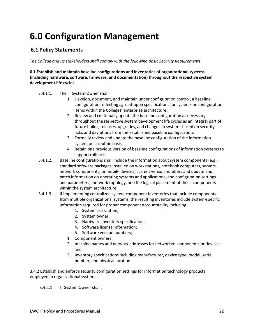### <span id="page-21-0"></span>**6.0 Configuration Management**

#### **6.1 Policy Statements**

*The College and its stakeholders shall comply with the following Basic Security Requirements:*

**6.1 Establish and maintain baseline configurations and inventories of organizational systems (including hardware, software, firmware, and documentation) throughout the respective system development life cycles.**

- 3.4.1.1. The IT System Owner shall:
	- 1. Develop, document, and maintain under configuration control, a baseline configuration reflecting agreed-upon specifications for systems or configuration items within the Colleges' enterprise architecture.
	- 2. Review and continually update the baseline configuration as necessary throughout the respective system development life cycles as an integral part of future builds, releases, upgrades, and changes to systems based on security risks and deviations from the established baseline configuration,
	- 3. Formally review and update the baseline configuration of the information system on a routine basis.
	- 4. Retain one previous version of baseline configurations of information systems to support rollback.
- 3.4.1.2. Baseline configurations shall include the information about system components (e.g., standard software packages installed on workstations, notebook computers, servers, network components, or mobile devices; current version numbers and update and patch information on operating systems and applications; and configuration settings and parameters), network topology, and the logical placement of those components within the system architecture.
- 3.4.1.3. If implementing centralized system component inventories that include components from multiple organizational systems, the resulting inventories include system-specific information required for proper component accountability including:
	- 1. System association;
	- 2. System owner;
	- 3. Hardware inventory specifications;
	- 4. Software license information;
	- 5. Software version numbers;
	- 1. Component owners;
	- 2. machine names and network addresses for networked components or devices; and
	- 3. Inventory specifications including manufacturer, device type, model, serial number, and physical location.

3.4.2 Establish and enforce security configuration settings for information technology products employed in organizational systems.

3.4.2.1 IT System Owner shall: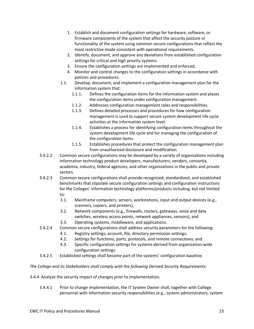- 1. Establish and document configuration settings for hardware, software, or firmware components of the system that affect the security posture or functionality of the system using common secure configurations that reflect the most restrictive mode consistent with operational requirements.
- 2. Identify, document, and approve any deviations from established configuration settings for critical and high priority systems.
- 3. Ensure the configuration settings are implemented and enforced.
- 4. Monitor and control changes to the configuration settings in accordance with policies and procedures.
- 1.1. Develop, document, and implement a configuration management plan for the information system that:
	- 1.1.1. Defines the configuration items for the information system and places the configuration items under configuration management.
	- 1.1.2. Addresses configuration management roles and responsibilities.
	- 1.1.3. Defines detailed processes and procedures for how configuration management is used to support secure system development life cycle activities at the information system level.
	- 1.1.4. Establishes a process for identifying configuration items throughout the system development life cycle and for managing the configuration of the configuration items.
	- 1.1.5. Establishes procedures that protect the configuration management plan from unauthorized disclosure and modification.
- 3.4.2.2 Common secure configurations may be developed by a variety of organizations including information technology product developers, manufacturers, vendors, consortia, academia, industry, federal agencies, and other organizations in the public and private sectors.
- 3.4.2.3 Common secure configurations shall provide recognized, standardized, and established benchmarks that stipulate secure configuration settings and configuration instructions for the Colleges' information technology platforms/products including, but not limited to:
	- 3.1. Mainframe computers, servers, workstations, input and output devices (e.g., scanners, copiers, and printers),
	- 3.2. Network components (e.g., firewalls, routers, gateways, voice and data switches, wireless access points, network appliances, sensors), and
	- 3.3. Operating systems, middleware, and applications.
- 3.4.2.4 Common secure configurations shall address security parameters for the following:
	- 4.1. Registry settings; account, file, directory permission settings;
	- 4.2. Settings for functions, ports, protocols, and remote connections; and
	- 4.3. Specific configuration settings for systems derived from organization-wide configuration settings.
- 3.4.2.5 Established settings shall become part of the systems' configuration baseline.

*The College and its Stakeholders shall comply with the following Derived Security Requirements:*

3.4.4 Analyze the security impact of changes prior to implementation.

3.4.4.1 Prior to change implementation, the IT System Owner shall, together with College personnel with information security responsibilities (e.g., system administrators, system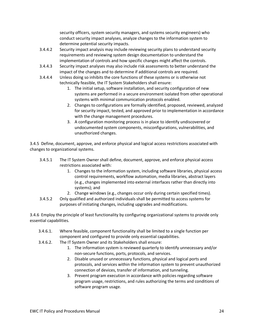security officers, system security managers, and systems security engineers) who conduct security impact analyses, analyze changes to the information system to determine potential security impacts.

- 3.4.4.2 Security impact analysis may include reviewing security plans to understand security requirements and reviewing system design documentation to understand the implementation of controls and how specific changes might affect the controls.
- 3.4.4.3 Security impact analyses may also include risk assessments to better understand the impact of the changes and to determine if additional controls are required.
- 3.4.4.4 Unless doing so inhibits the core functions of these systems or is otherwise not technically feasible, the IT System Stakeholders shall ensure:
	- 1. The initial setup, software installation, and security configuration of new systems are performed in a secure environment isolated from other operational systems with minimal communication protocols enabled.
	- 2. Changes to configurations are formally identified, proposed, reviewed, analyzed for security impact, tested, and approved prior to implementation in accordance with the change management procedures.
	- 3. A configuration monitoring process is in place to identify undiscovered or undocumented system components, misconfigurations, vulnerabilities, and unauthorized changes.

3.4.5 Define, document, approve, and enforce physical and logical access restrictions associated with changes to organizational systems.

- 3.4.5.1 The IT System Owner shall define, document, approve, and enforce physical access restrictions associated with:
	- 1. Changes to the information system, including software libraries, physical access control requirements, workflow automation, media libraries, abstract layers (e.g., changes implemented into external interfaces rather than directly into systems); and
	- 2. Change windows (e.g., changes occur only during certain specified times).
- 3.4.5.2 Only qualified and authorized individuals shall be permitted to access systems for purposes of initiating changes, including upgrades and modifications.

3.4.6 Employ the principle of least functionality by configuring organizational systems to provide only essential capabilities.

- 3.4.6.1. Where feasible, component functionality shall be limited to a single function per component and configured to provide only essential capabilities.
- 3.4.6.2. The IT System Owner and its Stakeholders shall ensure:
	- 1. The information system is reviewed quarterly to identify unnecessary and/or non-secure functions, ports, protocols, and services.
	- 2. Disable unused or unnecessary functions, physical and logical ports and protocols, and services within the information system to prevent unauthorized connection of devices, transfer of information, and tunneling.
	- 3. Prevent program execution in accordance with policies regarding software program usage, restrictions, and rules authorizing the terms and conditions of software program usage.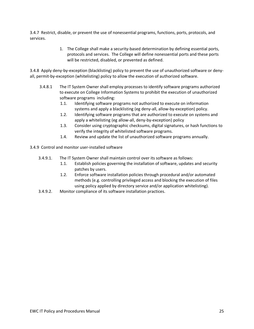3.4.7 Restrict, disable, or prevent the use of nonessential programs, functions, ports, protocols, and services.

> 1. The College shall make a security-based determination by defining essential ports, protocols and services. The College will define nonessential ports and these ports will be restricted, disabled, or prevented as defined.

3.4.8 Apply deny-by-exception (blacklisting) policy to prevent the use of unauthorized software or denyall, permit-by-exception (whitelisting) policy to allow the execution of authorized software.

- 3.4.8.1 The IT System Owner shall employ processes to identify software programs authorized to execute on College Information Systems to prohibit the execution of unauthorized software programs including:
	- 1.1. Identifying software programs not authorized to execute on information systems and apply a blacklisting (eg deny-all, allow-by-exception) policy.
	- 1.2. Identifying software programs that are authorized to execute on systems and apply a whitelisting (eg allow-all, deny-by-exception) policy
	- 1.3. Consider using cryptographic checksums, digital signatures, or hash functions to verify the integrity of whitelisted software programs.
	- 1.4. Review and update the list of unauthorized software programs annually.

3.4.9 Control and monitor user-installed software

- 3.4.9.1. The IT System Owner shall maintain control over its software as follows:
	- 1.1. Establish policies governing the installation of software, updates and security patches by users.
	- 1.2. Enforce software installation policies through procedural and/or automated methods (e.g. controlling privileged access and blocking the execution of files using policy applied by directory service and/or application whitelisting).
- 3.4.9.2. Monitor compliance of its software installation practices.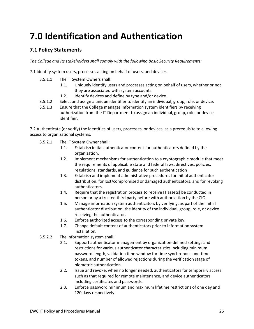## <span id="page-25-0"></span>**7.0 Identification and Authentication**

#### **7.1 Policy Statements**

*The College and its stakeholders shall comply with the following Basic Security Requirements:*

7.1 Identify system users, processes acting on behalf of users, and devices.

- 3.5.1.1 The IT System Owners shall:
	- 1.1. Uniquely identify users and processes acting on behalf of users, whether or not they are associated with system accounts.
	- 1.2. Identify devices and define by type and/or device.
- 3.5.1.2 Select and assign a unique identifier to identify an individual, group, role, or device.
- 3.5.1.3 Ensure that the College manages information system identifiers by receiving authorization from the IT Department to assign an individual, group, role, or device identifier.

7.2 Authenticate (or verify) the identities of users, processes, or devices, as a prerequisite to allowing access to organizational systems.

- 3.5.2.1 The IT System Owner shall:
	- 1.1. Establish initial authenticator content for authenticators defined by the organization.
	- 1.2. Implement mechanisms for authentication to a cryptographic module that meet the requirements of applicable state and federal laws, directives, policies, regulations, standards, and guidance for such authentication
	- 1.3. Establish and implement administrative procedures for initial authenticator distribution, for lost/compromised or damaged authenticators, and for revoking authenticators.
	- 1.4. Require that the registration process to receive IT assets] be conducted in person or by a trusted third party before with authorization by the CIO.
	- 1.5. Manage information system authenticators by verifying, as part of the initial authenticator distribution, the identity of the individual, group, role, or device receiving the authenticator.
	- 1.6. Enforce authorized access to the corresponding private key.
	- 1.7. Change default content of authenticators prior to information system installation.
- 3.5.2.2 The information system shall:
	- 2.1. Support authenticator management by organization-defined settings and restrictions for various authenticator characteristics including minimum password length, validation time window for time synchronous one-time tokens, and number of allowed rejections during the verification stage of biometric authentication.
	- 2.2. Issue and revoke, when no longer needed, authenticators for temporary access such as that required for remote maintenance, and device authenticators including certificates and passwords.
	- 2.3. Enforce password minimum and maximum lifetime restrictions of one day and 120 days respectively.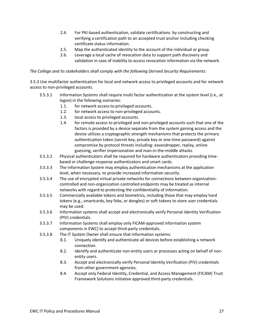- 2.4. For PKI-based authentication, validate certifications by constructing and verifying a certification path to an accepted trust anchor including checking certificate status information.
- 2.5. Map the authenticated identity to the account of the individual or group.
- 2.6. Leverage a local cache of revocation data to support path discovery and validation in case of inability to access revocation information via the network.

*The College and its stakeholders shall comply with the following Derived Security Requirements:*

3.5.3 Use multifactor authentication for local and network access to privileged accounts and for network access to non-privileged accounts.

- 3.5.3.1 Information Systems shall require multi factor authentication at the system level (i.e., at logon) in the following scenarios:
	- 1.1. for network access to privileged accounts.
	- 1.2. for network access to non-privileged accounts.
	- 1.3. local access to privileged accounts.
	- 1.4. for remote access to privileged and non-privileged accounts such that one of the factors is provided by a device separate from the system gaining access and the device utilizes a cryptographic strength mechanisms that protects the primary authentication token (secret key, private key or one-time password) against compromise by protocol threats including: eavesdropper, replay, online guessing, verifier impersonation and man-in-the-middle attacks.
- 3.5.3.2 Physical authenticators shall be required for hardware authenticators providing timebased or challenge-response authenticators and smart cards.
- 3.5.3.3 The Information System may employ authentication mechanisms at the application level, when necessary, to provide increased information security.
- 3.5.3.4 The use of encrypted virtual private networks for connections between organizationcontrolled and non-organization controlled endpoints may be treated as internal networks with regard to protecting the confidentiality of information.
- 3.5.3.5 Commercially available tokens and biometrics, including those that may employ hard tokens (e.g., smartcards, key fobs, or dongles) or soft tokens to store user credentials may be used.
- 3.5.3.6 Information systems shall accept and electronically verify Personal Identity Verification (PIV) credentials.
- 3.5.3.7 Information Systems shall employ only FICAM-approved information system components in EWC] to accept third-party credentials.
- 3.5.3.8 The IT System Owner shall ensure that information systems:
	- 8.1. Uniquely identify and authenticate all devices before establishing a network connection.
	- 8.2. Identify and authenticate non-entity users or processes acting on behalf of nonentity users.
	- 8.3. Accept and electronically verify Personal Identity Verification (PIV) credentials from other government agencies.
	- 8.4. Accept only Federal Identity, Credential, and Access Management (FICAM) Trust Framework Solutions initiative approved third-party credentials.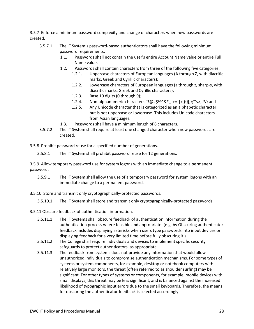3.5.7 Enforce a minimum password complexity and change of characters when new passwords are created.

- 3.5.7.1 The IT System's password-based authenticators shall have the following minimum password requirements:
	- 1.1. Passwords shall not contain the user's entire Account Name value or entire Full Name value.
	- 1.2. Passwords shall contain characters from three of the following five categories:
		- 1.2.1. Uppercase characters of European languages (A through Z, with diacritic marks, Greek and Cyrillic characters);
		- 1.2.2. Lowercase characters of European languages (a through z, sharp-s, with diacritic marks, Greek and Cyrillic characters);
		- 1.2.3. Base 10 digits (0 through 9);
		- 1.2.4. Non-alphanumeric characters  $\sim 0$  =  $\frac{1}{2}$  ( $\frac{1}{2}$ )  $\sim 1$  +=`|\(){}[1:;"' <>,.?/; and
		- 1.2.5. Any Unicode character that is categorized as an alphabetic character, but is not uppercase or lowercase. This includes Unicode characters from Asian languages.
	- 1.3. Passwords shall have a minimum length of 8 characters.
- 3.5.7.2 The IT System shall require at least one changed character when new passwords are created.

3.5.8 Prohibit password reuse for a specified number of generations.

3.5.8.1 The IT System shall prohibit password reuse for 12 generations.

3.5.9 Allow temporary password use for system logons with an immediate change to a permanent password.

- 3.5.9.1 The IT System shall allow the use of a temporary password for system logons with an immediate change to a permanent password.
- 3.5.10 Store and transmit only cryptographically-protected passwords.
	- 3.5.10.1 The IT System shall store and transmit only cryptographically-protected passwords.
- 3.5.11 Obscure feedback of authentication information.
	- 3.5.11.1 The IT Systems shall obscure feedback of authentication information during the authentication process where feasible and appropriate. (e.g. by Obscuring authenticator feedback includes displaying asterisks when users type passwords into input devices or displaying feedback for a very limited time before fully obscuring it.)
	- 3.5.11.2 The College shall require individuals and devices to implement specific security safeguards to protect authenticators, as appropriate.
	- 3.5.11.3 The feedback from systems does not provide any information that would allow unauthorized individuals to compromise authentication mechanisms. For some types of systems or system components, for example, desktop or notebook computers with relatively large monitors, the threat (often referred to as shoulder surfing) may be significant. For other types of systems or components, for example, mobile devices with small displays, this threat may be less significant, and is balanced against the increased likelihood of typographic input errors due to the small keyboards. Therefore, the means for obscuring the authenticator feedback is selected accordingly.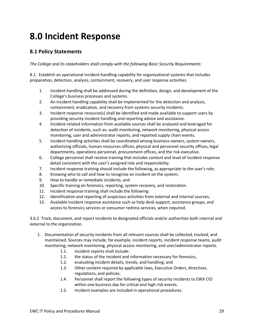### <span id="page-28-0"></span>**8.0 Incident Response**

#### **8.1 Policy Statements**

*The College and its stakeholders shall comply with the following Basic Security Requirements:*

8.1. Establish an operational incident-handling capability for organizational systems that includes preparation, detection, analysis, containment, recovery, and user response activities.

- 1. Incident handling shall be addressed during the definition, design, and development of the College's business processes and systems.
- 2. An incident handling capability shall be implemented for the detection and analysis, containment, eradication, and recovery from systems security incidents.
- 3. Incident response resource(s) shall be identified and made available to support users by providing security incident handling and reporting advice and assistance.
- 4. Incident-related information from available sources shall be analyzed and leveraged for detection of incidents, such as: audit monitoring, network monitoring, physical access monitoring, user and administrator reports, and reported supply chain events.
- 5. Incident handling activities shall be coordinated among business owners, system owners, authorizing officials, human resources offices, physical and personnel security offices, legal departments, operations personnel, procurement offices, and the risk executive.
- 6. College personnel shall receive training that includes content and level of incident response detail consistent with the user's assigned role and responsibility.
- 7. Incident response training should include the following, as appropriate to the user's role:
- 8. Knowing who to call and how to recognize an incident on the system;
- 9. How to handle or remediate incidents; and
- 10. Specific training on forensics, reporting, system recovery, and restoration.
- 11. Incident response training shall include the following:
- 12. Identification and reporting of suspicious activities from external and internal sources;
- 13. Available incident response assistance such as help desk support, assistance groups, and access to forensics services or consumer redress services, when required.

3.6.2 Track, document, and report incidents to designated officials and/or authorities both internal and external to the organization.

- 1. Documentation of security incidents from all relevant sources shall be collected, tracked, and maintained. Sources may include, for example, incident reports, incident response teams, audit monitoring, network monitoring, physical access monitoring, and user/administrator reports.
	- 1.1. Incident reports shall include:
	- 1.1. the status of the incident and information necessary for forensics,
	- 1.2. evaluating incident details, trends, and handling; and
	- 1.3. Other content required by applicable laws, Executive Orders, directives, regulations, and policies.
	- 1.4. Personnel shall report the following types of security incidents to EWX CIO within one business day for critical and high risk events.
	- 1.5. Incident examples are included in operational procedures.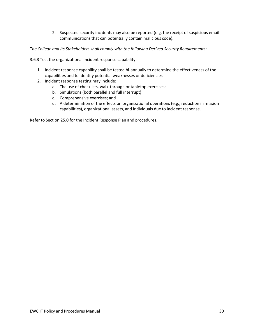2. Suspected security incidents may also be reported (e.g. the receipt of suspicious email communications that can potentially contain malicious code).

*The College and its Stakeholders shall comply with the following Derived Security Requirements:*

3.6.3 Test the organizational incident response capability.

- 1. Incident response capability shall be tested bi-annually to determine the effectiveness of the capabilities and to identify potential weaknesses or deficiencies.
- 2. Incident response testing may include:
	- a. The use of checklists, walk-through or tabletop exercises;
	- b. Simulations (both parallel and full interrupt);
	- c. Comprehensive exercises; and
	- d. A determination of the effects on organizational operations (e.g., reduction in mission capabilities), organizational assets, and individuals due to incident response.

Refer to Section 25.0 for the Incident Response Plan and procedures.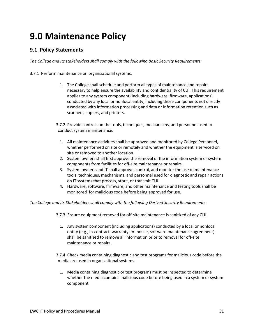### <span id="page-30-0"></span>**9.0 Maintenance Policy**

#### **9.1 Policy Statements**

*The College and its stakeholders shall comply with the following Basic Security Requirements:*

3.7.1 Perform maintenance on organizational systems.

1. The College shall schedule and perform all types of maintenance and repairs necessary to help ensure the availability and confidentiality of CUI. This requirement applies to any system component (including hardware, firmware, applications) conducted by any local or nonlocal entity, including those components not directly associated with information processing and data or information retention such as scanners, copiers, and printers.

3.7.2 Provide controls on the tools, techniques, mechanisms, and personnel used to conduct system maintenance.

- 1. All maintenance activities shall be approved and monitored by College Personnel, whether performed on site or remotely and whether the equipment is serviced on site or removed to another location.
- 2. System owners shall first approve the removal of the information system or system components from facilities for off-site maintenance or repairs.
- 3. System owners and IT shall approve, control, and monitor the use of maintenance tools, techniques, mechanisms, and personnel used for diagnostic and repair actions on IT systems that process, store, or transmit CUI.
- 4. Hardware, software, firmware, and other maintenance and testing tools shall be monitored for malicious code before being approved for use.

*The College and its Stakeholders shall comply with the following Derived Security Requirements:*

- 3.7.3 Ensure equipment removed for off-site maintenance is sanitized of any CUI.
	- 1. Any system component (including applications) conducted by a local or nonlocal entity (e.g., in-contract, warranty, in- house, software maintenance agreement) shall be sanitized to remove all information prior to removal for off-site maintenance or repairs.

3.7.4 Check media containing diagnostic and test programs for malicious code before the media are used in organizational systems.

1. Media containing diagnostic or test programs must be inspected to determine whether the media contains malicious code before being used in a system or system component.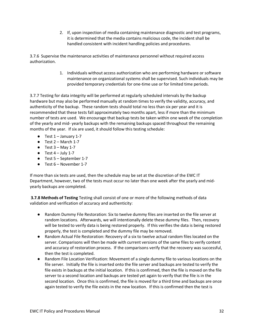2. If, upon inspection of media containing maintenance diagnostic and test programs, it is determined that the media contains malicious code, the incident shall be handled consistent with incident handling policies and procedures.

3.7.6 Supervise the maintenance activities of maintenance personnel without required access authorization.

> 1. Individuals without access authorization who are performing hardware or software maintenance on organizational systems shall be supervised. Such individuals may be provided temporary credentials for one-time use or for limited time periods.

3.7.7 Testing for data integrity will be performed at regularly scheduled intervals by the backup hardware but may also be performed manually at random times to verify the validity, accuracy, and authenticity of the backup. These random tests should total no less than six per year and it is recommended that these tests fall approximately two months apart, less if more than the minimum number of tests are used. We encourage that backup tests be taken within one week of the completion of the yearly and mid- yearly backups with the remaining backups spaced throughout the remaining months of the year. If six are used, it should follow this testing schedule:

- $\bullet$  Test 1 January 1-7
- $\bullet$  Test 2 March 1-7
- $\bullet$  Test 3 May 1-7
- $\bullet$  Test 4 July 1-7
- $\bullet$  Test 5 September 1-7
- $\bullet$  Test 6 November 1-7

If more than six tests are used, then the schedule may be set at the discretion of the EWC IT Department, however, two of the tests must occur no later than one week after the yearly and midyearly backups are completed.

**3.7.8 Methods of Testing** Testing shall consist of one or more of the following methods of data validation and verification of accuracy and authenticity:

- Random Dummy File Restoration: Six to twelve dummy files are inserted on the file server at random locations. Afterwards, we will intentionally delete these dummy files. Then, recovery will be tested to verify data is being restored properly. If this verifies the data is being restored properly, the test is completed and the dummy file may be removed.
- Random Actual File Restoration: Recovery of a six to twelve actual random files located on the server. Comparisons will then be made with current versions of the same files to verify content and accuracy of restoration process. If the comparisons verify that the recovery was successful, then the test is completed.
- Random File Location Verification: Movement of a single dummy file to various locations on the file server. Initially the file is inserted onto the file server and backups are tested to verify the file exists in backups at the initial location. If this is confirmed, then the file is moved on the file server to a second location and backups are tested yet again to verify that the file is in the second location. Once this is confirmed, the file is moved for a third time and backups are once again tested to verify the file exists in the new location. If this is confirmed then the test is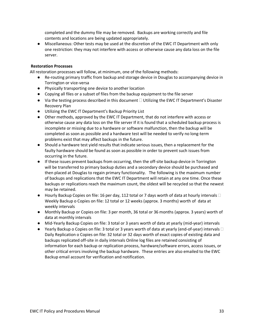completed and the dummy file may be removed. Backups are working correctly and file contents and locations are being updated appropriately.

● Miscellaneous: Other tests may be used at the discretion of the EWC IT Department with only one restriction: they may not interfere with access or otherwise cause any data loss on the file server.

#### **Restoration Processes**

All restoration processes will follow, at minimum, one of the following methods:

- Re-routing primary traffic from backup and storage device in Douglas to accompanying device in Torrington or vice-versa
- Physically transporting one device to another location
- Copying all files or a subset of files from the backup equipment to the file server
- $\bullet$  Via the testing process described in this document  $\Box$  Utilizing the EWC IT Department's Disaster Recovery Plan
- Utilizing the EWC IT Department's Backup Priority List
- Other methods, approved by the EWC IT Department, that do not interfere with access or otherwise cause any data loss on the file server If it is found that a scheduled backup process is incomplete or missing due to a hardware or software malfunction, then the backup will be completed as soon as possible and a hardware test will be needed to verify no long-term problems exist that may affect backups in the future.
- Should a hardware test yield results that indicate serious issues, then a replacement for the faulty hardware should be found as soon as possible in order to prevent such issues from occurring in the future.
- If these issues prevent backups from occurring, then the off-site backup device in Torrington will be transferred to primary backup duties and a secondary device should be purchased and then placed at Douglas to regain primary functionality. The following is the maximum number of backups and replications that the EWC IT Department will retain at any one time. Once these backups or replications reach the maximum count, the oldest will be recycled so that the newest may be retained.
- $\bullet$  Hourly Backup Copies on file: 16 per day, 112 total or 7 days worth of data at hourly intervals  $\Box$ Weekly Backup o Copies on file: 12 total or 12 weeks (approx. 3 months) worth of data at weekly intervals
- Monthly Backup or Copies on file: 3 per month, 36 total or 36 months (approx. 3 years) worth of data at monthly intervals
- Mid-Yearly Backup Copies on file: 3 total or 3 years worth of data at yearly (mid-year) intervals
- <span id="page-32-0"></span> $\bullet$  Yearly Backup o Copies on file: 3 total or 3 years worth of data at yearly (end-of-year) intervals  $\Box$ Daily Replication o Copies on file: 32 total or 32 days worth of exact copies of existing data and backups replicated off-site in daily intervals Online log files are retained consisting of information for each backup or replication process, hardware/software errors, access issues, or other critical errors involving the backup hardware. These entries are also emailed to the EWC Backup email account for verification and notification.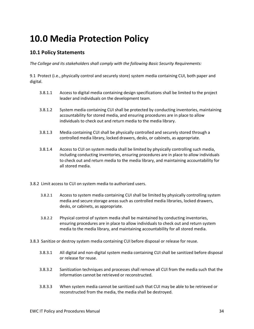### **10.0 Media Protection Policy**

#### **10.1 Policy Statements**

*The College and its stakeholders shall comply with the following Basic Security Requirements:*

9.1 Protect (i.e., physically control and securely store) system media containing CUI, both paper and digital.

- 3.8.1.1 Access to digital media containing design specifications shall be limited to the project leader and individuals on the development team.
- 3.8.1.2 System media containing CUI shall be protected by conducting inventories, maintaining accountability for stored media, and ensuring procedures are in place to allow individuals to check out and return media to the media library.
- 3.8.1.3 Media containing CUI shall be physically controlled and securely stored through a controlled media library, locked drawers, desks, or cabinets, as appropriate.
- 3.8.1.4 Access to CUI on system media shall be limited by physically controlling such media, including conducting inventories, ensuring procedures are in place to allow individuals to check out and return media to the media library, and maintaining accountability for all stored media.
- 3.8.2 Limit access to CUI on system media to authorized users.
	- 3.8.2.1 Access to system media containing CUI shall be limited by physically controlling system media and secure storage areas such as controlled media libraries, locked drawers, desks, or cabinets, as appropriate.
	- 3.8.2.2 Physical control of system media shall be maintained by conducting inventories, ensuring procedures are in place to allow individuals to check out and return system media to the media library, and maintaining accountability for all stored media.
- 3.8.3 Sanitize or destroy system media containing CUI before disposal or release for reuse.
	- 3.8.3.1 All digital and non-digital system media containing CUI shall be sanitized before disposal or release for reuse.
	- 3.8.3.2 Sanitization techniques and processes shall remove all CUI from the media such that the information cannot be retrieved or reconstructed.
	- 3.8.3.3 When system media cannot be sanitized such that CUI may be able to be retrieved or reconstructed from the media, the media shall be destroyed.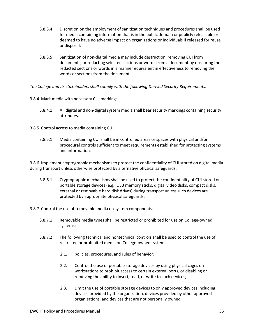- 3.8.3.4 Discretion on the employment of sanitization techniques and procedures shall be used for media containing information that is in the public domain or publicly releasable or deemed to have no adverse impact on organizations or individuals if released for reuse or disposal.
- 3.8.3.5 Sanitization of non-digital media may include destruction, removing CUI from documents, or redacting selected sections or words from a document by obscuring the redacted sections or words in a manner equivalent in effectiveness to removing the words or sections from the document.

*The College and its stakeholders shall comply with the following Derived Security Requirements:*

- 3.8.4 Mark media with necessary CUI markings.
	- 3.8.4.1 All digital and non-digital system media shall bear security markings containing security attributes.
- 3.8.5 Control access to media containing CUI.
	- 3.8.5.1 Media containing CUI shall be in controlled areas or spaces with physical and/or procedural controls sufficient to meet requirements established for protecting systems and information.

3.8.6 Implement cryptographic mechanisms to protect the confidentiality of CUI stored on digital media during transport unless otherwise protected by alternative physical safeguards.

3.8.6.1 Cryptographic mechanisms shall be used to protect the confidentiality of CUI stored on portable storage devices (e.g., USB memory sticks, digital video disks, compact disks, external or removable hard disk drives) during transport unless such devices are protected by appropriate physical safeguards.

3.8.7 Control the use of removable media on system components.

- 3.8.7.1 Removable media types shall be restricted or prohibited for use on College-owned systems:
- 3.8.7.2 The following technical and nontechnical controls shall be used to control the use of restricted or prohibited media on College-owned systems:
	- 2.1. policies, procedures, and rules of behavior;
	- 2.2. Control the use of portable storage devices by using physical cages on workstations to prohibit access to certain external ports, or disabling or removing the ability to insert, read, or write to such devices;
	- 2.3. Limit the use of portable storage devices to only approved devices including devices provided by the organization, devices provided by other approved organizations, and devices that are not personally owned;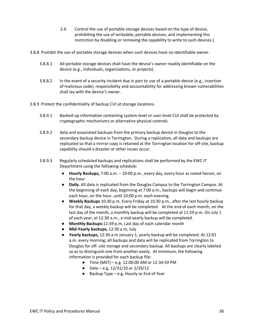- 2.4. Control the use of portable storage devices based on the type of device, prohibiting the use of writeable, portable devices, and implementing this restriction by disabling or removing the capability to write to such devices.]
- 3.8.8 Prohibit the use of portable storage devices when such devices have no identifiable owner.
	- 3.8.8.1 All portable storage devices shall have the device's owner readily identifiable on the device (e.g., individuals, organizations, or projects).
	- 3.8.8.2 In the event of a security incident due in part to use of a portable device (e.g., insertion of malicious code), responsibility and accountability for addressing known vulnerabilities shall lay with the device's owner.
- <span id="page-35-0"></span>3.8.9 Protect the confidentiality of backup CUI at storage locations.
	- 3.8.9.1 Backed-up information containing system-level or user-level CUI shall be protected by cryptographic mechanisms or alternative physical controls.
	- 3.8.9.2 data and associated backups from the primary backup device in Douglas to the secondary backup device in Torrington. During a replication, all data and backups are replicated so that a mirror copy is retained at the Torrington location for off-site, backup capability should a disaster or other issues occur.
	- 3.8.9.3 Regularly scheduled backups and replications shall be performed by the EWC IT Department using the following schedule:
		- **Hourly Backups,** 7:00 a.m. 10:00 p.m., every day, every hour as noted herein, on the hour
		- **Daily.** All data is replicated from the Douglas Campus to the Torrington Campus. At the beginning of each day, beginning at 7:00 a.m., backups will begin and continue each hour, on the hour, until 10:00 p.m. each evening.
		- **Weekly Backups** 10:30 p.m. Every Friday at 10:30 p.m., after the last hourly backup for that day, a weekly backup will be completed. At the end of each month, on the last day of the month, a monthly backup will be completed at 11:59 p.m. On July 1 of each year, at 12:30 a.m., a mid-yearly backup will be completed.
		- **Monthly Backups:**11:59 p.m, Last day of each calendar month
		- **Mid-Yearly backups,** 12:30 a.m, July
		- **Yearly backups,** 12:30 a.m January 1, yearly backup will be completed. At 12:01 a.m. every morning, all backups and data will be replicated from Torrington to Douglas for off- site storage and secondary backup. All backups are clearly labeled so as to distinguish one from another easily. At minimum, the following information is provided for each backup file:
			- Time (MST) e.g. 12:00:00 AM or 12:34:59 PM
			- Date e.g.  $12/31/10$  or  $2/29/12$
			- Backup Type e.g. Hourly or End of Year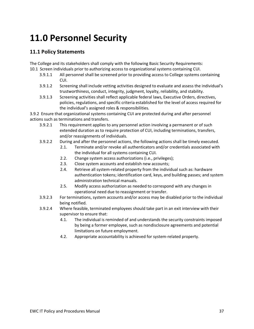# **11.0 Personnel Security**

### **11.1 Policy Statements**

The College and its stakeholders shall comply with the following Basic Security Requirements: 10.1 Screen individuals prior to authorizing access to organizational systems containing CUI.

- 3.9.1.1 All personnel shall be screened prior to providing access to College systems containing CUI.
- 3.9.1.2 Screening shall include vetting activities designed to evaluate and assess the individual's trustworthiness, conduct, integrity, judgment, loyalty, reliability, and stability.
- 3.9.1.3 Screening activities shall reflect applicable federal laws, Executive Orders, directives, policies, regulations, and specific criteria established for the level of access required for the individual's assigned roles & responsibilities.

3.9.2 Ensure that organizational systems containing CUI are protected during and after personnel actions such as terminations and transfers.

- 3.9.2.1 This requirement applies to any personnel action involving a permanent or of such extended duration as to require protection of CUI, including terminations, transfers, and/or reassignments of individuals.
- 3.9.2.2 During and after the personnel actions, the following actions shall be timely executed.
	- 2.1. Terminate and/or revoke all authenticators and/or credentials associated with the individual for all systems containing CUI.
	- 2.2. Change system access authorizations (i.e., privileges);
	- 2.3. Close system accounts and establish new accounts;
	- 2.4. Retrieve all system-related property from the individual such as: hardware authentication tokens; identification card, keys, and building passes; and system administration technical manuals.
	- 2.5. Modify access authorization as needed to correspond with any changes in operational need due to reassignment or transfer.
- 3.9.2.3 For terminations, system accounts and/or access may be disabled prior to the individual being notified.
- 3.9.2.4 Where feasible, terminated employees should take part in an exit interview with their supervisor to ensure that:
	- 4.1. The individual is reminded of and understands the security constraints imposed by being a former employee, such as nondisclosure agreements and potential limitations on future employment.
	- 4.2. Appropriate accountability is achieved for system-related property.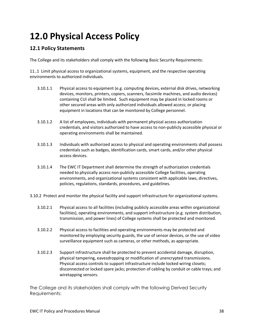# **12.0 Physical Access Policy**

### **12.1 Policy Statements**

The College and its stakeholders shall comply with the following Basic Security Requirements:

11..1 Limit physical access to organizational systems, equipment, and the respective operating environments to authorized individuals.

- 3.10.1.1 Physical access to equipment (e.g. computing devices, external disk drives, networking devices, monitors, printers, copiers, scanners, facsimile machines, and audio devices) containing CUI shall be limited. Such equipment may be placed in locked rooms or other secured areas with only authorized individuals allowed access; or placing equipment in locations that can be monitored by College personnel.
- 3.10.1.2 A list of employees, individuals with permanent physical access authorization credentials, and visitors authorized to have access to non-publicly accessible physical or operating environments shall be maintained.
- 3.10.1.3 Individuals with authorized access to physical and operating environments shall possess credentials such as badges, identification cards, smart cards, and/or other physical access devices.
- 3.10.1.4 The EWC IT Department shall determine the strength of authorization credentials needed to physically access non-publicly accessible College facilities, operating environments, and organizational systems consistent with applicable laws, directives, policies, regulations, standards, procedures, and guidelines.
- 3.10.2 Protect and monitor the physical facility and support infrastructure for organizational systems.
	- 3.10.2.1 Physical access to all facilities (including publicly accessible areas within organizational facilities), operating environments, and support infrastructure (e.g. system distribution, transmission, and power lines) of College systems shall be protected and monitored.
	- 3.10.2.2 Physical access to facilities and operating environments may be protected and monitored by employing security guards, the use of sensor devices, or the use of video surveillance equipment such as cameras, or other methods, as appropriate.
	- 3.10.2.3 Support infrastructure shall be protected to prevent accidental damage, disruption, physical tampering, eavesdropping or modification of unencrypted transmissions. Physical access controls to support infrastructure include locked wiring closets; disconnected or locked spare jacks; protection of cabling by conduit or cable trays; and wiretapping sensors.

The College and its stakeholders shall comply with the following Derived Security Requirements: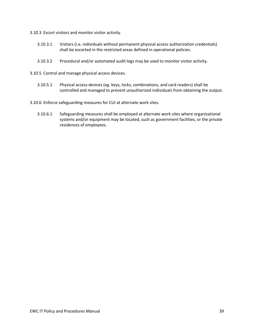3.10.3 Escort visitors and monitor visitor activity.

- 3.10.3.1 Visitors (i.e. individuals without permanent physical access authorization credentials) shall be escorted in the restricted areas defined in operational policies.
- 3.10.3.2 Procedural and/or automated audit logs may be used to monitor visitor activity.

3.10.5 Control and manage physical access devices.

3.10.5.1 Physical access devices (eg. keys, locks, combinations, and card readers) shall be controlled and managed to prevent unauthorized individuals from obtaining the output.

3.10.6 Enforce safeguarding measures for CUI at alternate work sites.

3.10.6.1 Safeguarding measures shall be employed at alternate work sites where organizational systems and/or equipment may be located, such as government facilities, or the private residences of employees.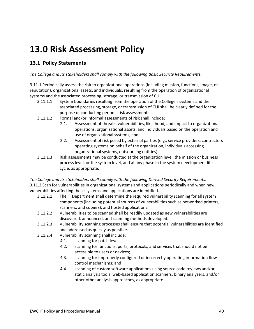# **13.0 Risk Assessment Policy**

## **13.1 Policy Statements**

#### *The College and its stakeholders shall comply with the following Basic Security Requirements:*

3.11.1 Periodically assess the risk to organizational operations (including mission, functions, image, or reputation), organizational assets, and individuals, resulting from the operation of organizational systems and the associated processing, storage, or transmission of CUI.

- 3.11.1.1 System boundaries resulting from the operation of the College's systems and the associated processing, storage, or transmission of CUI shall be clearly defined for the purpose of conducting periodic risk assessments.
- 3.11.1.2 Formal and/or informal assessments of risk shall include:
	- 2.1. Assessment of threats, vulnerabilities, likelihood, and impact to organizational operations, organizational assets, and individuals based on the operation and use of organizational systems; and
	- 2.2. Assessment of risk posed by external parties (e.g., service providers, contractors operating systems on behalf of the organization, individuals accessing organizational systems, outsourcing entities).
- 3.11.1.3 Risk assessments may be conducted at the organization level, the mission or business process level, or the system level, and at any phase in the system development life cycle, as appropriate.

*The College and its stakeholders shall comply with the following Derived Security Requirements:* 3.11.2 Scan for vulnerabilities in organizational systems and applications periodically and when new vulnerabilities affecting those systems and applications are identified.

- 3.11.2.1 The IT Department shall determine the required vulnerability scanning for all system components (including potential sources of vulnerabilities such as networked printers, scanners, and copiers), and hosted applications.
- 3.11.2.2 Vulnerabilities to be scanned shall be readily updated as new vulnerabilities are discovered, announced, and scanning methods developed.
- 3.11.2.3 Vulnerability scanning processes shall ensure that potential vulnerabilities are identified and addressed as quickly as possible.
- 3.11.2.4 Vulnerability scanning shall include:
	- 4.1. scanning for patch levels;
	- 4.2. scanning for functions, ports, protocols, and services that should not be accessible to users or devices;
	- 4.3. scanning for improperly configured or incorrectly operating information flow control mechanisms; and
	- 4.4. scanning of custom software applications using source code reviews and/or static analysis tools, web-based application scanners, binary analyzers, and/or other other analysis approaches, as appropriate.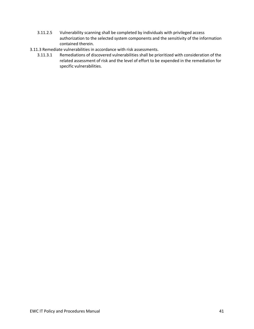- 3.11.2.5 Vulnerability scanning shall be completed by individuals with privileged access authorization to the selected system components and the sensitivity of the information contained therein.
- 3.11.3 Remediate vulnerabilities in accordance with risk assessments.
	- 3.11.3.1 Remediations of discovered vulnerabilities shall be prioritized with consideration of the related assessment of risk and the level of effort to be expended in the remediation for specific vulnerabilities.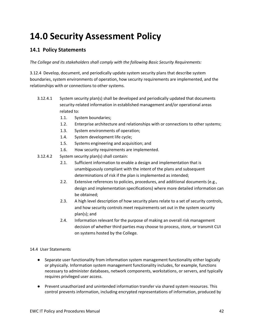# **14.0 Security Assessment Policy**

#### **14.1 Policy Statements**

*The College and its stakeholders shall comply with the following Basic Security Requirements:*

3.12.4 Develop, document, and periodically update system security plans that describe system boundaries, system environments of operation, how security requirements are implemented, and the relationships with or connections to other systems.

- 3.12.4.1 System security plan(s) shall be developed and periodically updated that documents security-related information in established management and/or operational areas related to:
	- 1.1. System boundaries;
	- 1.2. Enterprise architecture and relationships with or connections to other systems;
	- 1.3. System environments of operation;
	- 1.4. System development life cycle;
	- 1.5. Systems engineering and acquisition; and
	- 1.6. How security requirements are implemented.
- 3.12.4.2 System security plan(s) shall contain:
	- 2.1. Sufficient information to enable a design and implementation that is unambiguously compliant with the intent of the plans and subsequent determinations of risk if the plan is implemented as intended;
	- 2.2. Extensive references to policies, procedures, and additional documents (e.g., design and implementation specifications) where more detailed information can be obtained;
	- 2.3. A high level description of how security plans relate to a set of security controls, and how security controls meet requirements set out in the system security plan(s); and
	- 2.4. Information relevant for the purpose of making an overall risk management decision of whether third parties may choose to process, store, or transmit CUI on systems hosted by the College.

#### 14.4 User Statements

- Separate user functionality from information system management functionality either logically or physically. Information system management functionality includes, for example, functions necessary to administer databases, network components, workstations, or servers, and typically requires privileged user access.
- Prevent unauthorized and unintended information transfer via shared system resources. This control prevents information, including encrypted representations of information, produced by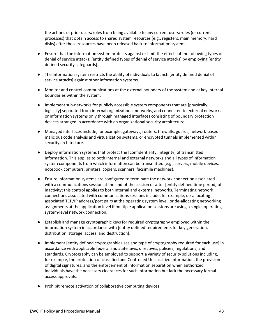the actions of prior users/roles from being available to any current users/roles (or current processes) that obtain access to shared system resources (e.g., registers, main memory, hard disks) after those resources have been released back to information systems.

- Ensure that the information system protects against or limit the effects of the following types of denial of service attacks: [entity defined types of denial of service attacks] by employing [entity defined security safeguards].
- The information system restricts the ability of individuals to launch [entity defined denial of service attacks] against other information systems.
- Monitor and control communications at the external boundary of the system and at key internal boundaries within the system.
- Implement sub-networks for publicly accessible system components that are [physically; logically] separated from internal organizational networks, and connected to external networks or information systems only through managed interfaces consisting of boundary protection devices arranged in accordance with an organizational security architecture.
- Managed interfaces include, for example, gateways, routers, firewalls, guards, network-based malicious code analysis and virtualization systems, or encrypted tunnels implemented within security architecture.
- Deploy information systems that protect the [confidentiality; integrity] of transmitted information. This applies to both internal and external networks and all types of information system components from which information can be transmitted (e.g., servers, mobile devices, notebook computers, printers, copiers, scanners, facsimile machines).
- Ensure information systems are configured to terminate the network connection associated with a communications session at the end of the session or after [entity defined time period] of inactivity; this control applies to both internal and external networks. Terminating network connections associated with communications sessions include, for example, de-allocating associated TCP/IP address/port pairs at the operating system level, or de-allocating networking assignments at the application level if multiple application sessions are using a single, operating system-level network connection.
- Establish and manage cryptographic keys for required cryptography employed within the information system in accordance with [entity defined requirements for key generation, distribution, storage, access, and destruction].
- Implement [entity defined cryptographic uses and type of cryptography required for each use] in accordance with applicable federal and state laws, directives, policies, regulations, and standards. Cryptography can be employed to support a variety of security solutions including, for example, the protection of classified and Controlled Unclassified Information, the provision of digital signatures, and the enforcement of information separation when authorized individuals have the necessary clearances for such information but lack the necessary formal access approvals.
- Prohibit remote activation of collaborative computing devices.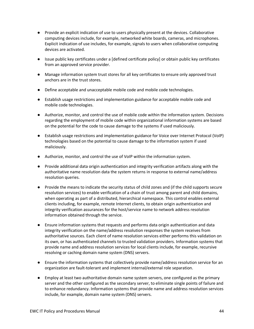- Provide an explicit indication of use to users physically present at the devices. Collaborative computing devices include, for example, networked white boards, cameras, and microphones. Explicit indication of use includes, for example, signals to users when collaborative computing devices are activated.
- Issue public key certificates under a [defined certificate policy] or obtain public key certificates from an approved service provider.
- Manage information system trust stores for all key certificates to ensure only approved trust anchors are in the trust stores.
- Define acceptable and unacceptable mobile code and mobile code technologies.
- Establish usage restrictions and implementation guidance for acceptable mobile code and mobile code technologies.
- Authorize, monitor, and control the use of mobile code within the information system. Decisions regarding the employment of mobile code within organizational information systems are based on the potential for the code to cause damage to the systems if used maliciously.
- Establish usage restrictions and implementation guidance for Voice over Internet Protocol (VoIP) technologies based on the potential to cause damage to the information system if used maliciously.
- Authorize, monitor, and control the use of VoIP within the information system.
- Provide additional data origin authentication and integrity verification artifacts along with the authoritative name resolution data the system returns in response to external name/address resolution queries.
- Provide the means to indicate the security status of child zones and (if the child supports secure resolution services) to enable verification of a chain of trust among parent and child domains, when operating as part of a distributed, hierarchical namespace. This control enables external clients including, for example, remote Internet clients, to obtain origin authentication and integrity verification assurances for the host/service name to network address resolution information obtained through the service.
- Ensure information systems that requests and performs data origin authentication and data integrity verification on the name/address resolution responses the system receives from authoritative sources. Each client of name resolution services either performs this validation on its own, or has authenticated channels to trusted validation providers. Information systems that provide name and address resolution services for local clients include, for example, recursive resolving or caching domain name system (DNS) servers.
- Ensure the information systems that collectively provide name/address resolution service for an organization are fault-tolerant and implement internal/external role separation.
- Employ at least two authoritative domain name system servers, one configured as the primary server and the other configured as the secondary server, to eliminate single points of failure and to enhance redundancy. Information systems that provide name and address resolution services include, for example, domain name system (DNS) servers.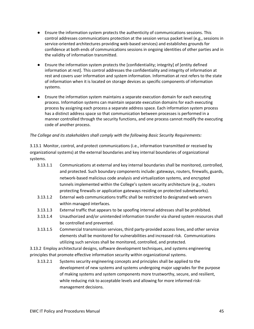- Ensure the information system protects the authenticity of communications sessions. This control addresses communications protection at the session versus packet level (e.g., sessions in service-oriented architectures providing web-based services) and establishes grounds for confidence at both ends of communications sessions in ongoing identities of other parties and in the validity of information transmitted.
- Ensure the information system protects the [confidentiality; integrity] of [entity defined information at rest]. This control addresses the confidentiality and integrity of information at rest and covers user information and system information. Information at rest refers to the state of information when it is located on storage devices as specific components of information systems.
- Ensure the information system maintains a separate execution domain for each executing process. Information systems can maintain separate execution domains for each executing process by assigning each process a separate address space. Each information system process has a distinct address space so that communication between processes is performed in a manner controlled through the security functions, and one process cannot modify the executing code of another process.

#### *The College and its stakeholders shall comply with the following Basic Security Requirements:*

3.13.1 Monitor, control, and protect communications (i.e., information transmitted or received by organizational systems) at the external boundaries and key internal boundaries of organizational systems.

- 3.13.1.1 Communications at external and key internal boundaries shall be monitored, controlled, and protected. Such boundary components include: gateways, routers, firewalls, guards, network-based malicious code analysis and virtualization systems, and encrypted tunnels implemented within the College's system security architecture (e.g., routers protecting firewalls or application gateways residing on protected subnetworks).
- 3.13.1.2 External web communications traffic shall be restricted to designated web servers within managed interfaces.
- 3.13.1.3 External traffic that appears to be spoofing internal addresses shall be prohibited.
- 3.13.1.4 Unauthorized and/or unintended information transfer via shared system resources shall be controlled and prevented.
- 3.13.1.5 Commercial transmission services, third party-provided access lines, and other service elements shall be monitored for vulnerabilities and increased risk. Communications utilizing such services shall be monitored, controlled, and protected.
- 3.13.2 Employ architectural designs, software development techniques, and systems engineering principles that promote effective information security within organizational systems.
	- 3.13.2.1 Systems security engineering concepts and principles shall be applied to the development of new systems and systems undergoing major upgrades for the purpose of making systems and system components more trustworthy, secure, and resilient, while reducing risk to acceptable levels and allowing for more informed riskmanagement decisions.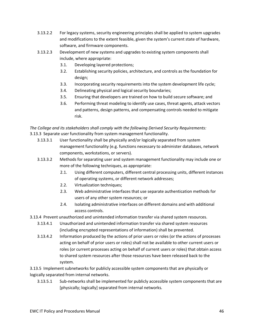- 3.13.2.2 For legacy systems, security engineering principles shall be applied to system upgrades and modifications to the extent feasible, given the system's current state of hardware, software, and firmware components.
- 3.13.2.3 Development of new systems and upgrades to existing system components shall include, where appropriate:
	- 3.1. Developing layered protections;
	- 3.2. Establishing security policies, architecture, and controls as the foundation for design;
	- 3.3. Incorporating security requirements into the system development life cycle;
	- 3.4. Delineating physical and logical security boundaries;
	- 3.5. Ensuring that developers are trained on how to build secure software; and
	- 3.6. Performing threat modeling to identify use cases, threat agents, attack vectors and patterns, design patterns, and compensating controls needed to mitigate risk.

*The College and its stakeholders shall comply with the following Derived Security Requirements:* 3.13.3 Separate user functionality from system management functionality.

- 3.13.3.1 User functionality shall be physically and/or logically separated from system management functionality (e.g. functions necessary to administer databases, network components, workstations, or servers).
- 3.13.3.2 Methods for separating user and system management functionality may include one or more of the following techniques, as appropriate:
	- 2.1. Using different computers, different central processing units, different instances of operating systems, or different network addresses;
	- 2.2. Virtualization techniques;
	- 2.3. Web administrative interfaces that use separate authentication methods for users of any other system resources; or
	- 2.4. Isolating administrative interfaces on different domains and with additional access controls.
- 3.13.4 Prevent unauthorized and unintended information transfer via shared system resources.
	- 3.13.4.1 Unauthorized and unintended information transfer via shared system resources (including encrypted representations of information) shall be prevented.
	- 3.13.4.2 Information produced by the actions of prior users or roles (or the actions of processes acting on behalf of prior users or roles) shall not be available to other current users or roles (or current processes acting on behalf of current users or roles) that obtain access to shared system resources after those resources have been released back to the system.

3.13.5 Implement subnetworks for publicly accessible system components that are physically or logically separated from internal networks.

3.13.5.1 Sub-networks shall be implemented for publicly accessible system components that are [physically; logically] separated from internal networks.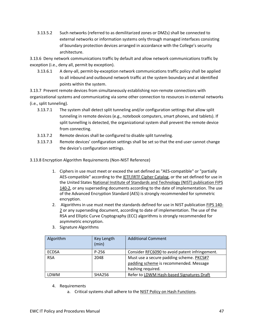3.13.5.2 Such networks (referred to as demilitarized zones or DMZs) shall be connected to external networks or information systems only through managed interfaces consisting of boundary protection devices arranged in accordance with the College's security architecture.

3.13.6 Deny network communications traffic by default and allow network communications traffic by exception (i.e., deny all, permit by exception).

3.13.6.1 A deny-all, permit-by-exception network communications traffic policy shall be applied to all inbound and outbound network traffic at the system boundary and at identified points within the system.

3.13.7 Prevent remote devices from simultaneously establishing non-remote connections with organizational systems and communicating via some other connection to resources in external networks (i.e., split tunneling).

- 3.13.7.1 The system shall detect split tunneling and/or configuration settings that allow split tunneling in remote devices (e.g., notebook computers, smart phones, and tablets). If split tunnelling is detected, the organizational system shall prevent the remote device from connecting.
- 3.13.7.2 Remote devices shall be configured to disable split tunneling.
- 3.13.7.3 Remote devices' configuration settings shall be set so that the end user cannot change the device's configuration settings.

3.13.8 Encryption Algorithm Requirements (Non-NIST Reference)

- 1. Ciphers in use must meet or exceed the set defined as "AES-compatible" or "partially AES-compatible" according to the [IETF/IRTF Cipher Catalog,](http://tools.ietf.org/html/draft-irtf-cfrg-cipher-catalog-01#section-3.1) or the set defined for use in the United States [National Institute of Standards and Technology \(NIST\) publication FIPS](http://csrc.nist.gov/groups/STM/cmvp/documents/140-1/1401val2010.htm)  [140-2,](http://csrc.nist.gov/groups/STM/cmvp/documents/140-1/1401val2010.htm) or any superseding documents according to the date of implementation. The use of the Advanced Encryption Standard (AES) is strongly recommended for symmetric encryption.
- 2. Algorithms in use must meet the standards defined for use in NIST publication [FIPS 140-](http://csrc.nist.gov/groups/STM/cmvp/documents/140-1/1401val2010.htm) [2](http://csrc.nist.gov/groups/STM/cmvp/documents/140-1/1401val2010.htm) or any superseding document, according to date of implementation. The use of the RSA and Elliptic Curve Cryptography (ECC) algorithms is strongly recommended for asymmetric encryption.

| Algorithm    | Key Length<br>(min) | <b>Additional Comment</b>                                                                               |
|--------------|---------------------|---------------------------------------------------------------------------------------------------------|
| <b>ECDSA</b> | $P-256$             | Consider RFC6090 to avoid patent infringement.                                                          |
| <b>RSA</b>   | 2048                | Must use a secure padding scheme. PKCS#7<br>padding scheme is recommended. Message<br>hashing required. |
| LDWM         | <b>SHA256</b>       | Refer to LDWM Hash-based Signatures Draft                                                               |

3. Signature Algorithms

- 4. Requirements
	- a. Critical systems shall adhere to the [NIST Policy on Hash Functions.](http://csrc.nist.gov/groups/ST/hash/policy.html)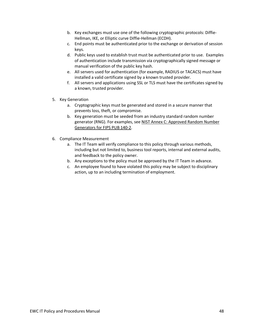- b. Key exchanges must use one of the following cryptographic protocols: Diffie-Hellman, IKE, or Elliptic curve Diffie-Hellman (ECDH).
- c. End points must be authenticated prior to the exchange or derivation of session keys.
- d. Public keys used to establish trust must be authenticated prior to use. Examples of authentication include transmission via cryptographically signed message or manual verification of the public key hash.
- e. All servers used for authentication (for example, RADIUS or TACACS) must have installed a valid certificate signed by a known trusted provider.
- f. All servers and applications using SSL or TLS must have the certificates signed by a known, trusted provider.
- 5. Key Generation
	- a. Cryptographic keys must be generated and stored in a secure manner that prevents loss, theft, or compromise.
	- b. Key generation must be seeded from an industry standard random number generator (RNG). For examples, see [NIST Annex C: Approved Random Number](http://csrc.nist.gov/publications/fips/fips140-2/fips1402annexc.pdf)  [Generators for FIPS PUB 140-2.](http://csrc.nist.gov/publications/fips/fips140-2/fips1402annexc.pdf)
- 6. Compliance Measurement
	- a. The IT Team will verify compliance to this policy through various methods, including but not limited to, business tool reports, internal and external audits, and feedback to the policy owner.
	- b. Any exceptions to the policy must be approved by the IT Team in advance.
	- c. An employee found to have violated this policy may be subject to disciplinary action, up to an including termination of employment.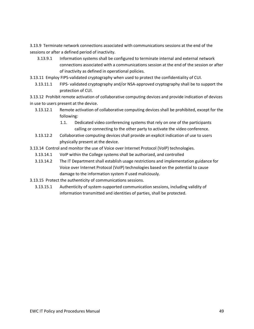3.13.9 Terminate network connections associated with communications sessions at the end of the sessions or after a defined period of inactivity.

- 3.13.9.1 Information systems shall be configured to terminate internal and external network connections associated with a communications session at the end of the session or after of inactivity as defined in operational policies.
- 3.13.11 Employ FIPS-validated cryptography when used to protect the confidentiality of CUI.
	- 3.13.11.1 FIPS- validated cryptography and/or NSA-approved cryptography shall be to support the protection of CUI.

3.13.12 Prohibit remote activation of collaborative computing devices and provide indication of devices in use to users present at the device.

- 3.13.12.1 Remote activation of collaborative computing devices shall be prohibited, except for the following:
	- 1.1. Dedicated video conferencing systems that rely on one of the participants calling or connecting to the other party to activate the video conference.
- 3.13.12.2 Collaborative computing devices shall provide an explicit indication of use to users physically present at the device.
- 3.13.14 Control and monitor the use of Voice over Internet Protocol (VoIP) technologies.
	- 3.13.14.1 VoIP within the College systems shall be authorized, and controlled
	- 3.13.14.2 The IT Department shall establish usage restrictions and implementation guidance for Voice over Internet Protocol (VoIP) technologies based on the potential to cause damage to the information system if used maliciously.
- 3.13.15 Protect the authenticity of communications sessions.
	- 3.13.15.1 Authenticity of system-supported communication sessions, including validity of information transmitted and identities of parties, shall be protected.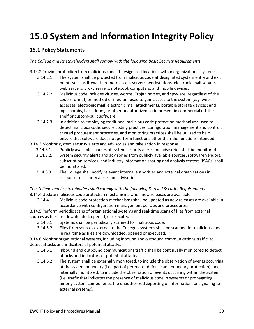# **15.0 System and Information Integrity Policy**

#### **15.1 Policy Statements**

*The College and its stakeholders shall comply with the following Basic Security Requirements:*

- 3.14.2 Provide protection from malicious code at designated locations within organizational systems.
	- 3.14.2.1 The system shall be protected from malicious code at designated system entry and exit points such as firewalls, remote access servers, workstations, electronic mail servers, web servers, proxy servers, notebook computers, and mobile devices.
	- 3.14.2.2 Malicious code includes viruses, worms, Trojan horses, and spyware, regardless of the code's format, or method or medium used to gain access to the system (e.g. web accesses, electronic mail, electronic mail attachments, portable storage devices; and logic bombs, back doors, or other unauthorized code present in commercial off-theshelf or custom-built software.
	- 3.14.2.3 In addition to employing traditional malicious code protection mechanisms used to detect malicious code, secure coding practices, configuration management and control, trusted procurement processes, and monitoring practices shall be utilized to help ensure that software does not perform functions other than the functions intended.
- 3.14.3 Monitor system security alerts and advisories and take action in response.
	- 3.14.3.1. Publicly available sources of system security alerts and advisories shall be monitored.
	- 3.14.3.2. System security alerts and advisories from publicly available sources, software vendors, subscription services, and industry information sharing and analysis centers (ISACs) shall be monitored.
	- 3.14.3.3. The College shall notify relevant internal authorities and external organizations in response to security alerts and advisories.

*The College and its stakeholders shall comply with the following Derived Security Requirements:* 3.14.4 Update malicious code protection mechanisms when new releases are available

3.14.4.1 Malicious code protection mechanisms shall be updated as new releases are available in accordance with configuration management policies and procedures.

3.14.5 Perform periodic scans of organizational systems and real-time scans of files from external sources as files are downloaded, opened, or executed.

- 3.14.5.1 Systems shall be periodically scanned for malicious code.
- 3.14.5.2 Files from sources external to the College's systems shall be scanned for malicious code in real time as files are downloaded, opened or executed.

3.14.6 Monitor organizational systems, including inbound and outbound communications traffic, to detect attacks and indicators of potential attacks.

- 3.14.6.1 Inbound and outbound communications traffic shall be continually monitored to detect attacks and indicators of potential attacks.
- 3.14.6.2 The system shall be externally monitored, to include the observation of events occurring at the system boundary (i.e., part of perimeter defense and boundary protection); and internally monitored, to include the observation of events occurring within the system (i.e. traffic that indicates the presence of malicious code in systems or propagating among system components, the unauthorized exporting of information, or signaling to external systems).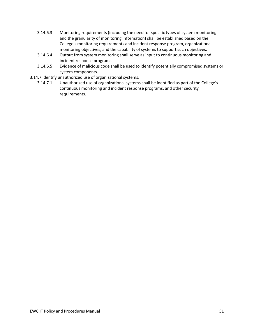- 3.14.6.3 Monitoring requirements (including the need for specific types of system monitoring and the granularity of monitoring information) shall be established based on the College's monitoring requirements and incident response program, organizational monitoring objectives, and the capability of systems to support such objectives.
- 3.14.6.4 Output from system monitoring shall serve as input to continuous monitoring and incident response programs.
- 3.14.6.5 Evidence of malicious code shall be used to identify potentially compromised systems or system components.
- 3.14.7 Identify unauthorized use of organizational systems.
	- 3.14.7.1 Unauthorized use of organizational systems shall be identified as part of the College's continuous monitoring and incident response programs, and other security requirements.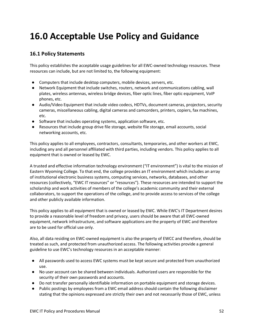# **16.0 Acceptable Use Policy and Guidance**

### **16.1 Policy Statements**

This policy establishes the acceptable usage guidelines for all EWC-owned technology resources. These resources can include, but are not limited to, the following equipment:

- Computers that include desktop computers, mobile devices, servers, etc.
- Network Equipment that include switches, routers, network and communications cabling, wall plates, wireless antennas, wireless bridge devices, fiber optic lines, fiber optic equipment, VoIP phones, etc.
- Audio/Video Equipment that include video codecs, HDTVs, document cameras, projectors, security cameras, miscellaneous cabling, digital cameras and camcorders, printers, copiers, fax machines, etc.
- Software that includes operating systems, application software, etc.
- Resources that include group drive file storage, website file storage, email accounts, social networking accounts, etc.

This policy applies to all employees, contractors, consultants, temporaries, and other workers at EWC, including any and all personnel affiliated with third parties, including vendors. This policy applies to all equipment that is owned or leased by EWC.

A trusted and effective information technology environment ("IT environment") is vital to the mission of Eastern Wyoming College. To that end, the college provides an IT environment which includes an array of institutional electronic business systems, computing services, networks, databases, and other resources (collectively, "EWC IT resources" or "resources"). These resources are intended to support the scholarship and work activities of members of the college's academic community and their external collaborators, to support the operations of the college, and to provide access to services of the college and other publicly available information.

This policy applies to all equipment that is owned or leased by EWC. While EWC's IT Department desires to provide a reasonable level of freedom and privacy, users should be aware that all EWC-owned equipment, network infrastructure, and software applications are the property of EWC and therefore are to be used for official use only.

Also, all data residing on EWC-owned equipment is also the property of EWCC and therefore, should be treated as such, and protected from unauthorized access. The following activities provide a general guideline to use EWC's technology resources in an acceptable manner:

- All passwords used to access EWC systems must be kept secure and protected from unauthorized use.
- No user account can be shared between individuals. Authorized users are responsible for the security of their own passwords and accounts.
- Do not transfer personally identifiable information on portable equipment and storage devices.
- Public postings by employees from a EWC email address should contain the following disclaimer stating that the opinions expressed are strictly their own and not necessarily those of EWC, unless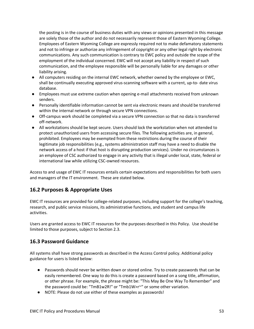the posting is in the course of business duties with any views or opinions presented in this message are solely those of the author and do not necessarily represent those of Eastern Wyoming College. Employees of Eastern Wyoming College are expressly required not to make defamatory statements and not to infringe or authorize any infringement of copyright or any other legal right by electronic communications. Any such communication is contrary to EWC policy and outside the scope of the employment of the individual concerned. EWC will not accept any liability in respect of such communication, and the employee responsible will be personally liable for any damages or other liability arising.

- All computers residing on the internal EWC network, whether owned by the employee or EWC, shall be continually executing approved virus-scanning software with a current, up-to- date virus database.
- Employees must use extreme caution when opening e-mail attachments received from unknown senders.
- Personally identifiable information cannot be sent via electronic means and should be transferred within the internal network or through secure VPN connections.
- Off-campus work should be completed via a secure VPN connection so that no data is transferred off-network.
- All workstations should be kept secure. Users should lock the workstation when not attended to protect unauthorized users from accessing secure files. The following activities are, in general, prohibited. Employees may be exempted from these restrictions during the course of their legitimate job responsibilities (e.g., systems administration staff may have a need to disable the network access of a host if that host is disrupting production services). Under no circumstances is an employee of CSC authorized to engage in any activity that is illegal under local, state, federal or international law while utilizing CSC-owned resources.

Access to and usage of EWC IT resources entails certain expectations and responsibilities for both users and managers of the IT environment. These are stated below.

### **16.2 Purposes & Appropriate Uses**

EWC IT resources are provided for college-related purposes, including support for the college's teaching, research, and public service missions, its administrative functions, and student and campus life activities.

Users are granted access to EWC IT resources for the purposes described in this Policy. Use should be limited to those purposes, subject to Section 2.3.

#### **16.3 Password Guidance**

All systems shall have strong passwords as described in the Access Control policy. Additional policy guidance for users is listed below:

- Passwords should never be written down or stored online. Try to create passwords that can be easily remembered. One way to do this is create a password based on a song title, affirmation, or other phrase. For example, the phrase might be: "This May Be One Way To Remember" and the password could be: "TmB1w2R!" or "Tmb1W>r~" or some other variation.
- NOTE: Please do not use either of these examples as passwords!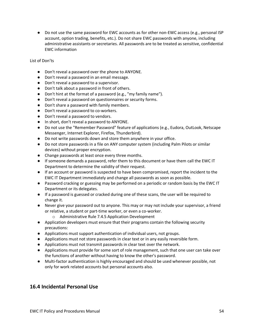● Do not use the same password for EWC accounts as for other non-EWC access (e.g., personal ISP account, option trading, benefits, etc.). Do not share EWC passwords with anyone, including administrative assistants or secretaries. All passwords are to be treated as sensitive, confidential EWC information

#### List of Don'ts

- Don't reveal a password over the phone to ANYONE.
- Don't reveal a password in an email message.
- Don't reveal a password to a supervisor.
- Don't talk about a password in front of others.
- Don't hint at the format of a password (e.g., "my family name").
- Don't reveal a password on questionnaires or security forms.
- Don't share a password with family members.
- Don't reveal a password to co-workers.
- Don't reveal a password to vendors.
- In short, don't reveal a password to ANYONE.
- Do not use the "Remember Password" feature of applications (e.g., Eudora, OutLook, Netscape Messenger, Internet Explorer, Firefox, Thunderbird).
- Do not write passwords down and store them anywhere in your office.
- Do not store passwords in a file on ANY computer system (including Palm Pilots or similar devices) without proper encryption.
- Change passwords at least once every three months.
- If someone demands a password, refer them to this document or have them call the EWC IT Department to determine the validity of their request.
- If an account or password is suspected to have been compromised, report the incident to the EWC IT Department immediately and change all passwords as soon as possible.
- Password cracking or guessing may be performed on a periodic or random basis by the EWC IT Department or its delegates.
- If a password is guessed or cracked during one of these scans, the user will be required to change it.
- Never give your password out to anyone. This may or may not include your supervisor, a friend or relative, a student or part-time worker, or even a co-worker.
	- o Administrative Rule 7.4.5 Application Development
- Application developers must ensure that their programs contain the following security precautions:
- Applications must support authentication of individual users, not groups.
- Applications must not store passwords in clear text or in any easily reversible form.
- Applications must not transmit passwords in clear text over the network.
- Applications must provide for some sort of role management, such that one user can take over the functions of another without having to know the other's password.
- Multi-factor authentication is highly encouraged and should be used whenever possible, not only for work related accounts but personal accounts also.

#### **16.4 Incidental Personal Use**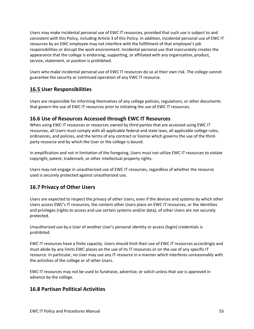Users may make incidental personal use of EWC IT resources, provided that such use is subject to and consistent with this Policy, including Article 3 of this Policy. In addition, incidental personal use of EWC IT resources by an EWC employee may not interfere with the fulfillment of that employee's job responsibilities or disrupt the work environment. Incidental personal use that inaccurately creates the appearance that the college is endorsing, supporting, or affiliated with any organization, product, service, statement, or position is prohibited.

Users who make incidental personal use of EWC IT resources do so at their own risk. The college cannot guarantee the security or continued operation of any EWC IT resource.

### **16.5 User Responsibilities**

Users are responsible for informing themselves of any college policies, regulations, or other documents that govern the use of EWC IT resources prior to initiating the use of EWC IT resources.

#### **16.6 Use of Resources Accessed through EWC IT Resources**

When using EWC IT resources or resources owned by third parties that are accessed using EWC IT resources, all Users must comply with all applicable federal and state laws, all applicable college rules, ordinances, and policies, and the terms of any contract or license which governs the use of the thirdparty resource and by which the User or the college is bound.

In amplification and not in limitation of the foregoing, Users must not utilize EWC IT resources to violate copyright, patent, trademark, or other intellectual property rights.

Users may not engage in unauthorized use of EWC IT resources, regardless of whether the resource used is securely protected against unauthorized use.

### **16.7 Privacy of Other Users**

Users are expected to respect the privacy of other Users, even if the devices and systems by which other Users access EWC's IT resources, the content other Users place on EWC IT resources, or the identities and privileges (rights to access and use certain systems and/or data), of other Users are not securely protected.

Unauthorized use by a User of another User's personal identity or access (login) credentials is prohibited.

EWC IT resources have a finite capacity. Users should limit their use of EWC IT resources accordingly and must abide by any limits EWC places on the use of its IT resources or on the use of any specific IT resource. In particular, no User may use any IT resource in a manner which interferes unreasonably with the activities of the college or of other Users.

EWC IT resources may not be used to fundraise, advertise, or solicit unless that use is approved in advance by the college.

#### **16.8 Partisan Political Activities**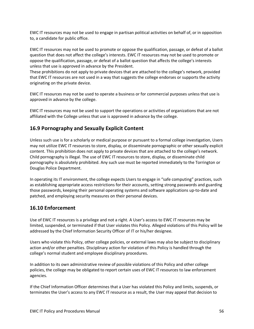EWC IT resources may not be used to engage in partisan political activities on behalf of, or in opposition to, a candidate for public office.

EWC IT resources may not be used to promote or oppose the qualification, passage, or defeat of a ballot question that does not affect the college's interests. EWC IT resources may not be used to promote or oppose the qualification, passage, or defeat of a ballot question that affects the college's interests unless that use is approved in advance by the President.

These prohibitions do not apply to private devices that are attached to the college's network, provided that EWC IT resources are not used in a way that suggests the college endorses or supports the activity originating on the private device.

EWC IT resources may not be used to operate a business or for commercial purposes unless that use is approved in advance by the college.

EWC IT resources may not be used to support the operations or activities of organizations that are not affiliated with the College unless that use is approved in advance by the college.

#### **16.9 Pornography and Sexually Explicit Content**

Unless such use is for a scholarly or medical purpose or pursuant to a formal college investigation, Users may not utilize EWC IT resources to store, display, or disseminate pornographic or other sexually explicit content. This prohibition does not apply to private devices that are attached to the college's network. Child pornography is illegal. The use of EWC IT resources to store, display, or disseminate child pornography is absolutely prohibited. Any such use must be reported immediately to the Torrington or Douglas Police Department.

In operating its IT environment, the college expects Users to engage in "safe computing" practices, such as establishing appropriate access restrictions for their accounts, setting strong passwords and guarding those passwords, keeping their personal operating systems and software applications up-to-date and patched, and employing security measures on their personal devices.

#### **16.10 Enforcement**

Use of EWC IT resources is a privilege and not a right. A User's access to EWC IT resources may be limited, suspended, or terminated if that User violates this Policy. Alleged violations of this Policy will be addressed by the Chief Information Security Officer of IT or his/her designee.

Users who violate this Policy, other college policies, or external laws may also be subject to disciplinary action and/or other penalties. Disciplinary action for violation of this Policy is handled through the college's normal student and employee disciplinary procedures.

In addition to its own administrative review of possible violations of this Policy and other college policies, the college may be obligated to report certain uses of EWC IT resources to law enforcement agencies.

If the Chief Information Officer determines that a User has violated this Policy and limits, suspends, or terminates the User's access to any EWC IT resource as a result, the User may appeal that decision to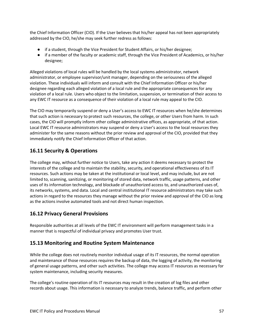the Chief Information Officer (CIO). If the User believes that his/her appeal has not been appropriately addressed by the CIO, he/she may seek further redress as follows:

- if a student, through the Vice President for Student Affairs, or his/her designee;
- if a member of the faculty or academic staff, through the Vice President of Academics, or his/her designee;

Alleged violations of local rules will be handled by the local systems administrator, network administrator, or employee supervisor/unit manager, depending on the seriousness of the alleged violation. These individuals will inform and consult with the Chief Information Officer or his/her designee regarding each alleged violation of a local rule and the appropriate consequences for any violation of a local rule. Users who object to the limitation, suspension, or termination of their access to any EWC IT resource as a consequence of their violation of a local rule may appeal to the CIO.

The CIO may temporarily suspend or deny a User's access to EWC IT resources when he/she determines that such action is necessary to protect such resources, the college, or other Users from harm. In such cases, the CIO will promptly inform other college administrative offices, as appropriate, of that action. Local EWC IT resource administrators may suspend or deny a User's access to the local resources they administer for the same reasons without the prior review and approval of the CIO, provided that they immediately notify the Chief Information Officer of that action.

### **16.11 Security & Operations**

The college may, without further notice to Users, take any action it deems necessary to protect the interests of the college and to maintain the stability, security, and operational effectiveness of its IT resources. Such actions may be taken at the institutional or local level, and may include, but are not limited to, scanning, sanitizing, or monitoring of stored data, network traffic, usage patterns, and other uses of its information technology, and blockade of unauthorized access to, and unauthorized uses of, its networks, systems, and data. Local and central institutional IT resource administrators may take such actions in regard to the resources they manage without the prior review and approval of the CIO as long as the actions involve automated tools and not direct human inspection.

### **16.12 Privacy General Provisions**

Responsible authorities at all levels of the EWC IT environment will perform management tasks in a manner that is respectful of individual privacy and promotes User trust.

### **15.13 Monitoring and Routine System Maintenance**

While the college does not routinely monitor individual usage of its IT resources, the normal operation and maintenance of those resources requires the backup of data, the logging of activity, the monitoring of general usage patterns, and other such activities. The college may access IT resources as necessary for system maintenance, including security measures.

The college's routine operation of its IT resources may result in the creation of log files and other records about usage. This information is necessary to analyze trends, balance traffic, and perform other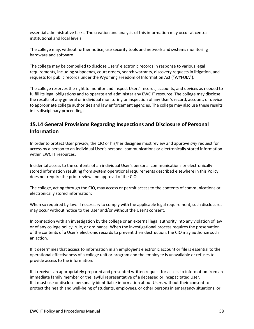essential administrative tasks. The creation and analysis of this information may occur at central institutional and local levels.

The college may, without further notice, use security tools and network and systems monitoring hardware and software.

The college may be compelled to disclose Users' electronic records in response to various legal requirements, including subpoenas, court orders, search warrants, discovery requests in litigation, and requests for public records under the Wyoming Freedom of Information Act ("WYFOIA").

The college reserves the right to monitor and inspect Users' records, accounts, and devices as needed to fulfill its legal obligations and to operate and administer any EWC IT resource. The college may disclose the results of any general or individual monitoring or inspection of any User's record, account, or device to appropriate college authorities and law enforcement agencies. The college may also use these results in its disciplinary proceedings.

### **15.14 General Provisions Regarding Inspections and Disclosure of Personal Information**

In order to protect User privacy, the CIO or his/her designee must review and approve *any* request for access by a person to an individual User's personal communications or electronically stored information within EWC IT resources.

Incidental access to the contents of an individual User's personal communications or electronically stored information resulting from system operational requirements described elsewhere in this Policy does not require the prior review and approval of the CIO.

The college, acting through the CIO, may access or permit access to the contents of communications or electronically stored information:

When so required by law. If necessary to comply with the applicable legal requirement, such disclosures may occur without notice to the User and/or without the User's consent.

In connection with an investigation by the college or an external legal authority into any violation of law or of any college policy, rule, or ordinance. When the investigational process requires the preservation of the contents of a User's electronic records to prevent their destruction, the CIO may authorize such an action.

If it determines that access to information in an employee's electronic account or file is essential to the operational effectiveness of a college unit or program and the employee is unavailable or refuses to provide access to the information.

If it receives an appropriately prepared and presented written request for access to information from an immediate family member or the lawful representative of a deceased or incapacitated User. If it must use or disclose personally identifiable information about Users without their consent to protect the health and well-being of students, employees, or other persons in emergency situations, or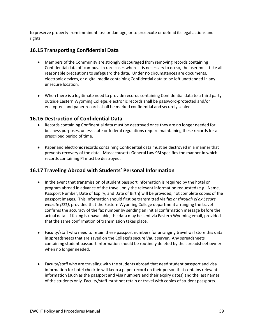to preserve property from imminent loss or damage, or to prosecute or defend its legal actions and rights.

#### **16.15 Transporting Confidential Data**

- Members of the Community are strongly discouraged from removing records containing Confidential data off campus. In rare cases where it is necessary to do so, the user must take all reasonable precautions to safeguard the data. Under no circumstances are documents, electronic devices, or digital media containing Confidential data to be left unattended in any unsecure location.
- When there is a legitimate need to provide records containing Confidential data to a third party outside Eastern Wyoming College, electronic records shall be password-protected and/or encrypted, and paper records shall be marked confidential and securely sealed.

#### **16.16 Destruction of Confidential Data**

- Records containing Confidential data must be destroyed once they are no longer needed for business purposes, unless state or federal regulations require maintaining these records for a prescribed period of time.
- Paper and electronic records containing Confidential data must be destroyed in a manner that prevents recovery of the data. [Massachusetts General Law 93I](https://malegislature.gov/Laws/GeneralLaws/PartI/TitleXV/Chapter93I) specifies the manner in which records containing PI must be destroyed.

#### **16.17 Traveling Abroad with Students' Personal Information**

- In the event that transmission of student passport information is required by the hotel or program abroad in advance of the travel, only the relevant information requested (e.g., Name, Passport Number, Date of Expiry, and Date of Birth) will be provided, not complete copies of the passport images. This information should first be transmitted via fax *or through eFax Secure website (SSL)*, provided that the Eastern Wyoming College department arranging the travel confirms the accuracy of the fax number by sending an initial confirmation message before the actual data. If faxing is unavailable, the data may be sent via Eastern Wyoming email, provided that the same confirmation of transmission takes place.
- Faculty/staff who need to retain these passport numbers for arranging travel will store this data in spreadsheets that are saved on the College's secure Vault server. Any spreadsheets containing student passport information should be routinely deleted by the spreadsheet owner when no longer needed.
- Faculty/staff who are traveling with the students abroad that need student passport and visa information for hotel check-in will keep a paper record on their person that contains relevant information (such as the passport and visa numbers and their expiry dates) and the last names of the students only. Faculty/staff must not retain or travel with copies of student passports.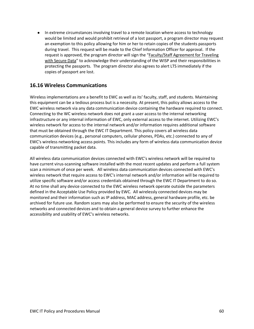● In extreme circumstances involving travel to a remote location where access to technology would be limited and would prohibit retrieval of a lost passport, a program director may request an exemption to this policy allowing for him or her to retain copies of the students passports during travel. This request will be made to the Chief Information Officer for approval. If the request is approved, the program director will sign the ["Faculty/Staff Agreement for Traveling](https://docs.google.com/a/wellesley.edu/forms/d/1BhXIwCxoxUoJ2il8Fh4VZsbNb84y4bE82x_wyOyaH9s/viewform)  [with Secure Data"](https://docs.google.com/a/wellesley.edu/forms/d/1BhXIwCxoxUoJ2il8Fh4VZsbNb84y4bE82x_wyOyaH9s/viewform) to acknowledge their understanding of the WISP and their responsibilities in protecting the passports. The program director also agrees to alert LTS immediately if the copies of passport are lost.

#### **16.16 Wireless Communications**

Wireless implementations are a benefit to EWC as well as its' faculty, staff, and students. Maintaining this equipment can be a tedious process but is a necessity. At present, this policy allows access to the EWC wireless network via any data communication device containing the hardware required to connect. Connecting to the WC wireless network does not grant a user access to the internal networking infrastructure or any internal information of EWC, only external access to the internet. Utilizing EWC's wireless network for access to the internal network and/or information requires additional software that must be obtained through the EWC IT Department. This policy covers all wireless data communication devices (e.g., personal computers, cellular phones, PDAs, etc.) connected to any of EWC's wireless networking access points. This includes any form of wireless data communication device capable of transmitting packet data.

All wireless data communication devices connected with EWC's wireless network will be required to have current virus-scanning software installed with the most recent updates and perform a full system scan a minimum of once per week. All wireless data communication devices connected with EWC's wireless network that require access to EWC's internal network and/or information will be required to utilize specific software and/or access credentials obtained through the EWC IT Department to do so. At no time shall any device connected to the EWC wireless network operate outside the parameters defined in the Acceptable Use Policy provided by EWC. All wirelessly connected devices may be monitored and their information such as IP address, MAC address, general hardware profile, etc. be archived for future use. Random scans may also be performed to ensure the security of the wireless networks and connected devices and to obtain a general device survey to further enhance the accessibility and usability of EWC's wireless networks.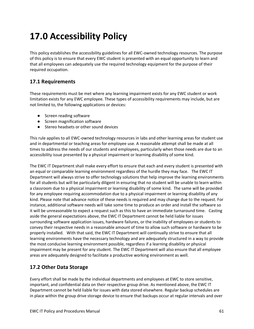# **17.0 Accessibility Policy**

This policy establishes the accessibility guidelines for all EWC-owned technology resources. The purpose of this policy is to ensure that every EWC student is presented with an equal opportunity to learn and that all employees can adequately use the required technology equipment for the purpose of their required occupation.

#### **17.1 Requirements**

These requirements must be met where any learning impairment exists for any EWC student or work limitation exists for any EWC employee. These types of accessibility requirements may include, but are not limited to, the following applications or devices:

- Screen reading software
- Screen magnification software
- Stereo headsets or other sound devices

This rule applies to all EWC-owned technology resources in labs and other learning areas for student use and in departmental or teaching areas for employee use. A reasonable attempt shall be made at all times to address the needs of our students and employees, particularly when those needs are due to an accessibility issue presented by a physical impairment or learning disability of some kind.

The EWC IT Department shall make every effort to ensure that each and every student is presented with an equal or comparable learning environment regardless of the hurdle they may face. The EWC IT Department will always strive to offer technology solutions that help improve the learning environments for all students but will be particularly diligent in ensuring that no student will be unable to learn within a classroom due to a physical impairment or learning disability of some kind. The same will be provided for any employee requiring accommodation due to a physical impairment or learning disability of any kind. Please note that advance notice of these needs is required and may change due to the request. For instance, additional software needs will take some time to produce an order and install the software so it will be unreasonable to expect a request such as this to have an immediate turnaround time. Casting aside the general expectations above, the EWC IT Department cannot be held liable for issues surrounding software application issues, hardware failures, or the inability of employees or students to convey their respective needs in a reasonable amount of time to allow such software or hardware to be properly installed. With that said, the EWC IT Department will continually strive to ensure that all learning environments have the necessary technology and are adequately structured in a way to provide the most conducive learning environment possible, regardless if a learning disability or physical impairment may be present for any student. The EWC IT Department will also ensure that all employee areas are adequately designed to facilitate a productive working environment as well.

#### **17.2 Other Data Storage**

Every effort shall be made by the individual departments and employees at EWC to store sensitive, important, and confidential data on their respective group drive. As mentioned above, the EWC IT Department cannot be held liable for issues with data stored elsewhere. Regular backup schedules are in place within the group drive storage device to ensure that backups occur at regular intervals and over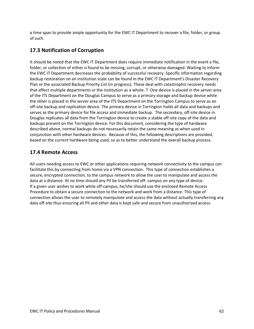a time span to provide ample opportunity for the EWC IT Department to recover a file, folder, or group of such.

### **17.3 Notification of Corruption**

It should be noted that the EWC IT Department does require immediate notification in the event a file, folder, or collection of either is found to be missing, corrupt, or otherwise damaged. Waiting to inform the EWC IT Department decreases the probability of successful recovery. Specific information regarding backup restoration on an institution scale can be found in the EWC IT Department's Disaster Recovery Plan or the associated Backup Priority List (in progress). These deal with catastrophic recovery needs that affect multiple departments or the institution as a whole. T One device is placed in the server area of the ITS Department on the Douglas Campus to serve as a primary storage and backup device while the other is placed in the server area of the ITS Department on the Torrington Campus to serve as an off-site backup and replication device. The primary device in Torrington holds all data and backups and serves as the primary device for file access and immediate backup. The secondary, off-site device in Douglas replicates all data from the Torrington device to create a stable off-site copy of the data and backups present on the Torrington device. For this document, considering the type of hardware described above, normal backups do not necessarily retain the same meaning as when used in conjunction with other hardware devices. Because of this, the following descriptions are provided, based on the current hardware being used, so as to better understand the overall backup process.

#### **17.4 Remote Access**

All users needing access to EWC or other applications requiring network connectivity to the campus can facilitate this by connecting from home via a VPN connection. This type of connection establishes a secure, encrypted connection, to the campus network to allow the user to manipulate and access the data at a distance. At no time should any PII be transferred off- campus on any type of device. If a given user wishes to work while off-campus, he/she should use the enclosed Remote Access Procedure to obtain a secure connection to the network and work from a distance. This type of connection allows the user to remotely manipulate and access the data without actually transferring any data off-site thus ensuring all PII and other data is kept safe and secure from unauthorized access.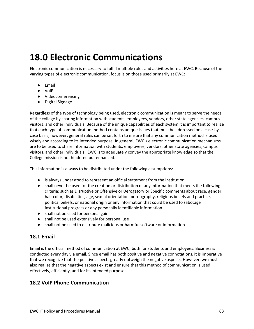## **18.0 Electronic Communications**

Electronic communication is necessary to fulfill multiple roles and activities here at EWC. Because of the varying types of electronic communication, focus is on those used primarily at EWC:

- Email
- VoIP
- Videoconferencing
- Digital Signage

Regardless of the type of technology being used, electronic communication is meant to serve the needs of the college by sharing information with students, employees, vendors, other state agencies, campus visitors, and other individuals. Because of the unique capabilities of each system it is important to realize that each type of communication method contains unique issues that must be addressed on a case-bycase basis; however, general rules can be set forth to ensure that any communication method is used wisely and according to its intended purpose. In general, EWC's electronic communication mechanisms are to be used to share information with students, employees, vendors, other state agencies, campus visitors, and other individuals. EWC is to adequately convey the appropriate knowledge so that the College mission is not hindered but enhanced.

This information is always to be distributed under the following assumptions:

- is always understood to represent an official statement from the institution
- shall never be used for the creation or distribution of any information that meets the following criteria: such as Disruptive or Offensive or Derogatory or Specific comments about race, gender, hair color, disabilities, age, sexual orientation, pornography, religious beliefs and practice, political beliefs, or national origin or any information that could be used to sabotage institutional progress or any personally identifiable information
- shall not be used for personal gain
- shall not be used extensively for personal use
- shall not be used to distribute malicious or harmful software or information

#### **18.1 Email**

Email is the official method of communication at EWC, both for students and employees. Business is conducted every day via email. Since email has both positive and negative connotations, it is imperative that we recognize that the positive aspects greatly outweigh the negative aspects. However, we must also realize that the negative aspects exist and ensure that this method of communication is used effectively, efficiently, and for its intended purpose.

#### **18.2 VoIP Phone Communication**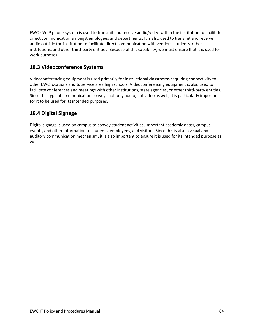EWC's VoIP phone system is used to transmit and receive audio/video within the institution to facilitate direct communication amongst employees and departments. It is also used to transmit and receive audio outside the institution to facilitate direct communication with vendors, students, other institutions, and other third-party entities. Because of this capability, we must ensure that it is used for work purposes.

#### **18.3 Videoconference Systems**

Videoconferencing equipment is used primarily for instructional classrooms requiring connectivity to other EWC locations and to service area high schools. Videoconferencing equipment is also used to facilitate conferences and meetings with other institutions, state agencies, or other third-party entities. Since this type of communication conveys not only audio, but video as well, it is particularly important for it to be used for its intended purposes.

### **18.4 Digital Signage**

Digital signage is used on campus to convey student activities, important academic dates, campus events, and other information to students, employees, and visitors. Since this is also a visual and auditory communication mechanism, it is also important to ensure it is used for its intended purpose as well.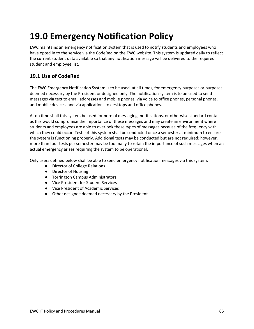# **19.0 Emergency Notification Policy**

EWC maintains an emergency notification system that is used to notify students and employees who have opted in to the service via the CodeRed on the EWC website. This system is updated daily to reflect the current student data available so that any notification message will be delivered to the required student and employee list.

## **19.1 Use of CodeRed**

The EWC Emergency Notification System is to be used, at all times, for emergency purposes or purposes deemed necessary by the President or designee only. The notification system is to be used to send messages via text to email addresses and mobile phones, via voice to office phones, personal phones, and mobile devices, and via applications to desktops and office phones.

At no time shall this system be used for normal messaging, notifications, or otherwise standard contact as this would compromise the importance of these messages and may create an environment where students and employees are able to overlook these types of messages because of the frequency with which they could occur. Tests of this system shall be conducted once a semester at minimum to ensure the system is functioning properly. Additional tests may be conducted but are not required; however, more than four tests per semester may be too many to retain the importance of such messages when an actual emergency arises requiring the system to be operational.

Only users defined below shall be able to send emergency notification messages via this system:

- Director of College Relations
- Director of Housing
- Torrington Campus Administrators
- Vice President for Student Services
- Vice President of Academic Services
- Other designee deemed necessary by the President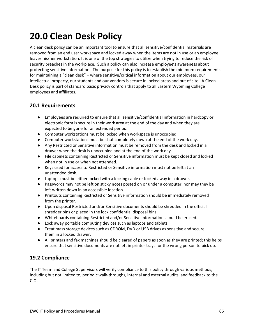# **20.0 Clean Desk Policy**

A clean desk policy can be an important tool to ensure that all sensitive/confidential materials are removed from an end user workspace and locked away when the items are not in use or an employee leaves his/her workstation. It is one of the top strategies to utilize when trying to reduce the risk of security breaches in the workplace. Such a policy can also increase employee's awareness about protecting sensitive information. The purpose for this policy is to establish the minimum requirements for maintaining a "clean desk" – where sensitive/critical information about our employees, our intellectual property, our students and our vendors is secure in locked areas and out of site. A Clean Desk policy is part of standard basic privacy controls that apply to all Eastern Wyoming College employees and affiliates.

#### **20.1 Requirements**

- Employees are required to ensure that all sensitive/confidential information in hardcopy or electronic form is secure in their work area at the end of the day and when they are expected to be gone for an extended period.
- Computer workstations must be locked when workspace is unoccupied.
- Computer workstations must be shut completely down at the end of the work day.
- Any Restricted or Sensitive information must be removed from the desk and locked in a drawer when the desk is unoccupied and at the end of the work day.
- File cabinets containing Restricted or Sensitive information must be kept closed and locked when not in use or when not attended.
- Keys used for access to Restricted or Sensitive information must not be left at an unattended desk.
- Laptops must be either locked with a locking cable or locked away in a drawer.
- Passwords may not be left on sticky notes posted on or under a computer, nor may they be left written down in an accessible location.
- Printouts containing Restricted or Sensitive information should be immediately removed from the printer.
- Upon disposal Restricted and/or Sensitive documents should be shredded in the official shredder bins or placed in the lock confidential disposal bins.
- Whiteboards containing Restricted and/or Sensitive information should be erased.
- Lock away portable computing devices such as laptops and tablets.
- Treat mass storage devices such as CDROM, DVD or USB drives as sensitive and secure them in a locked drawer.
- All printers and fax machines should be cleared of papers as soon as they are printed; this helps ensure that sensitive documents are not left in printer trays for the wrong person to pick up.

### **19.2 Compliance**

The IT Team and College Supervisors will verify compliance to this policy through various methods, including but not limited to, periodic walk-throughs, internal and external audits, and feedback to the CIO.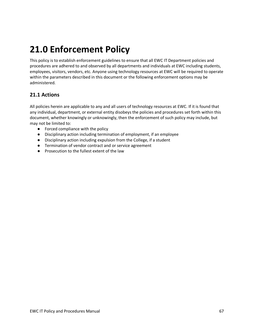# **21.0 Enforcement Policy**

This policy is to establish enforcement guidelines to ensure that all EWC IT Department policies and procedures are adhered to and observed by all departments and individuals at EWC including students, employees, visitors, vendors, etc. Anyone using technology resources at EWC will be required to operate within the parameters described in this document or the following enforcement options may be administered.

### **21.1 Actions**

All policies herein are applicable to any and all users of technology resources at EWC. If it is found that any individual, department, or external entity disobeys the policies and procedures set forth within this document, whether knowingly or unknowingly, then the enforcement of such policy may include, but may not be limited to:

- Forced compliance with the policy
- Disciplinary action including termination of employment, if an employee
- Disciplinary action including expulsion from the College, if a student
- Termination of vendor contract and or service agreement
- Prosecution to the fullest extent of the law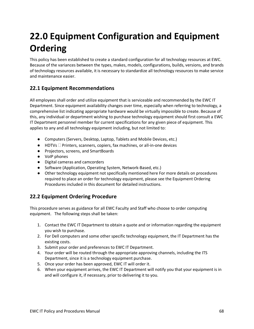# **22.0 Equipment Configuration and Equipment Ordering**

This policy has been established to create a standard configuration for all technology resources at EWC. Because of the variances between the types, makes, models, configurations, builds, versions, and brands of technology resources available, it is necessary to standardize all technology resources to make service and maintenance easier.

### **22.1 Equipment Recommendations**

All employees shall order and utilize equipment that is serviceable and recommended by the EWC IT Department. Since equipment availability changes over time, especially when referring to technology, a comprehensive list indicating appropriate hardware would be virtually impossible to create. Because of this, any individual or department wishing to purchase technology equipment should first consult a EWC IT Department personnel member for current specifications for any given piece of equipment. This applies to any and all technology equipment including, but not limited to:

- Computers (Servers, Desktop, Laptop, Tablets and Mobile Devices, etc.)
- $\bullet$  HDTVs  $\Box$  Printers, scanners, copiers, fax machines, or all-in-one devices
- Projectors, screens, and SmartBoards
- VoIP phones
- Digital cameras and camcorders
- Software (Application, Operating System, Network-Based, etc.)
- Other technology equipment not specifically mentioned here For more details on procedures required to place an order for technology equipment, please see the Equipment Ordering Procedures included in this document for detailed instructions.

## **22.2 Equipment Ordering Procedure**

This procedure serves as guidance for all EWC Faculty and Staff who choose to order computing equipment. The following steps shall be taken:

- 1. Contact the EWC IT Department to obtain a quote and or information regarding the equipment you wish to purchase.
- 2. For Dell computers and some other specific technology equipment, the IT Department has the existing costs.
- 3. Submit your order and preferences to EWC IT Department.
- 4. Your order will be routed through the appropriate approving channels, including the ITS Department, since it is a technology equipment purchase.
- 5. Once your order has been approved, EWC IT will order it.
- 6. When your equipment arrives, the EWC IT Department will notify you that your equipment is in and will configure it, if necessary, prior to delivering it to you.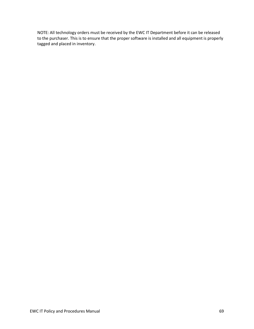NOTE: All technology orders must be received by the EWC IT Department before it can be released to the purchaser. This is to ensure that the proper software is installed and all equipment is properly tagged and placed in inventory.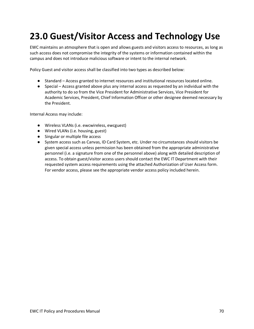# **23.0 Guest/Visitor Access and Technology Use**

EWC maintains an atmosphere that is open and allows guests and visitors access to resources, as long as such access does not compromise the integrity of the systems or information contained within the campus and does not introduce malicious software or intent to the internal network.

Policy Guest and visitor access shall be classified into two types as described below:

- Standard Access granted to internet resources and institutional resources located online.
- Special Access granted above plus any internal access as requested by an individual with the authority to do so from the Vice President for Administrative Services, Vice President for Academic Services, President, Chief Information Officer or other designee deemed necessary by the President.

Internal Access may include:

- Wireless VLANs (i.e. ewcwireless, ewcguest)
- Wired VLANs (i.e. housing, guest)
- Singular or multiple file access
- System access such as Canvas, ID Card System, etc. Under no circumstances should visitors be given special access unless permission has been obtained from the appropriate administrative personnel (i.e. a signature from one of the personnel above) along with detailed description of access. To obtain guest/visitor access users should contact the EWC IT Department with their requested system access requirements using the attached Authorization of User Access form. For vendor access, please see the appropriate vendor access policy included herein.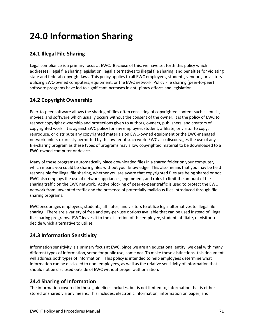# **24.0 Information Sharing**

### **24.1 Illegal File Sharing**

Legal compliance is a primary focus at EWC. Because of this, we have set forth this policy which addresses illegal file sharing legislation, legal alternatives to illegal file sharing, and penalties for violating state and federal copyright laws. This policy applies to all EWC employees, students, vendors, or visitors utilizing EWC-owned computers, equipment, or the EWC network. Policy File sharing (peer-to-peer) software programs have led to significant increases in anti-piracy efforts and legislation.

## **24.2 Copyright Ownership**

Peer-to-peer software allows the sharing of files often consisting of copyrighted content such as music, movies, and software which usually occurs without the consent of the owner. It is the policy of EWC to respect copyright ownership and protections given to authors, owners, publishers, and creators of copyrighted work. It is against EWC policy for any employee, student, affiliate, or visitor to copy, reproduce, or distribute any copyrighted materials on EWC-owned equipment or the EWC-managed network unless expressly permitted by the owner of such work. EWC also discourages the use of any file-sharing program as these types of programs may allow copyrighted material to be downloaded to a EWC-owned computer or device.

Many of these programs automatically place downloaded files in a shared folder on your computer, which means you could be sharing files without your knowledge. This also means that you may be held responsible for illegal file sharing, whether you are aware that copyrighted files are being shared or not. EWC also employs the use of network appliances, equipment, and rules to limit the amount of filesharing traffic on the EWC network. Active blocking of peer-to-peer traffic is used to protect the EWC network from unwanted traffic and the presence of potentially malicious files introduced through filesharing programs.

EWC encourages employees, students, affiliates, and visitors to utilize legal alternatives to illegal file sharing. There are a variety of free and pay-per-use options available that can be used instead of illegal file sharing programs. EWC leaves it to the discretion of the employee, student, affiliate, or visitor to decide which alternative to utilize.

### **24.3 Information Sensitivity**

Information sensitivity is a primary focus at EWC. Since we are an educational entity, we deal with many different types of information, some for public use, some not. To make these distinctions, this document will address both types of information. This policy is intended to help employees determine what information can be disclosed to non- employees, as well as the relative sensitivity of information that should not be disclosed outside of EWC without proper authorization.

#### **24.4 Sharing of Information**

The information covered in these guidelines includes, but is not limited to, information that is either stored or shared via any means. This includes: electronic information, information on paper, and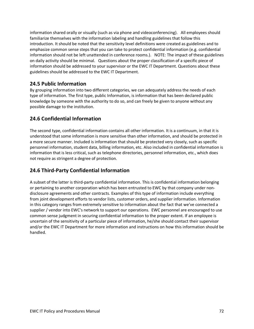information shared orally or visually (such as via phone and videoconferencing). All employees should familiarize themselves with the information labeling and handling guidelines that follow this introduction. It should be noted that the sensitivity level definitions were created as guidelines and to emphasize common sense steps that you can take to protect confidential information (e.g. confidential information should not be left unattended in conference rooms.). NOTE: The impact of these guidelines on daily activity should be minimal. Questions about the proper classification of a specific piece of information should be addressed to your supervisor or the EWC IT Department. Questions about these guidelines should be addressed to the EWC IT Department.

#### **24.5 Public Information**

By grouping information into two different categories, we can adequately address the needs of each type of information. The first type, public Information, is information that has been declared public knowledge by someone with the authority to do so, and can freely be given to anyone without any possible damage to the institution.

### **24.6 Confidential Information**

The second type, confidential information contains all other information. It is a continuum, in that it is understood that some information is more sensitive than other information, and should be protected in a more secure manner. Included is information that should be protected very closely, such as specific personnel information, student data, billing information, etc. Also included in confidential information is information that is less critical, such as telephone directories, personnel information, etc., which does not require as stringent a degree of protection.

### **24.6 Third-Party Confidential Information**

A subset of the latter is third-party confidential information. This is confidential information belonging or pertaining to another corporation which has been entrusted to EWC by that company under nondisclosure agreements and other contracts. Examples of this type of information include everything from joint development efforts to vendor lists, customer orders, and supplier information. Information in this category ranges from extremely sensitive to information about the fact that we've connected a supplier / vendor into EWC's network to support our operations. EWC personnel are encouraged to use common sense judgment in securing confidential information to the proper extent. If an employee is uncertain of the sensitivity of a particular piece of information, he/she should contact their supervisor and/or the EWC IT Department for more information and instructions on how this information should be handled.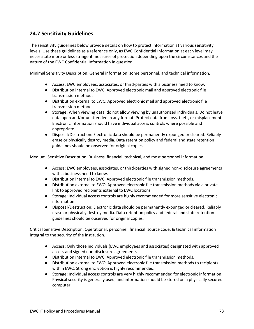# **24.7 Sensitivity Guidelines**

The sensitivity guidelines below provide details on how to protect information at various sensitivity levels. Use these guidelines as a reference only, as EWC Confidential Information at each level may necessitate more or less stringent measures of protection depending upon the circumstances and the nature of the EWC Confidential Information in question.

Minimal Sensitivity Description: General information, some personnel, and technical information.

- Access: EWC employees, associates, or third-parties with a business need to know.
- Distribution internal to EWC: Approved electronic mail and approved electronic file transmission methods.
- Distribution external to EWC: Approved electronic mail and approved electronic file transmission methods.
- Storage: When viewing data, do not allow viewing by unauthorized individuals. Do not leave data open and/or unattended in any format. Protect data from loss, theft, or misplacement. Electronic information should have individual access controls where possible and appropriate.
- Disposal/Destruction: Electronic data should be permanently expunged or cleared. Reliably erase or physically destroy media. Data retention policy and federal and state retention guidelines should be observed for original copies.

Medium Sensitive Description: Business, financial, technical, and most personnel information.

- Access: EWC employees, associates, or third-parties with signed non-disclosure agreements with a business need to know.
- Distribution internal to EWC: Approved electronic file transmission methods.
- Distribution external to EWC: Approved electronic file transmission methods via a private link to approved recipients external to EWC locations.
- Storage: Individual access controls are highly recommended for more sensitive electronic information.
- Disposal/Destruction: Electronic data should be permanently expunged or cleared. Reliably erase or physically destroy media. Data retention policy and federal and state retention guidelines should be observed for original copies.

Critical Sensitive Description: Operational, personnel, financial, source code, & technical information integral to the security of the institution.

- Access: Only those individuals (EWC employees and associates) designated with approved access and signed non-disclosure agreements.
- Distribution internal to EWC: Approved electronic file transmission methods.
- Distribution external to EWC: Approved electronic file transmission methods to recipients within EWC. Strong encryption is highly recommended.
- Storage: Individual access controls are very highly recommended for electronic information. Physical security is generally used, and information should be stored on a physically secured computer.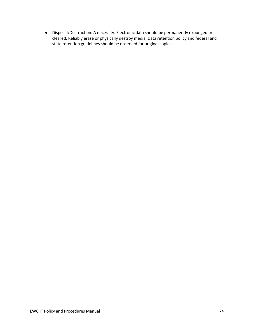● Disposal/Destruction: A necessity. Electronic data should be permanently expunged or cleared. Reliably erase or physically destroy media. Data retention policy and federal and state retention guidelines should be observed for original copies.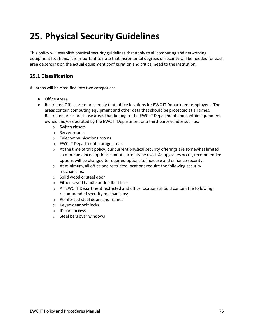# **25. Physical Security Guidelines**

This policy will establish physical security guidelines that apply to all computing and networking equipment locations. It is important to note that incremental degrees of security will be needed for each area depending on the actual equipment configuration and critical need to the institution.

# **25.1 Classification**

All areas will be classified into two categories:

- Office Areas
- Restricted Office areas are simply that, office locations for EWC IT Department employees. The areas contain computing equipment and other data that should be protected at all times. Restricted areas are those areas that belong to the EWC IT Department and contain equipment owned and/or operated by the EWC IT Department or a third-party vendor such as:
	- o Switch closets
	- o Server rooms
	- o Telecommunications rooms
	- o EWC IT Department storage areas
	- $\circ$  At the time of this policy, our current physical security offerings are somewhat limited so more advanced options cannot currently be used. As upgrades occur, recommended options will be changed to required options to increase and enhance security.
	- o At minimum, all office and restricted locations require the following security mechanisms:
	- o Solid wood or steel door
	- o Either keyed handle or deadbolt lock
	- $\circ$  All EWC IT Department restricted and office locations should contain the following recommended security mechanisms:
	- o Reinforced steel doors and frames
	- o Keyed deadbolt locks
	- o ID card access
	- o Steel bars over windows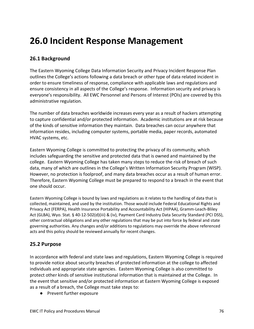# **26.0 Incident Response Management**

# **26.1 Background**

The Eastern Wyoming College Data Information Security and Privacy Incident Response Plan outlines the College's actions following a data breach or other type of data related incident in order to ensure timeliness of response, compliance with applicable laws and regulations and ensure consistency in all aspects of the College's response. Information security and privacy is everyone's responsibility. All EWC Personnel and Persons of Interest (POIs) are covered by this administrative regulation.

The number of data breaches worldwide increases every year as a result of hackers attempting to capture confidential and/or protected information. Academic institutions are at risk because of the kinds of sensitive information they maintain. Data breaches can occur anywhere that information resides, including computer systems, portable media, paper records, automated HVAC systems, etc.

Eastern Wyoming College is committed to protecting the privacy of its community, which includes safeguarding the sensitive and protected data that is owned and maintained by the college. Eastern Wyoming College has taken many steps to reduce the risk of breach of such data, many of which are outlines in the College's Written Information Security Program (WISP). However, no protection is foolproof, and many data breaches occur as a result of human error. Therefore, Eastern Wyoming College must be prepared to respond to a breach in the event that one should occur.

Eastern Wyoming College is bound by laws and regulations as it relates to the handling of data that is collected, maintained, and used by the institution. Those would include Federal Educational Rights and Privacy Act (FERPA), Health Insurance Portability and Accountability Act (HIPAA), Gramm-Leach-Bliley Act (GLBA), Wyo. Stat. § 40-12-502(d)(iii) & (iv), Payment Card Industry Data Security Standard (PCI DSS), other contractual obligations and any other regulations that may be put into force by federal and state governing authorities. Any changes and/or additions to regulations may override the above referenced acts and this policy should be reviewed annually for recent changes.

# **25.2 Purpose**

In accordance with federal and state laws and regulations, Eastern Wyoming College is required to provide notice about security breaches of protected information at the college to affected individuals and appropriate state agencies. Eastern Wyoming College is also committed to protect other kinds of sensitive institutional information that is maintained at the College. In the event that sensitive and/or protected information at Eastern Wyoming College is exposed as a result of a breach, the College must take steps to:

● Prevent further exposure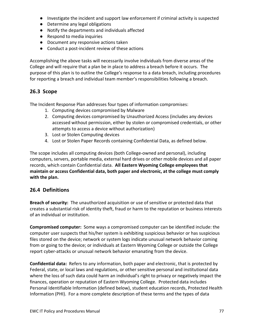- Investigate the incident and support law enforcement if criminal activity is suspected
- Determine any legal obligations
- Notify the departments and individuals affected
- Respond to media inquiries
- Document any responsive actions taken
- Conduct a post-incident review of these actions

Accomplishing the above tasks will necessarily involve individuals from diverse areas of the College and will require that a plan be in place to address a breach before it occurs. The purpose of this plan is to outline the College's response to a data breach, including procedures for reporting a breach and individual team member's responsibilities following a breach.

# **26.3 Scope**

The Incident Response Plan addresses four types of information compromises:

- 1. Computing devices compromised by Malware
- 2. Computing devices compromised by Unauthorized Access (includes any devices accessed without permission, either by stolen or compromised credentials, or other attempts to access a device without authorization)
- 3. Lost or Stolen Computing devices
- 4. Lost or Stolen Paper Records containing Confidential Data, as defined below.

The scope includes all computing devices (both College-owned and personal), including computers, servers, portable media, external hard drives or other mobile devices and all paper records, which contain Confidential data. **All Eastern Wyoming College employees that maintain or access Confidential data, both paper and electronic, at the college must comply with the plan.** 

# **26.4 Definitions**

**Breach of security:** The unauthorized acquisition or use of sensitive or protected data that creates a substantial risk of identity theft, fraud or harm to the reputation or business interests of an individual or institution.

**Compromised computer:** Some ways a compromised computer can be identified include: the computer user suspects that his/her system is exhibiting suspicious behavior or has suspicious files stored on the device; network or system logs indicate unusual network behavior coming from or going to the device; or individuals at Eastern Wyoming College or outside the College report cyber-attacks or unusual network behavior emanating from the device.

**Confidential data:** Refers to any information, both paper and electronic, that is protected by Federal, state, or local laws and regulations, or other sensitive personal and institutional data where the loss of such data could harm an individual's right to privacy or negatively impact the finances, operation or reputation of Eastern Wyoming College. Protected data includes Personal Identifiable Information (defined below), student education records, Protected Health Information (PHI). For a more complete description of these terms and the types of data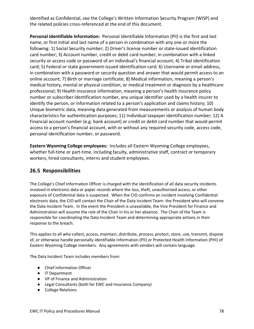identified as Confidential, see the College's Written Information Security Program (WISP) and the related policies cross-referenced at the end of this document.

**Personal Identifiable Information:** Personal Identifiable Information (PII) is the first and last name, or first initial and last name of a person in combination with any one or more the following: 1) Social Security number; 2) Driver's license number or state-issued identification card number; 3) Account number, credit or debit card number, in combination with a linked security or access code or password of an individual's financial account; 4) Tribal identification card; 5) Federal or state government-issued identification card; 6) Username or email address, in combination with a password or security question and answer that would permit access to an online account; 7) Birth or marriage certificate; 8) Medical information, meaning a person's medical history, mental or physical condition, or medical treatment or diagnosis by a healthcare professional; 9) Health insurance information, meaning a person's health insurance policy number or subscriber identification number, any unique identifier used by a health insurer to identify the person, or information related to a person's application and claims history; 10) Unique biometric data, meaning data generated from measurements or analysis of human body characteristics for authentication purposes; 11) Individual taxpayer identification number; 12) A Financial account number (e.g. bank account) or credit or debit card number that would permit access to a person's financial account, with or without any required security code, access code, personal identification number, or password.

**Eastern Wyoming College employees:** Includes all Eastern Wyoming College employees, whether full-time or part-time, including faculty, administrative staff, contract or temporary workers, hired consultants, interns and student employees.

### **26.5 Responsibilities**

The College's Chief Information Officer is charged with the identification of all data security incidents involved in electronic data or paper records where the loss, theft, unauthorized access, or other exposure of Confidential data is suspected. When the CIO confirms an incident involving Confidential electronic data, the CIO will contact the Chair of the Data Incident Team- the President who will convene the Data Incident Team. In the event the President is unavailable, the Vice President for Finance and Administration will assume the role of the Chair in his or her absence. The Chair of the Team is responsible for coordinating the Data Incident Team and determining appropriate actions in their response to the breach.

This applies to all who collect, access, maintain, distribute, process, protect, store, use, transmit, dispose of, or otherwise handle personally identifiable information (PII) or Protected Health Information (PHI) of Eastern Wyoming College members. Any agreements with vendors will contain language.

The Data Incident Team includes members from:

- Chief Information Officer
- IT Department
- VP of Finance and Administration
- Legal Consultants (both for EWC and Insurance Company)
- College Relations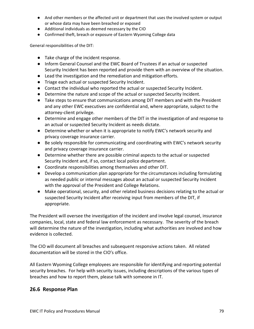- And other members or the affected unit or department that uses the involved system or output or whose data may have been breached or exposed
- Additional individuals as deemed necessary by the CIO
- Confirmed theft, breach or exposure of Eastern Wyoming College data

General responsibilities of the DIT:

- Take charge of the incident response.
- Inform General Counsel and the EWC Board of Trustees if an actual or suspected Security Incident has been reported and provide them with an overview of the situation.
- Lead the investigation and the remediation and mitigation efforts.
- Triage each actual or suspected Security Incident.
- Contact the individual who reported the actual or suspected Security Incident.
- Determine the nature and scope of the actual or suspected Security Incident.
- Take steps to ensure that communications among DIT members and with the President and any other EWC executives are confidential and, where appropriate, subject to the attorney-client privilege.
- Determine and engage other members of the DIT in the investigation of and response to an actual or suspected Security Incident as needs dictate.
- Determine whether or when it is appropriate to notify EWC's network security and privacy coverage insurance carrier.
- Be solely responsible for communicating and coordinating with EWC's network security and privacy coverage insurance carrier.
- Determine whether there are possible criminal aspects to the actual or suspected Security Incident and, if so, contact local police department.
- Coordinate responsibilities among themselves and other DIT.
- Develop a communication plan appropriate for the circumstances including formulating as needed public or internal messages about an actual or suspected Security Incident with the approval of the President and College Relations.
- Make operational, security, and other related business decisions relating to the actual or suspected Security Incident after receiving input from members of the DIT, if appropriate.

The President will oversee the investigation of the incident and involve legal counsel, insurance companies, local, state and federal law enforcement as necessary. The severity of the breach will determine the nature of the investigation, including what authorities are involved and how evidence is collected.

The CIO will document all breaches and subsequent responsive actions taken. All related documentation will be stored in the CIO's office.

All Eastern Wyoming College employees are responsible for identifying and reporting potential security breaches. For help with security issues, including descriptions of the various types of breaches and how to report them, please talk with someone in IT.

### **26.6 Response Plan**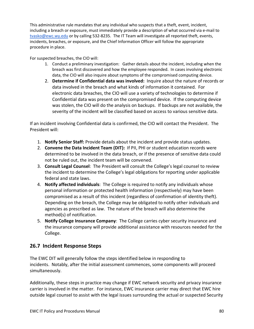This administrative rule mandates that any individual who suspects that a theft, event, incident, including a breach or exposure, must immediately provide a description of what occurred via e-mail to [tvasko@ewc.wy.edu](mailto:tvasko@ewc.wy.edu) or by calling 532-8235. The IT Team will investigate all reported theft, events, incidents, breaches, or exposure, and the Chief Information Officer will follow the appropriate procedure in place.

For suspected breaches, the CIO will:

- 1. Conduct a preliminary investigation: Gather details about the incident, including when the breach was first discovered and how the employee responded. In cases involving electronic data, the CIO will also inquire about symptoms of the compromised computing device.
- 2. **Determine if Confidential data was involved:** Inquire about the nature of records or data involved in the breach and what kinds of information it contained. For electronic data breaches, the CIO will use a variety of technologies to determine if Confidential data was present on the compromised device. If the computing device was stolen, the CIO will do the analysis on backups. If backups are not available, the severity of the incident will be classified based on access to various sensitive data.

If an incident involving Confidential data is confirmed, the CIO will contact the President. The President will:

- 1. **Notify Senior Staff:** Provide details about the incident and provide status updates.
- 2. **Convene the Data Incident Team (DIT):** If PII, PHI or student education records were determined to be involved in the data breach, or if the presence of sensitive data could not be ruled out, the incident team will be convened.
- 3. **Consult Legal Counsel**: The President will consult the College's legal counsel to review the incident to determine the College's legal obligations for reporting under applicable federal and state laws.
- 4. **Notify affected individuals**: The College is required to notify any individuals whose personal information or protected health information (respectively) may have been compromised as a result of this incident (regardless of confirmation of identity theft). Depending on the breach, the College may be obligated to notify other individuals and agencies as prescribed as law. The nature of the breach will also determine the method(s) of notification.
- 5. **Notify College Insurance Company**: The College carries cyber security insurance and the insurance company will provide additional assistance with resources needed for the College.

### **26.7 Incident Response Steps**

The EWC DIT will generally follow the steps identified below in responding to incidents. Notably, after the initial assessment commences, some components will proceed simultaneously.

Additionally, these steps in practice may change if EWC network security and privacy insurance carrier is involved in the matter. For instance, EWC insurance carrier may direct that EWC hire outside legal counsel to assist with the legal issues surrounding the actual or suspected Security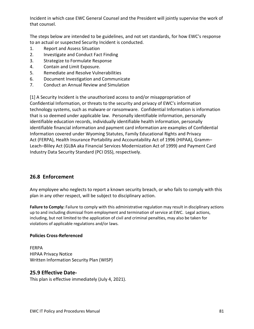Incident in which case EWC General Counsel and the President will jointly supervise the work of that counsel.

The steps below are intended to be guidelines, and not set standards, for how EWC's response to an actual or suspected Security Incident is conducted.

- 1. Report and Assess Situation
- 2. Investigate and Conduct Fact Finding
- 3. Strategize to Formulate Response
- 4. Contain and Limit Exposure.
- 5. Remediate and Resolve Vulnerabilities
- 6. Document Investigation and Communicate
- 7. Conduct an Annual Review and Simulation

[1] A Security Incident is the unauthorized access to and/or misappropriation of Confidential Information, or threats to the security and privacy of EWC's information technology systems, such as malware or ransomware. Confidential Information is information that is so deemed under applicable law. Personally identifiable information, personally identifiable education records, individually identifiable health information, personally identifiable financial information and payment card information are examples of Confidential Information covered under Wyoming Statutes, Family Educational Rights and Privacy Act (FERPA), Health Insurance Portability and Accountability Act of 1996 (HIPAA), Gramm– Leach–Bliley Act (GLBA aka Financial Services Modernization Act of 1999) and Payment Card Industry Data Security Standard (PCI DSS), respectively.

# **26.8 Enforcement**

Any employee who neglects to report a known security breach, or who fails to comply with this plan in any other respect, will be subject to disciplinary action.

**Failure to Comply:** Failure to comply with this administrative regulation may result in disciplinary actions up to and including dismissal from employment and termination of service at EWC. Legal actions, including, but not limited to the application of civil and criminal penalties, may also be taken for violations of applicable regulations and/or laws.

#### **Policies Cross-Referenced**

FERPA HIPAA Privacy Notice Written Information Security Plan (WISP)

### **25.9 Effective Date-**

This plan is effective immediately (July 4, 2021).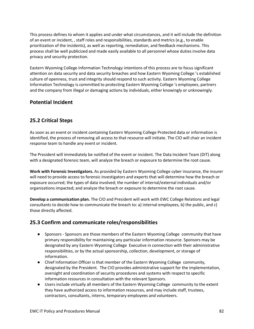This process defines to whom it applies and under what circumstances, and it will include the definition of an event or incident, , staff roles and responsibilities, standards and metrics (e.g., to enable prioritization of the incidents), as well as reporting, remediation, and feedback mechanisms. This process shall be well publicized and made easily available to all personnel whose duties involve data privacy and security protection.

Eastern Wyoming College Information Technology intentions of this process are to focus significant attention on data security and data security breaches and how Eastern Wyoming College 's established culture of openness, trust and integrity should respond to such activity. Eastern Wyoming College Information Technology is committed to protecting Eastern Wyoming College 's employees, partners and the company from illegal or damaging actions by individuals, either knowingly or unknowingly.

### **Potential Incident**

# **25.2 Critical Steps**

As soon as an event or incident containing Eastern Wyoming College Protected data or information is identified, the process of removing all access to that resource will initiate. The CIO will chair an incident response team to handle any event or incident.

The President will immediately be notified of the event or incident. The Data Incident Team (DIT) along with a designated forensic team, will analyze the breach or exposure to determine the root cause.

**Work with Forensic Investigators.** As provided by Eastern Wyoming College cyber insurance, the insurer will need to provide access to forensic investigators and experts that will determine how the breach or exposure occurred; the types of data involved; the number of internal/external individuals and/or organizations impacted; and analyze the breach or exposure to determine the root cause.

**Develop a communication plan.** The CIO and President will work with EWC College Relations and legal consultants to decide how to communicate the breach to: a) internal employees, b) the public, and c) those directly affected.

### **25.3 Confirm and communicate roles/responsibilities**

- Sponsors Sponsors are those members of the Eastern Wyoming College community that have primary responsibility for maintaining any particular information resource. Sponsors may be designated by any Eastern Wyoming College Executive in connection with their administrative responsibilities, or by the actual sponsorship, collection, development, or storage of information.
- Chief Information Officer is that member of the Eastern Wyoming College community, designated by the President. The CIO provides administrative support for the implementation, oversight and coordination of security procedures and systems with respect to specific information resources in consultation with the relevant Sponsors.
- Users include virtually all members of the Eastern Wyoming College community to the extent they have authorized access to information resources, and may include staff, trustees, contractors, consultants, interns, temporary employees and volunteers.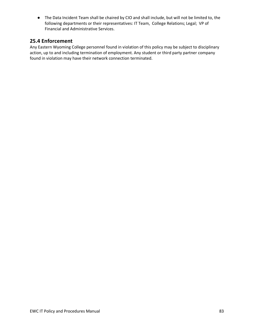● The Data Incident Team shall be chaired by CIO and shall include, but will not be limited to, the following departments or their representatives: IT Team, College Relations; Legal; VP of Financial and Administrative Services.

# **25.4 Enforcement**

Any Eastern Wyoming College personnel found in violation of this policy may be subject to disciplinary action, up to and including termination of employment. Any student or third party partner company found in violation may have their network connection terminated.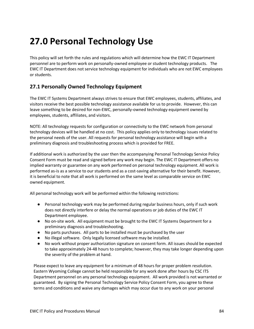# **27.0 Personal Technology Use**

This policy will set forth the rules and regulations which will determine how the EWC IT Department personnel are to perform work on personally-owned employee or student technology products. The EWC IT Department does not service technology equipment for individuals who are not EWC employees or students.

# **27.1 Personally Owned Technology Equipment**

The EWC IT Systems Department always strives to ensure that EWC employees, students, affiliates, and visitors receive the best possible technology assistance available for us to provide. However, this can leave something to be desired for non-EWC, personally-owned technology equipment owned by employees, students, affiliates, and visitors.

NOTE: All technology requests for configuration or connectivity to the EWC network from personal technology devices will be handled at no cost. This policy applies only to technology issues related to the personal needs of the user. All requests for personal technology assistance will begin with a preliminary diagnosis and troubleshooting process which is provided for FREE.

If additional work is authorized by the user then the accompanying Personal Technology Service Policy Consent Form must be read and signed before any work may begin. The EWC IT Department offers no implied warranty or guarantee on any work performed on personal technology equipment. All work is performed as-is as a service to our students and as a cost-saving alternative for their benefit. However, it is beneficial to note that all work is performed on the same level as comparable service on EWC owned equipment.

All personal technology work will be performed within the following restrictions:

- Personal technology work may be performed during regular business hours, only if such work does not directly interfere or delay the normal operations or job duties of the EWC IT Department employee.
- No on-site work. All equipment must be brought to the EWC IT Systems Department for a preliminary diagnosis and troubleshooting.
- No parts purchases. All parts to be installed must be purchased by the user
- No illegal software. Only legally licensed software may be installed.
- No work without proper authorization signature on consent form. All issues should be expected to take approximately 24-48 hours to complete; however, they may take longer depending upon the severity of the problem at hand.

Please expect to leave any equipment for a minimum of 48 hours for proper problem resolution. Eastern Wyoming College cannot be held responsible for any work done after hours by CSC ITS Department personnel on any personal technology equipment. All work provided is not warranted or guaranteed. By signing the Personal Technology Service Policy Consent Form, you agree to these terms and conditions and waive any damages which may occur due to any work on your personal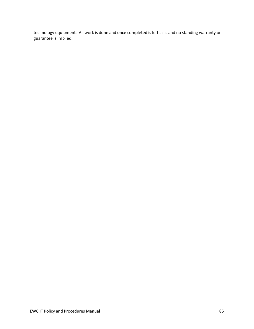technology equipment. All work is done and once completed is left as is and no standing warranty or guarantee is implied.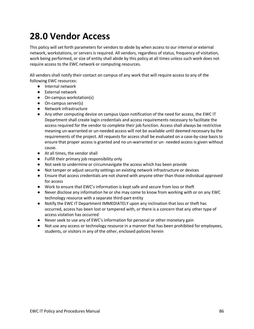# **28.0 Vendor Access**

This policy will set forth parameters for vendors to abide by when access to our internal or external network, workstations, or servers is required. All vendors, regardless of status, frequency of visitation, work being performed, or size of entity shall abide by this policy at all times unless such work does not require access to the EWC network or computing resources.

All vendors shall notify their contact on campus of any work that will require access to any of the following EWC resources:

- Internal network
- External network
- On-campus workstation(s)
- On-campus server(s)
- Network infrastructure
- Any other computing device on campus Upon notification of the need for access, the EWC IT Department shall create login credentials and access requirements necessary to facilitate the access required for the vendor to complete their job function. Access shall always be restrictive meaning un-warranted or un-needed access will not be available until deemed necessary by the requirements of the project. All requests for access shall be evaluated on a case-by-case basis to ensure that proper access is granted and no un-warranted or un- needed access is given without cause.
- At all times, the vendor shall
- Fulfill their primary job responsibility only
- Not seek to undermine or circumnavigate the access which has been provide
- Not tamper or adjust security settings on existing network infrastructure or devices
- Ensure that access credentials are not shared with anyone other than those individual approved for access
- Work to ensure that EWC's information is kept safe and secure from loss or theft
- Never disclose any information he or she may come to know from working with or on any EWC technology resource with a separate third-part entity
- Notify the EWC IT Department IMMEDIATELY upon any inclination that loss or theft has occurred, access has been lost or tampered with, or there is a concern that any other type of access violation has occurred
- Never seek to use any of EWC's information for personal or other monetary gain
- Not use any access or technology resource in a manner that has been prohibited for employees, students, or visitors in any of the other, enclosed policies herein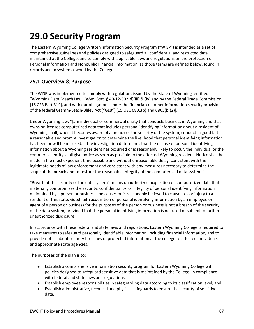# **29.0 Security Program**

The Eastern Wyoming College Written Information Security Program ("WISP") is intended as a set of comprehensive guidelines and policies designed to safeguard all confidential and restricted data maintained at the College, and to comply with applicable laws and regulations on the protection of Personal Information and Nonpublic Financial Information, as those terms are defined below, found in records and in systems owned by the College.

# **29.1 Overview & Purpose**

The WISP was implemented to comply with regulations issued by the State of Wyoming entitled "Wyoming Data Breach Law" (Wyo. Stat. § 40-12-502(d)(iii) & (iv) and by the Federal Trade Commission [16 CFR Part 314], and with our obligations under the financial customer information security provisions of the federal Gramm-Leach-Bliley Act ("GLB") [15 USC 6801(b) and 6805(b)(2)].

Under Wyoming law, "[a]n individual or commercial entity that conducts business in Wyoming and that owns or licenses computerized data that includes personal identifying information about a resident of Wyoming shall, when it becomes aware of a breach of the security of the system, conduct in good faith a reasonable and prompt investigation to determine the likelihood that personal identifying information has been or will be misused. If the investigation determines that the misuse of personal identifying information about a Wyoming resident has occurred or is reasonably likely to occur, the individual or the commercial entity shall give notice as soon as possible to the affected Wyoming resident. Notice shall be made in the most expedient time possible and without unreasonable delay, consistent with the legitimate needs of law enforcement and consistent with any measures necessary to determine the scope of the breach and to restore the reasonable integrity of the computerized data system."

"Breach of the security of the data system" means unauthorized acquisition of computerized data that materially compromises the security, confidentiality, or integrity of personal identifying information maintained by a person or business and causes or is reasonably believed to cause loss or injury to a resident of this state. Good faith acquisition of personal identifying information by an employee or agent of a person or business for the purposes of the person or business is not a breach of the security of the data system, provided that the personal identifying information is not used or subject to further unauthorized disclosure.

In accordance with these federal and state laws and regulations, Eastern Wyoming College is required to take measures to safeguard personally identifiable information, including financial information, and to provide notice about security breaches of protected information at the college to affected individuals and appropriate state agencies.

The purposes of the plan is to:

- Establish a comprehensive information security program for Eastern Wyoming College with policies designed to safeguard sensitive data that is maintained by the College, in compliance with federal and state laws and regulations;
- Establish employee responsibilities in safeguarding data according to its classification level; and
- Establish administrative, technical and physical safeguards to ensure the security of sensitive data.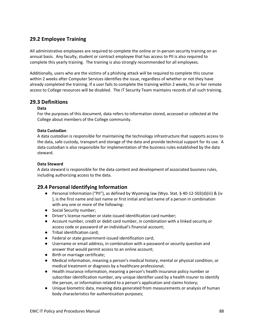# **29.2 Employee Training**

All administrative employees are required to complete the online or in-person security training on an annual basis. Any faculty, student or contract employee that has access to PII is also required to complete this yearly training. The training is also strongly recommended for all employees.

Additionally, users who are the victims of a phishing attack will be required to complete this course within 2 weeks after Computer Services identifies the issue, regardless of whether or not they have already completed the training. If a user fails to complete the training within 2 weeks, his or her remote access to College resources will be disabled. The IT Security Team maintains records of all such training.

#### **29.3 Definitions**

#### **Data**

For the purposes of this document, data refers to information stored, accessed or collected at the College about members of the College community.

#### **Data Custodian**

A data custodian is responsible for maintaining the technology infrastructure that supports access to the data, safe custody, transport and storage of the data and provide technical support for its use. A data custodian is also responsible for implementation of the business rules established by the data steward.

#### **Data Steward**

A data steward is responsible for the data content and development of associated business rules, including authorizing access to the data.

#### **29.4 Personal Identifying Information**

- Personal Information ("PII"), as defined by Wyoming law (Wyo. Stat. § 40-12-502(d)(iii) & (iv ), is the first name and last name or first initial and last name of a person in combination with any one or more of the following:
- Social Security number;
- Driver's license number or state-issued identification card number;
- Account number, credit or debit card number, in combination with a linked security or access code or password of an individual's financial account;
- Tribal identification card;
- Federal or state government-issued identification card;
- Username or email address, in combination with a password or security question and answer that would permit access to an online account;
- Birth or marriage certificate;
- Medical information, meaning a person's medical history, mental or physical condition, or medical treatment or diagnosis by a healthcare professional;
- Health insurance information, meaning a person's health insurance policy number or subscriber identification number, any unique identifier used by a health insurer to identify the person, or information related to a person's application and claims history;
- Unique biometric data, meaning data generated from measurements or analysis of human body characteristics for authentication purposes;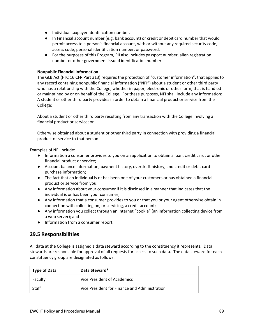- Individual taxpayer identification number.
- In Financial account number (e.g. bank account) or credit or debit card number that would permit access to a person's financial account, with or without any required security code, access code, personal identification number, or password.
- For the purposes of this Program, PII also includes passport number, alien registration number or other government-issued identification number.

#### **Nonpublic Financial Information**

The GLB Act (FTC 16 CFR Part 313) requires the protection of "customer information", that applies to any record containing nonpublic financial information ("NFI") about a student or other third party who has a relationship with the College, whether in paper, electronic or other form, that is handled or maintained by or on behalf of the College. For these purposes, NFI shall include any information: A student or other third party provides in order to obtain a financial product or service from the College;

About a student or other third party resulting from any transaction with the College involving a financial product or service; or

Otherwise obtained about a student or other third party in connection with providing a financial product or service to that person.

Examples of NFI include:

- Information a consumer provides to you on an application to obtain a loan, credit card, or other financial product or service;
- Account balance information, payment history, overdraft history, and credit or debit card purchase information;
- The fact that an individual is or has been one of your customers or has obtained a financial product or service from you;
- Any information about your consumer if it is disclosed in a manner that indicates that the individual is or has been your consumer;
- Any information that a consumer provides to you or that you or your agent otherwise obtain in connection with collecting on, or servicing, a credit account;
- Any information you collect through an Internet "cookie" (an information collecting device from a web server); and
- Information from a consumer report.

#### **29.5 Responsibilities**

All data at the College is assigned a data steward according to the constituency it represents. Data stewards are responsible for approval of all requests for access to such data. The data steward for each constituency group are designated as follows:

| Type of Data | Data Steward*                                 |
|--------------|-----------------------------------------------|
| Faculty      | Vice President of Academics                   |
| Staff        | Vice President for Finance and Administration |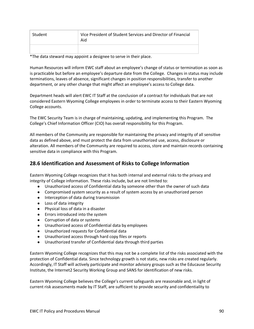| Student | Vice President of Student Services and Director of Financial<br>Aid |
|---------|---------------------------------------------------------------------|
|         |                                                                     |

\*The data steward may appoint a designee to serve in their place.

Human Resources will inform EWC staff about an employee's change of status or termination as soon as is practicable but before an employee's departure date from the College. Changes in status may include terminations, leaves of absence, significant changes in position responsibilities, transfer to another department, or any other change that might affect an employee's access to College data.

Department heads will alert EWC IT Staff at the conclusion of a contract for individuals that are not considered Eastern Wyoming College employees in order to terminate access to their Eastern Wyoming College accounts.

The EWC Security Team is in charge of maintaining, updating, and implementing this Program. The College's Chief Information Officer (CIO) has overall responsibility for this Program.

All members of the Community are responsible for maintaining the privacy and integrity of all sensitive data as defined above, and must protect the data from unauthorized use, access, disclosure or alteration. All members of the Community are required to access, store and maintain records containing sensitive data in compliance with this Program.

### **28.6 Identification and Assessment of Risks to College Information**

Eastern Wyoming College recognizes that it has both internal and external risks to the privacy and integrity of College information. These risks include, but are not limited to:

- Unauthorized access of Confidential data by someone other than the owner of such data
- Compromised system security as a result of system access by an unauthorized person
- Interception of data during transmission
- Loss of data integrity
- Physical loss of data in a disaster
- Errors introduced into the system
- Corruption of data or systems
- Unauthorized access of Confidential data by employees
- Unauthorized requests for Confidential data
- Unauthorized access through hard copy files or reports
- Unauthorized transfer of Confidential data through third parties

Eastern Wyoming College recognizes that this may not be a complete list of the risks associated with the protection of Confidential data. Since technology growth is not static, new risks are created regularly. Accordingly, IT Staff will actively participate and monitor advisory groups such as the Educause Security Institute, the Internet2 Security Working Group and SANS for identification of new risks.

Eastern Wyoming College believes the College's current safeguards are reasonable and, in light of current risk assessments made by IT Staff, are sufficient to provide security and confidentiality to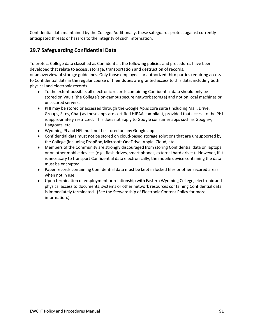Confidential data maintained by the College. Additionally, these safeguards protect against currently anticipated threats or hazards to the integrity of such information.

# **29.7 Safeguarding Confidential Data**

To protect College data classified as Confidential, the following policies and procedures have been developed that relate to access, storage, transportation and destruction of records.

or an overview of storage guidelines. Only those employees or authorized third parties requiring access to Confidential data in the regular course of their duties are granted access to this data, including both physical and electronic records.

- To the extent possible, all electronic records containing Confidential data should only be stored on Vault (the College's on-campus secure network storage) and not on local machines or unsecured servers.
- PHI may be stored or accessed through the Google Apps core suite (including Mail, Drive, Groups, Sites, Chat) as these apps are certified HIPAA compliant, provided that access to the PHI is appropriately restricted. This does not apply to Google consumer apps such as Google+, Hangouts, etc.
- Wyoming PI and NFI must not be stored on any Google app.
- Confidential data must not be stored on cloud-based storage solutions that are unsupported by the College (including DropBox, Microsoft OneDrive, Apple iCloud, etc.).
- Members of the Community are strongly discouraged from storing Confidential data on laptops or on other mobile devices (e.g., flash drives, smart phones, external hard drives). However, if it is necessary to transport Confidential data electronically, the mobile device containing the data must be encrypted.
- Paper records containing Confidential data must be kept in locked files or other secured areas when not in use.
- Upon termination of employment or relationship with Eastern Wyoming College, electronic and physical access to documents, systems or other network resources containing Confidential data is immediately terminated. (See the [Stewardship of Electronic Content Policy](https://www.wellesley.edu/lts/policies/electroniccontent) for more information.)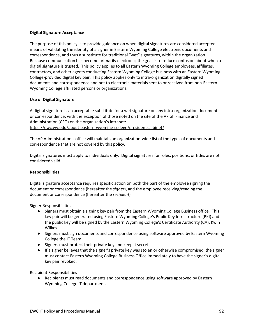#### **Digital Signature Acceptance**

The purpose of this policy is to provide guidance on when digital signatures are considered accepted means of validating the identity of a signer in Eastern Wyoming College electronic documents and correspondence, and thus a substitute for traditional "wet" signatures, within the organization. Because communication has become primarily electronic, the goal is to reduce confusion about when a digital signature is trusted. This policy applies to all Eastern Wyoming College employees, affiliates, contractors, and other agents conducting Eastern Wyoming College business with an Eastern Wyoming College-provided digital key pair. This policy applies only to intra-organization digitally signed documents and correspondence and not to electronic materials sent to or received from non-Eastern Wyoming College affiliated persons or organizations.

#### **Use of Digital Signature**

A digital signature is an acceptable substitute for a wet signature on any intra-organization document or correspondence, with the exception of those noted on the site of the VP of Finance and Administration (CFO) on the organization's intranet: <https://ewc.wy.edu/about-eastern-wyoming-college/presidentscabinet/>

The VP Administration's office will maintain an organization-wide list of the types of documents and correspondence that are not covered by this policy.

Digital signatures must apply to individuals only. Digital signatures for roles, positions, or titles are not considered valid.

#### **Responsibilities**

Digital signature acceptance requires specific action on both the part of the employee signing the document or correspondence (hereafter the *signer*), and the employee receiving/reading the document or correspondence (hereafter the *recipient*).

Signer Responsibilities

- Signers must obtain a signing key pair from the Eastern Wyoming College Business office. This key pair will be generated using Eastern Wyoming College's Public Key Infrastructure (PKI) and the public key will be signed by the Eastern Wyoming College's Certificate Authority (CA), Kwin Wilkes.
- Signers must sign documents and correspondence using software approved by Eastern Wyoming College the IT Team.
- Signers must protect their private key and keep it secret.
- If a signer believes that the signer's private key was stolen or otherwise compromised, the signer must contact Eastern Wyoming College Business Office immediately to have the signer's digital key pair revoked.

Recipient Responsibilities

● Recipients must read documents and correspondence using software approved by Eastern Wyoming College IT department.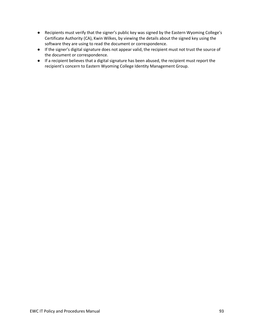- Recipients must verify that the signer's public key was signed by the Eastern Wyoming College's Certificate Authority (CA), Kwin Wilkes, by viewing the details about the signed key using the software they are using to read the document or correspondence.
- If the signer's digital signature does not appear valid, the recipient must not trust the source of the document or correspondence.
- If a recipient believes that a digital signature has been abused, the recipient must report the recipient's concern to Eastern Wyoming College Identity Management Group.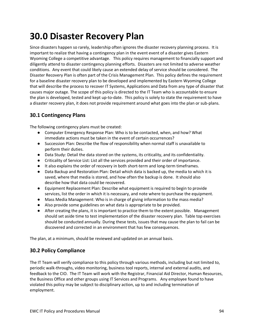# **30.0 Disaster Recovery Plan**

Since disasters happen so rarely, leadership often ignores the disaster recovery planning process. It is important to realize that having a contingency plan in the event event of a disaster gives Eastern Wyoming College a competitive advantage. This policy requires management to financially support and diligently attend to disaster contingency planning efforts. Disasters are not limited to adverse weather conditions. Any event that could likely cause an extended delay of service should be considered. The Disaster Recovery Plan is often part of the Crisis Management Plan. This policy defines the requirement for a baseline disaster recovery plan to be developed and implemented by Eastern Wyoming College that will describe the process to recover IT Systems, Applications and Data from any type of disaster that causes major outage. The scope of this policy is directed to the IT Team who is accountable to ensure the plan is developed, tested and kept up-to-date. This policy is solely to state the requirement to have a disaster recovery plan, it does not provide requirement around what goes into the plan or sub-plans.

# **30.1 Contingency Plans**

The following contingency plans must be created:

- Computer Emergency Response Plan: Who is to be contacted, when, and how? What immediate actions must be taken in the event of certain occurrences?
- Succession Plan: Describe the flow of responsibility when normal staff is unavailable to perform their duties.
- Data Study: Detail the data stored on the systems, its criticality, and its confidentiality.
- Criticality of Service List: List all the services provided and their order of importance.
- It also explains the order of recovery in both short-term and long-term timeframes.
- Data Backup and Restoration Plan: Detail which data is backed up, the media to which it is saved, where that media is stored, and how often the backup is done. It should also describe how that data could be recovered.
- Equipment Replacement Plan: Describe what equipment is required to begin to provide services, list the order in which it is necessary, and note where to purchase the equipment.
- Mass Media Management: Who is in charge of giving information to the mass media?
- Also provide some guidelines on what data is appropriate to be provided.
- After creating the plans, it is important to practice them to the extent possible. Management should set aside time to test implementation of the disaster recovery plan. Table top exercises should be conducted annually. During these tests, issues that may cause the plan to fail can be discovered and corrected in an environment that has few consequences.

The plan, at a minimum, should be reviewed and updated on an annual basis.

### **30.2 Policy Compliance**

The IT Team will verify compliance to this policy through various methods, including but not limited to, periodic walk-throughs, video monitoring, business tool reports, internal and external audits, and feedback to the CIO. The IT Team will work with the Registrar, Financial Aid Director, Human Resources, the Business Office and other groups using IT Services and Programs. Any employee found to have violated this policy may be subject to disciplinary action, up to and including termination of employment.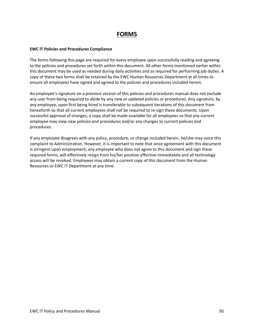# **FORMS**

#### **EWC IT Policies and Procedures Compliance**

The forms following this page are required for every employee upon successfully reading and agreeing to the policies and procedures set forth within this document. All other forms mentioned earlier within this document may be used as needed during daily activities and as required for performing job duties. A copy of these two forms shall be retained by the EWC Human Resources Department at all times to ensure all employees have signed and agreed to the policies and procedures included herein.

An employee's signature on a previous version of this policies and procedures manual does not exclude any user from being required to abide by any new or updated policies or procedures. Any signature, by any employee, upon first being hired is transferable to subsequent iterations of this document from henceforth so that all current employees shall not be required to re-sign these documents. Upon successful approval of changes, a copy shall be made available for all employees so that any current employee may view new policies and procedures and/or any changes to current policies and procedures.

If any employee disagrees with any policy, procedure, or change included herein, he/she may voice this complaint to Administration. However, it is important to note that since agreement with this document is stringent upon employment, any employee who does not agree to this document and sign these required forms, will effectively resign from his/her position effective immediately and all technology access will be revoked. Employees may obtain a current copy of this document from the Human Resources or EWC IT Department at any time.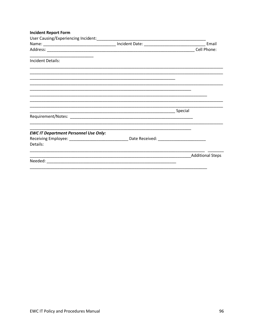| <b>Incident Report Form</b>                   |  |                    |
|-----------------------------------------------|--|--------------------|
| User Causing/Experiencing Incident: _________ |  |                    |
|                                               |  | Email              |
|                                               |  | <b>Cell Phone:</b> |
| <b>Incident Details:</b>                      |  |                    |
|                                               |  |                    |
|                                               |  |                    |
|                                               |  |                    |
|                                               |  |                    |
|                                               |  |                    |
| <b>EWC IT Department Personnel Use Only:</b>  |  |                    |
|                                               |  |                    |
| Details:                                      |  |                    |
|                                               |  |                    |
|                                               |  |                    |
|                                               |  |                    |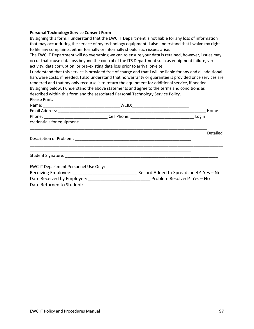#### **Personal Technology Service Consent Form**

By signing this form, I understand that the EWC IT Department is not liable for any loss of information that may occur during the service of my technology equipment. I also understand that I waive my right to file any complaints, either formally or informally should such issues arise.

The EWC IT Department will do everything we can to ensure your data is retained, however, issues may occur that cause data loss beyond the control of the ITS Department such as equipment failure, virus activity, data corruption, or pre-existing data loss prior to arrival on-site.

I understand that this service is provided free of charge and that I will be liable for any and all additional hardware costs, if needed. I also understand that no warranty or guarantee is provided once services are rendered and that my only recourse is to return the equipment for additional service, if needed. By signing below, Lunderstand the above statements and agree to the terms and conditions

| By Signing Delow, I understand the above statements and agree to the terms and conditions as |       |
|----------------------------------------------------------------------------------------------|-------|
| described within this form and the associated Personal Technology Service Policy.            |       |
| Please Print:                                                                                |       |
| Name:                                                                                        | WCID: |

|                                                                                               |                                       | Home     |
|-----------------------------------------------------------------------------------------------|---------------------------------------|----------|
| Phone: __________________________________Cell Phone: ___________________________________Login |                                       |          |
| credentials for equipment:                                                                    |                                       |          |
|                                                                                               |                                       | Detailed |
|                                                                                               |                                       |          |
|                                                                                               |                                       |          |
| Student Signature: North Student Signature:                                                   |                                       |          |
| EWC IT Department Personnel Use Only:                                                         |                                       |          |
|                                                                                               | Record Added to Spreadsheet? Yes - No |          |
|                                                                                               |                                       |          |
| Date Returned to Student:                                                                     |                                       |          |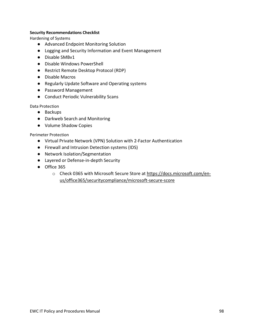#### **Security Recommendations Checklist**

Hardening of Systems

- Advanced Endpoint Monitoring Solution
- Logging and Security Information and Event Management
- Disable SMBv1
- Disable Windows PowerShell
- Restrict Remote Desktop Protocol (RDP)
- Disable Macros
- Regularly Update Software and Operating systems
- Password Management
- Conduct Periodic Vulnerability Scans

Data Protection

- Backups
- Darkweb Search and Monitoring
- Volume Shadow Copies

Perimeter Protection

- Virtual Private Network (VPN) Solution with 2-Factor Authentication
- Firewall and Intrusion Detection systems (IDS)
- Network Isolation/Segmentation
- Layered or Defense-in-depth Security
- Office 365
	- o Check 0365 with Microsoft Secure Store at [https://docs.microsoft.com/en](https://docs.microsoft.com/en-us/office365/securitycompliance/microsoft-secure-score)[us/office365/securitycompliance/microsoft-secure-score](https://docs.microsoft.com/en-us/office365/securitycompliance/microsoft-secure-score)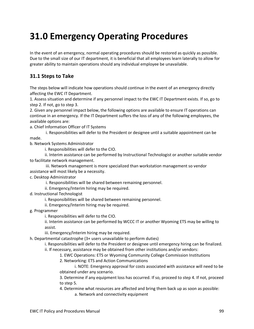# **31.0 Emergency Operating Procedures**

In the event of an emergency, normal operating procedures should be restored as quickly as possible. Due to the small size of our IT department, it is beneficial that all employees learn laterally to allow for greater ability to maintain operations should any individual employee be unavailable.

# **31.1 Steps to Take**

The steps below will indicate how operations should continue in the event of an emergency directly affecting the EWC IT Department.

1. Assess situation and determine if any personnel impact to the EWC IT Department exists. If so, go to step 2. If not, go to step 3.

2. Given any personnel impact below, the following options are available to ensure IT operations can continue in an emergency. If the IT Department suffers the loss of any of the following employees, the available options are:

a. Chief Information Officer of IT Systems

i. Responsibilities will defer to the President or designee until a suitable appointment can be made.

b. Network Systems Administrator

i. Responsibilities will defer to the CIO.

ii. Interim assistance can be performed by Instructional Technologist or another suitable vendor to facilitate network management.

iii. Network management is more specialized than workstation management so vendor assistance will most likely be a necessity.

c. Desktop Administrator

i. Responsibilities will be shared between remaining personnel.

ii. Emergency/Interim hiring may be required.

d. Instructional Technologist

i. Responsibilities will be shared between remaining personnel.

ii. Emergency/Interim hiring may be required.

g. Programmer

i. Responsibilities will defer to the CIO.

ii. Interim assistance can be performed by WCCC IT or another Wyoming ETS may be willing to assist.

iii. Emergency/Interim hiring may be required.

h. Departmental catastrophe (3+ users unavailable to perform duties)

i. Responsibilities will defer to the President or designee until emergency hiring can be finalized. ii. If necessary, assistance may be obtained from other institutions and/or vendors:

1. EWC Operations: ETS or Wyoming Community College Commission Institutions

2. Networking: ETS and Action Communications

i. NOTE: Emergency approval for costs associated with assistance will need to be obtained under any scenario.

3. Determine if any equipment loss has occurred. If so, proceed to step 4. If not, proceed to step 5.

4. Determine what resources are affected and bring them back up as soon as possible: a. Network and connectivity equipment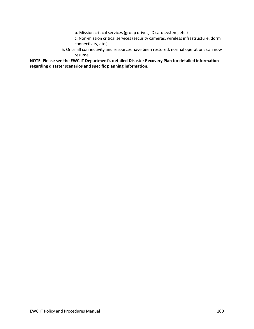- b. Mission critical services (group drives, ID card system, etc.)
- c. Non-mission critical services (security cameras, wireless infrastructure, dorm connectivity, etc.)
- 5. Once all connectivity and resources have been restored, normal operations can now resume.

**NOTE: Please see the EWC IT Department's detailed Disaster Recovery Plan for detailed information regarding disaster scenarios and specific planning information.**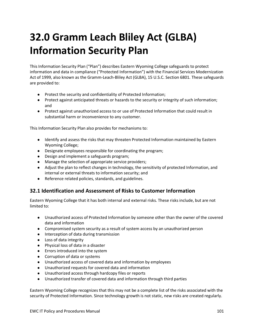# **32.0 Gramm Leach Bliley Act (GLBA) Information Security Plan**

This Information Security Plan ("Plan") describes Eastern Wyoming College safeguards to protect information and data in compliance ("Protected Information") with the Financial Services Modernization Act of 1999, also known as the Gramm-Leach-Bliley Act (GLBA), 15 U.S.C. Section 6801. These safeguards are provided to:

- Protect the security and confidentiality of Protected Information;
- Protect against anticipated threats or hazards to the security or integrity of such information; and
- Protect against unauthorized access to or use of Protected Information that could result in substantial harm or inconvenience to any customer.

This Information Security Plan also provides for mechanisms to:

- Identify and assess the risks that may threaten Protected Information maintained by Eastern Wyoming College;
- Designate employees responsible for coordinating the program;
- Design and implement a safeguards program;
- Manage the selection of appropriate service providers;
- Adjust the plan to reflect changes in technology, the sensitivity of protected Information, and internal or external threats to information security; and
- Reference related policies, standards, and guidelines.

#### **32.1 Identification and Assessment of Risks to Customer Information**

Eastern Wyoming College that it has both internal and external risks. These risks include, but are not limited to:

- Unauthorized access of Protected Information by someone other than the owner of the covered data and information
- Compromised system security as a result of system access by an unauthorized person
- Interception of data during transmission
- Loss of data integrity
- Physical loss of data in a disaster
- Errors introduced into the system
- Corruption of data or systems
- Unauthorized access of covered data and information by employees
- Unauthorized requests for covered data and information
- Unauthorized access through hardcopy files or reports
- Unauthorized transfer of covered data and information through third parties

Eastern Wyoming College recognizes that this may not be a complete list of the risks associated with the security of Protected Information. Since technology growth is not static, new risks are created regularly.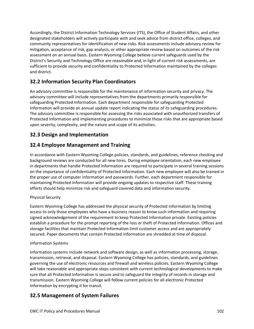Accordingly, the District Information Technology Services (ITS), the Office of Student Affairs, and other designated stakeholders will actively participate with and seek advice from district office, colleges, and community representatives for identification of new risks. Risk assessments include advisory review for mitigation, acceptance of risk, gap analysis, or other appropriate review based on outcomes of the risk assessment on an annual basis. Eastern Wyoming College believe current safeguards used by the District's Security and Technology Office are reasonable and, in light of current risk assessments, are sufficient to provide security and confidentiality to Protected Information maintained by the colleges and district.

# **32.2 Information Security Plan Coordinators**

An advisory committee is responsible for the maintenance of information security and privacy. The advisory committee will include representatives from the departments primarily responsible for safeguarding Protected Information. Each department responsible for safeguarding Protected Information will provide an annual update report indicating the status of its safeguarding procedures. The advisory committee is responsible for assessing the risks associated with unauthorized transfers of Protected Information and implementing procedures to minimize those risks that are appropriate based upon severity, complexity, and the nature and scope of its activities.

# **32.3 Design and Implementation**

# **32.4 Employee Management and Training**

In accordance with Eastern Wyoming College policies, standards, and guidelines, reference checking and background reviews are conducted for all new hires. During employee orientation, each new employee in departments that handle Protected Information are required to participate in several training sessions on the importance of confidentiality of Protected Information. Each new employee will also be trained in the proper use of computer information and passwords. Further, each department responsible for maintaining Protected Information will provide ongoing updates to respective staff. These training efforts should help minimize risk and safeguard covered data and information security.

#### Physical Security

Eastern Wyoming College has addressed the physical security of Protected Information by limiting access to only those employees who have a business reason to know such information and requiring signed acknowledgement of the requirement to keep Protected Information private. Existing policies establish a procedure for the prompt reporting of the loss or theft of Protected Information. Offices and storage facilities that maintain Protected Information limit customer access and are appropriately secured. Paper documents that contain Protected Information are shredded at time of disposal.

#### Information Systems

Information systems include network and software design, as well as information processing, storage, transmission, retrieval, and disposal. Eastern Wyoming College has policies, standards, and guidelines governing the use of electronic resources and firewall and wireless policies. Eastern Wyoming College will take reasonable and appropriate steps consistent with current technological developments to make sure that all Protected Information is secure and to safeguard the integrity of records in storage and transmission. Eastern Wyoming College will follow current policies for all electronic Protected Information by encrypting it for transit.

### **32.5 Management of System Failures**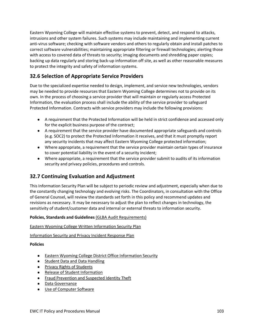Eastern Wyoming College will maintain effective systems to prevent, detect, and respond to attacks, intrusions and other system failures. Such systems may include maintaining and implementing current anti-virus software; checking with software vendors and others to regularly obtain and install patches to correct software vulnerabilities; maintaining appropriate filtering or firewall technologies; alerting those with access to covered data of threats to security; imaging documents and shredding paper copies; backing up data regularly and storing back-up information off site, as well as other reasonable measures to protect the integrity and safety of information systems.

# **32.6 Selection of Appropriate Service Providers**

Due to the specialized expertise needed to design, implement, and service new technologies, vendors may be needed to provide resources that Eastern Wyoming College determines not to provide on its own. In the process of choosing a service provider that will maintain or regularly access Protected Information, the evaluation process shall include the ability of the service provider to safeguard Protected Information. Contracts with service providers may include the following provisions:

- A requirement that the Protected Information will be held in strict confidence and accessed only for the explicit business purpose of the contract;
- A requirement that the service provider have documented appropriate safeguards and controls (e.g. SOC2) to protect the Protected Information it receives, and that it must promptly report any security incidents that may affect Eastern Wyoming College protected information;
- Where appropriate, a requirement that the service provider maintain certain types of insurance to cover potential liability in the event of a security incident;
- Where appropriate, a requirement that the service provider submit to audits of its information security and privacy policies, procedures and controls.

# **32.7 Continuing Evaluation and Adjustment**

This Information Security Plan will be subject to periodic review and adjustment, especially when due to the constantly changing technology and evolving risks. The Coordinators, in consultation with the Office of General Counsel, will review the standards set forth in this policy and recommend updates and revisions as necessary. It may be necessary to adjust the plan to reflect changes in technology, the sensitivity of student/customer data and internal or external threats to information security.

#### **Policies, Standards and Guidelines** [\(GLBA Audit Requirements\)](https://fsapartners.ed.gov/knowledge-center/library/electronic-announcements/2020-02-28/enforcement-cybersecurity-requirements-under-gramm-leach-bliley-act)

#### [Eastern Wyoming College Written Information Security Plan](https://district.maricopa.edu/regulations/admin-regs/section-4/4-23)

[Information Security and Privacy Incident Response Plan](https://district.maricopa.edu/regulations/admin-regs/section-4/4-24)

#### **Policies**

- [Eastern Wyoming College District Office Information Security](https://district.maricopa.edu/information-technology/information-security)
- [Student Data and Data Handling](https://district.maricopa.edu/information-technology/information-security/your-data)
- [Privacy Rights of Students](https://district.maricopa.edu/regulations/admin-regs/section-4/4-22)
- [Release of Student Information](https://district.maricopa.edu/consumer-information/family-educational-rights-privacy-act-ferpa)
- [Fraud Prevention and Suspected Identity Theft](https://district.maricopa.edu/regulations/admin-regs/section-6/6-11)
- [Data Governance](https://district.maricopa.edu/information-technology/information-security/governance)
- [Use of Computer Software](https://district.maricopa.edu/legal/student-faculty-resources/it/appendix-d)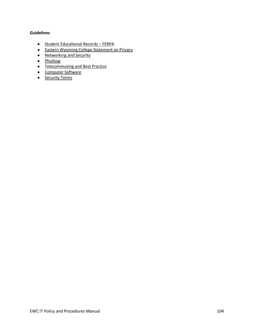#### **Guidelines**

- [Student Educational Records –](https://district.maricopa.edu/consumer-information/family-educational-rights-privacy-act-ferpa) FERPA
- [Eastern Wyoming College Statement on Privacy](https://district.maricopa.edu/regulations/admin-regs/section-4/4-22)
- [Networking and Security](https://www.maricopa.edu/degrees-certificates/networking-security)
- [Phishing](https://district.maricopa.edu/information-technology/information-security/best-practices/phishing)
- [Telecommuting and Best Practice](https://district.maricopa.edu/information-technology/anywhere-computing/security-concerns)
- [Computer Software](https://district.maricopa.edu/legal/student-faculty-resources/ip/guidelines/computer-software)
- [Security](https://district.maricopa.edu/information-technology/information-security/security-terms) Terms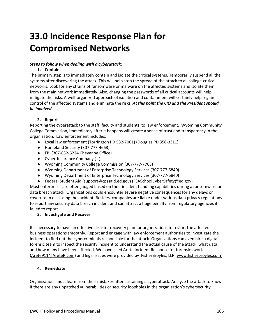# **33.0 Incidence Response Plan for Compromised Networks**

#### *Steps to follow when dealing with a cyberattack:*

#### **1. Contain**

The primary step is to immediately contain and isolate the critical systems. Temporarily suspend all the systems after discovering the attack. This will help stop the spread of the attack to all college-critical networks. Look for any strains of [ransomware](https://cisomag.eccouncil.org/cyberthreats-still-loom-over-e-learning-platforms/) or malware on the affected systems and isolate them from the main network immediately. Also, changing the passwords of all critical accounts will help mitigate the risks. A well-organized approach of isolation and containment will certainly help regain control of the affected systems and eliminate the risks. *At this point the CIO and the President should be involved.* 

#### **2. Report**

Reporting the cyberattack to the staff, faculty and students, to law enforcement, Wyoming Community College Commission, immediately after it happens will create a sense of trust and transparency in the organization. Law enforcement includes:

- Local law enforcement (Torrington PD 532-7001) (Douglas PD 358-3311)
- Homeland Security (307-777-4663)
- FBI (307-632-6224 Cheyenne Office)
- Cyber-Insurance Company ()
- Wyoming Community College Commission (307-777-7763)
- Wyoming Department of Enterprise Technology Services (307-777-5840)
- Wyoming Department of Enterprise Technology Services (307-777-5840)
- Federal Student Aid [\(support@cpssaid.ed.gov\)](mailto:support@cpssaid.ed.gov) [\(FSASchoolCyberSafety@ed.gov\)](mailto:FSASchoolCyberSafety@ed.gov)

Most enterprises are often judged based on their incident handling capabilities during a ransomware or data breach attack. Organizations could encounter severe negative consequences for any delays or coverups in disclosing the incident. Besides, companies are liable under various data privacy regulations to report any security data breach incident and can attract a huge [penalty from regulatory agencies](https://cisomag.eccouncil.org/4-times-data-regulators-slapped-high-penalties-in-2020/) if failed to report.

#### **3. Investigate and Recover**

It is necessary to have an effective disaster recovery plan for organizations to restart the affected business operations smoothly. [Report](https://cisomag.eccouncil.org/how-to-report-and-regain-access-to-your-hacked-twitter-account/) and engage with law enforcement authorities to investigate the incident to find out the cybercriminals responsible for the attack. Organizations can even hire a [digital](https://www.eccouncil.org/programs/ec-council-certified-incident-handler-ecih/?utm_source=cisomag&utm_medium=partners&utm_campaign=cisomag-ecih)  [forensic](https://www.eccouncil.org/programs/ec-council-certified-incident-handler-ecih/?utm_source=cisomag&utm_medium=partners&utm_campaign=cisomag-ecih) team to inspect the security incident to understand the actual cause of the attack, what data, and how many have been affected. We have used Arete Incident Response for forensics work [\(Arete911@AreteR.com\)](mailto:Arete911@AreteR.com) and legal issues were provided by FisherBroyles, LLP [\(www.fisherbroyles.com\)](http://www.fisherbroyles.com/)

#### **4. Remediate**

Organizations must learn from their mistakes after sustaining a cyberattack. Analyze the attack to know if there are any unpatched vulnerabilities or security loopholes in the organization's cybersecurity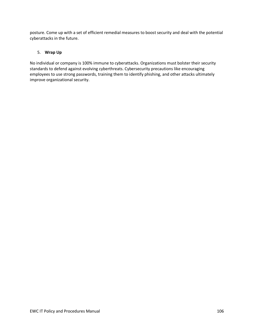posture. Come up with a set of efficient remedial measures to boost security and deal with the potential cyberattacks in the future.

#### 5. **Wrap Up**

No individual or company is 100% immune to cyberattacks. Organizations must bolster their security standards to defend against evolving cyberthreats. Cybersecurity precautions like encouraging employees to use strong passwords, training them to identify phishing, and other attacks ultimately improve organizational security.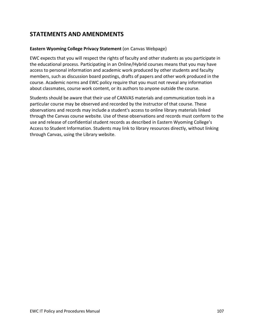# **STATEMENTS AND AMENDMENTS**

#### **Eastern Wyoming College Privacy Statement** (on Canvas Webpage)

EWC expects that you will respect the rights of faculty and other students as you participate in the educational process. Participating in an Online/Hybrid courses means that you may have access to personal information and academic work produced by other students and faculty members, such as discussion board postings, drafts of papers and other work produced in the course. Academic norms and EWC policy require that you must not reveal any information about classmates, course work content, or its authors to anyone outside the course.

Students should be aware that their use of CANVAS materials and communication tools in a particular course may be observed and recorded by the instructor of that course. These observations and records may include a student's access to online library materials linked through the Canvas course website. Use of these observations and records must conform to the use and release of confidential student records as described in Eastern Wyoming College's Access to Student Information. Students may link to library resources directly, without linking through Canvas, using the Library website.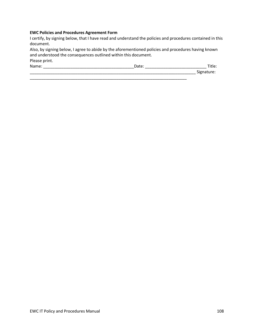#### **EWC Policies and Procedures Agreement Form**

I certify, by signing below, that I have read and understand the policies and procedures contained in this document.

Also, by signing below, I agree to abide by the aforementioned policies and procedures having known and understood the consequences outlined within this document. Please print. Name: \_\_\_\_\_\_\_\_\_\_\_\_\_\_\_\_\_\_\_\_\_\_\_\_\_\_\_\_\_\_\_\_\_\_\_\_\_\_\_\_Date: \_\_\_\_\_\_\_\_\_\_\_\_\_\_\_\_\_\_\_\_\_\_\_\_\_\_\_ Title:

\_\_\_\_\_\_\_\_\_\_\_\_\_\_\_\_\_\_\_\_\_\_\_\_\_\_\_\_\_\_\_\_\_\_\_\_\_\_\_\_\_\_\_\_\_\_\_\_\_\_\_\_\_\_\_\_\_\_\_\_\_\_\_\_\_\_\_\_\_\_\_\_\_ Signature: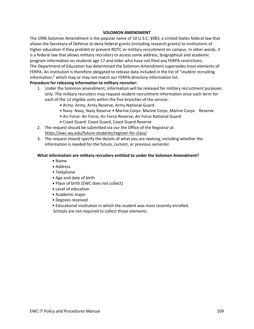## **SOLOMON AMENDMENT**

The 1996 Solomon Amendment is the popular name of 10 U.S.C. §983, a United States federal law that allows the Secretary of Defense to deny federal grants (including research grants) to institutions of higher education if they prohibit or prevent ROTC or military recruitment on campus. In other words, it is a federal law that allows military recruiters to access some address, biographical and academic program information on students age 17 and older who have not filed any FERPA restrictions. The Department of Education has determined the Solomon Amendment supersedes most elements of FERPA. An institution is therefore obligated to release data included in the list of "student recruiting information," which may or may not match our FERPA directory information list.

## **Procedure for releasing information to military recruiter:**

- 1. Under the Solomon amendment, information will be released for military recruitment purposes only. The military recruiters may request student recruitment information once each term for each of the 12 eligible units within the five branches of the service:
	- Army: Army, Army Reserve, Army National Guard
	- Navy: Navy, Navy Reserve Marine Corps: Marine Corps, Marine Corps Reserve
	- Air Force: Air Force, Air Force Reserve, Air Force National Guard
	- Coast Guard: Coast Guard, Coast Guard Reserve
- 2. The request should be submitted via our the Office of the Registrar at <https://ewc.wy.edu/future-students/register-for-class/>
- 3. The request should specify the details of what you are seeking, including whether the information is needed for the future, current, or previous semester.

## **What information are military recruiters entitled to under the Solomon Amendment?**

- Name
- Address
- Telephone
- Age and date of birth
- Place of birth (EWC does not collect)
- Level of education
- Academic major
- Degrees received
- Educational institution in which the student was most recently enrolled.
- Schools are not required to collect those elements.